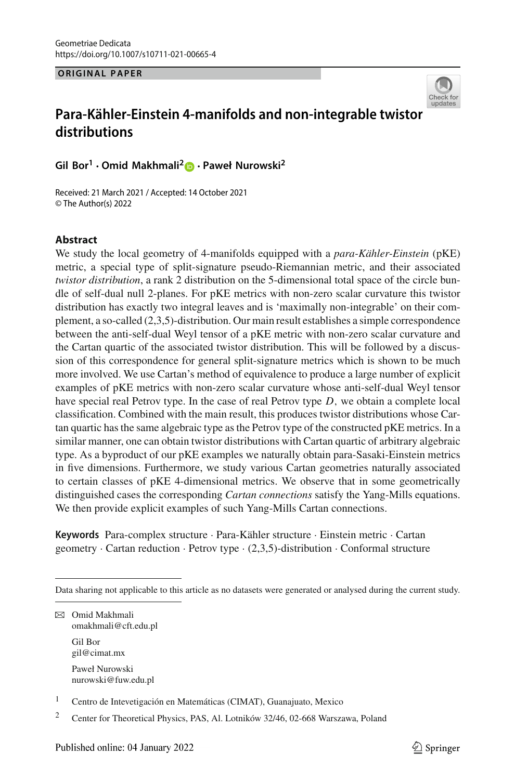**ORIGINAL PAPER**



# **Para-Kähler-Einstein 4-manifolds and non-integrable twistor distributions**

**Gil Bor1 · Omid Makhmali[2](http://orcid.org/0000-0002-1056-1982) · Paweł Nurowski<sup>2</sup>**

Received: 21 March 2021 / Accepted: 14 October 2021 © The Author(s) 2022

## **Abstract**

We study the local geometry of 4-manifolds equipped with a *para-Kähler-Einstein* (pKE) metric, a special type of split-signature pseudo-Riemannian metric, and their associated *twistor distribution*, a rank 2 distribution on the 5-dimensional total space of the circle bundle of self-dual null 2-planes. For pKE metrics with non-zero scalar curvature this twistor distribution has exactly two integral leaves and is 'maximally non-integrable' on their complement, a so-called (2,3,5)-distribution. Our main result establishes a simple correspondence between the anti-self-dual Weyl tensor of a pKE metric with non-zero scalar curvature and the Cartan quartic of the associated twistor distribution. This will be followed by a discussion of this correspondence for general split-signature metrics which is shown to be much more involved. We use Cartan's method of equivalence to produce a large number of explicit examples of pKE metrics with non-zero scalar curvature whose anti-self-dual Weyl tensor have special real Petrov type. In the case of real Petrov type *D*, we obtain a complete local classification. Combined with the main result, this produces twistor distributions whose Cartan quartic has the same algebraic type as the Petrov type of the constructed pKE metrics. In a similar manner, one can obtain twistor distributions with Cartan quartic of arbitrary algebraic type. As a byproduct of our pKE examples we naturally obtain para-Sasaki-Einstein metrics in five dimensions. Furthermore, we study various Cartan geometries naturally associated to certain classes of pKE 4-dimensional metrics. We observe that in some geometrically distinguished cases the corresponding *Cartan connections* satisfy the Yang-Mills equations. We then provide explicit examples of such Yang-Mills Cartan connections.

**Keywords** Para-complex structure · Para-Kähler structure · Einstein metric · Cartan geometry  $\cdot$  Cartan reduction  $\cdot$  Petrov type  $\cdot$  (2,3,5)-distribution  $\cdot$  Conformal structure

Data sharing not applicable to this article as no datasets were generated or analysed during the current study.

B Omid Makhmali omakhmali@cft.edu.pl Gil Bor gil@cimat.mx Paweł Nurowski nurowski@fuw.edu.pl

<sup>1</sup> Centro de Intevetigación en Matemáticas (CIMAT), Guanajuato, Mexico

<sup>2</sup> Center for Theoretical Physics, PAS, Al. Lotników 32/46, 02-668 Warszawa, Poland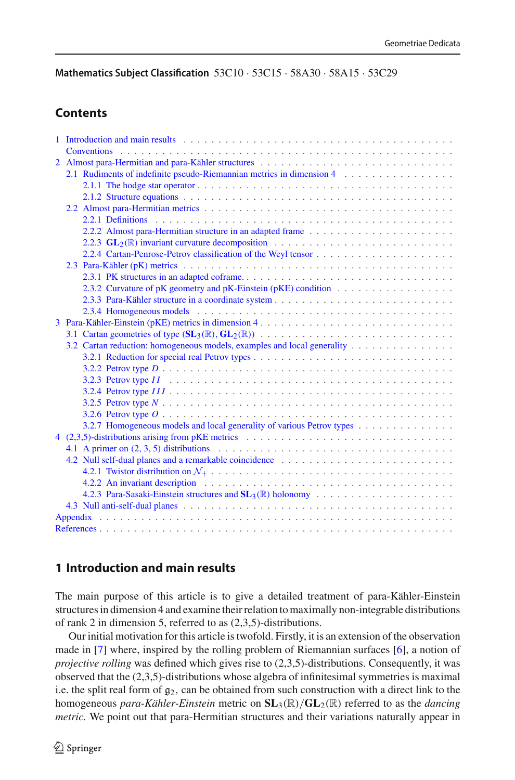**Mathematics Subject Classification** 53C10 · 53C15 · 58A30 · 58A15 · 53C29

## **Contents**

|                | 1 Introduction and main results enterprise in the contract of the contract of the contract of the contract of the contract of the contract of the contract of the contract of the contract of the contract of the contract of |  |  |
|----------------|-------------------------------------------------------------------------------------------------------------------------------------------------------------------------------------------------------------------------------|--|--|
|                | <b>Conventions</b>                                                                                                                                                                                                            |  |  |
| $\overline{2}$ |                                                                                                                                                                                                                               |  |  |
|                | 2.1 Rudiments of indefinite pseudo-Riemannian metrics in dimension 4                                                                                                                                                          |  |  |
|                |                                                                                                                                                                                                                               |  |  |
|                |                                                                                                                                                                                                                               |  |  |
|                |                                                                                                                                                                                                                               |  |  |
|                |                                                                                                                                                                                                                               |  |  |
|                |                                                                                                                                                                                                                               |  |  |
|                | 2.2.3 $GL_2(\mathbb{R})$ invariant curvature decomposition                                                                                                                                                                    |  |  |
|                |                                                                                                                                                                                                                               |  |  |
|                |                                                                                                                                                                                                                               |  |  |
|                |                                                                                                                                                                                                                               |  |  |
|                |                                                                                                                                                                                                                               |  |  |
|                |                                                                                                                                                                                                                               |  |  |
|                |                                                                                                                                                                                                                               |  |  |
|                | Para-Kähler-Einstein (pKE) metrics in dimension 4                                                                                                                                                                             |  |  |
|                |                                                                                                                                                                                                                               |  |  |
|                | 3.2 Cartan reduction: homogeneous models, examples and local generality                                                                                                                                                       |  |  |
|                |                                                                                                                                                                                                                               |  |  |
|                |                                                                                                                                                                                                                               |  |  |
|                |                                                                                                                                                                                                                               |  |  |
|                |                                                                                                                                                                                                                               |  |  |
|                |                                                                                                                                                                                                                               |  |  |
|                |                                                                                                                                                                                                                               |  |  |
|                |                                                                                                                                                                                                                               |  |  |
|                |                                                                                                                                                                                                                               |  |  |
|                | 4.1 A primer on $(2, 3, 5)$ distributions $\ldots \ldots \ldots \ldots \ldots \ldots \ldots \ldots \ldots \ldots \ldots \ldots$                                                                                               |  |  |
|                | 4.2 Null self-dual planes and a remarkable coincidence                                                                                                                                                                        |  |  |
|                |                                                                                                                                                                                                                               |  |  |
|                |                                                                                                                                                                                                                               |  |  |
|                |                                                                                                                                                                                                                               |  |  |
|                |                                                                                                                                                                                                                               |  |  |
|                |                                                                                                                                                                                                                               |  |  |
|                |                                                                                                                                                                                                                               |  |  |
|                |                                                                                                                                                                                                                               |  |  |

## <span id="page-1-0"></span>**1 Introduction and main results**

The main purpose of this article is to give a detailed treatment of para-Kähler-Einstein structures in dimension 4 and examine their relation to maximally non-integrable distributions of rank 2 in dimension 5, referred to as (2,3,5)-distributions.

Our initial motivation for this article is twofold. Firstly, it is an extension of the observation made in [\[7](#page-46-1)] where, inspired by the rolling problem of Riemannian surfaces [\[6](#page-46-2)], a notion of *projective rolling* was defined which gives rise to (2,3,5)-distributions. Consequently, it was observed that the (2,3,5)-distributions whose algebra of infinitesimal symmetries is maximal i.e. the split real form of  $g_2$ , can be obtained from such construction with a direct link to the homogeneous *para-Kähler-Einstein* metric on **SL**3(R)/**GL**2(R) referred to as the *dancing metric.* We point out that para-Hermitian structures and their variations naturally appear in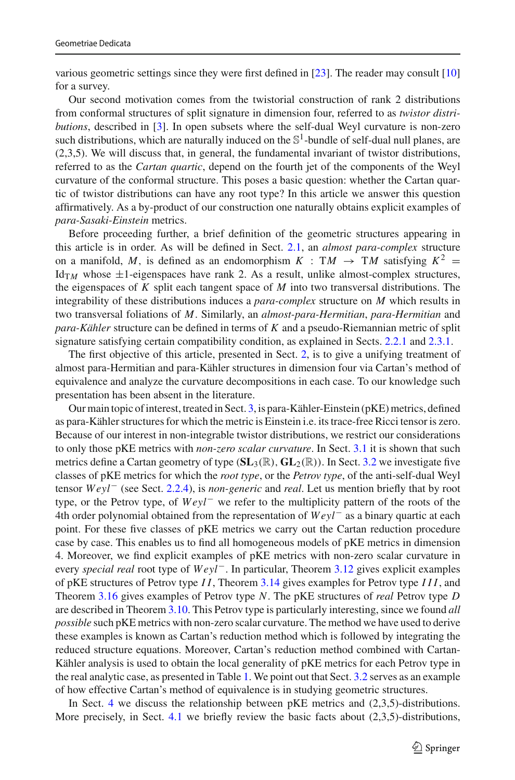various geometric settings since they were first defined in [\[23](#page-47-0)]. The reader may consult [\[10\]](#page-47-1) for a survey.

Our second motivation comes from the twistorial construction of rank 2 distributions from conformal structures of split signature in dimension four, referred to as *twistor distributions*, described in [\[3\]](#page-46-3). In open subsets where the self-dual Weyl curvature is non-zero such distributions, which are naturally induced on the  $\mathbb{S}^1$ -bundle of self-dual null planes, are (2,3,5). We will discuss that, in general, the fundamental invariant of twistor distributions, referred to as the *Cartan quartic*, depend on the fourth jet of the components of the Weyl curvature of the conformal structure. This poses a basic question: whether the Cartan quartic of twistor distributions can have any root type? In this article we answer this question affirmatively. As a by-product of our construction one naturally obtains explicit examples of *para-Sasaki-Einstein* metrics.

Before proceeding further, a brief definition of the geometric structures appearing in this article is in order. As will be defined in Sect. [2.1,](#page-5-0) an *almost para-complex* structure on a manifold, *M*, is defined as an endomorphism  $K : TM \rightarrow TM$  satisfying  $K^2 =$ Id<sub>TM</sub> whose  $\pm$ 1-eigenspaces have rank 2. As a result, unlike almost-complex structures, the eigenspaces of *K* split each tangent space of *M* into two transversal distributions. The integrability of these distributions induces a *para-complex* structure on *M* which results in two transversal foliations of *M*. Similarly, an *almost-para-Hermitian*, *para-Hermitian* and *para-Kähler* structure can be defined in terms of *K* and a pseudo-Riemannian metric of split signature satisfying certain compatibility condition, as explained in Sects. [2.2.1](#page-9-0) and [2.3.1.](#page-15-1)

The first objective of this article, presented in Sect. [2,](#page-4-1) is to give a unifying treatment of almost para-Hermitian and para-Kähler structures in dimension four via Cartan's method of equivalence and analyze the curvature decompositions in each case. To our knowledge such presentation has been absent in the literature.

Our main topic of interest, treated in Sect. [3,](#page-21-1) is para-Kähler-Einstein (pKE) metrics, defined as para-Kähler structures for which the metric is Einstein i.e. its trace-free Ricci tensor is zero. Because of our interest in non-integrable twistor distributions, we restrict our considerations to only those pKE metrics with *non-zero scalar curvature*. In Sect. [3.1](#page-22-0) it is shown that such metrics define a Cartan geometry of type (**SL**3(R), **GL**2(R)). In Sect. [3.2](#page-24-0) we investigate five classes of pKE metrics for which the *root type*, or the *Petrov type*, of the anti-self-dual Weyl tensor *Weyl*− (see Sect. [2.2.4\)](#page-13-0), is *non-generic* and *real*. Let us mention briefly that by root type, or the Petrov type, of *Weyl*− we refer to the multiplicity pattern of the roots of the 4th order polynomial obtained from the representation of *Weyl*− as a binary quartic at each point. For these five classes of pKE metrics we carry out the Cartan reduction procedure case by case. This enables us to find all homogeneous models of pKE metrics in dimension 4. Moreover, we find explicit examples of pKE metrics with non-zero scalar curvature in every *special real* root type of *Weyl*−. In particular, Theorem [3.12](#page-31-1) gives explicit examples of pKE structures of Petrov type *I I*, Theorem [3.14](#page-32-1) gives examples for Petrov type *III*, and Theorem [3.16](#page-34-1) gives examples of Petrov type *N*. The pKE structures of *real* Petrov type *D* are described in Theorem [3.10.](#page-28-0) This Petrov type is particularly interesting, since we found *all possible* such pKE metrics with non-zero scalar curvature. The method we have used to derive these examples is known as Cartan's reduction method which is followed by integrating the reduced structure equations. Moreover, Cartan's reduction method combined with Cartan-Kähler analysis is used to obtain the local generality of pKE metrics for each Petrov type in the real analytic case, as presented in Table [1.](#page-35-2) We point out that Sect. [3.2](#page-24-0) serves as an example of how effective Cartan's method of equivalence is in studying geometric structures.

In Sect. [4](#page-35-1) we discuss the relationship between pKE metrics and (2,3,5)-distributions. More precisely, in Sect. [4.1](#page-36-0) we briefly review the basic facts about (2,3,5)-distributions,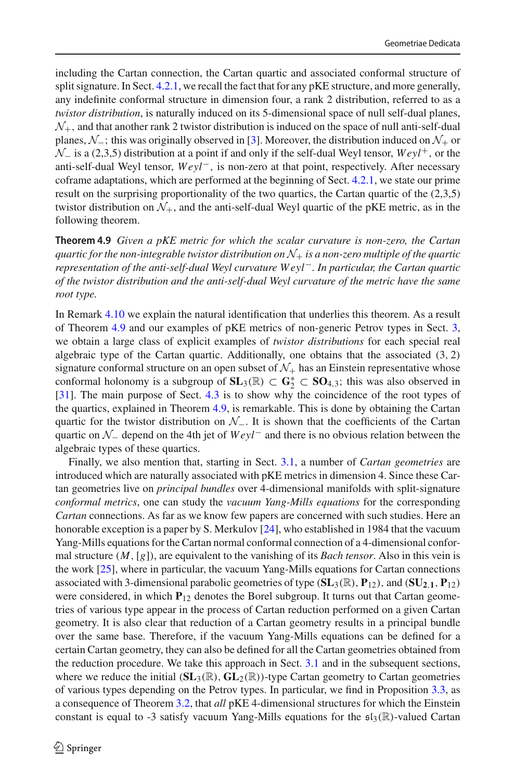including the Cartan connection, the Cartan quartic and associated conformal structure of split signature. In Sect. [4.2.1,](#page-39-0) we recall the fact that for any pKE structure, and more generally, any indefinite conformal structure in dimension four, a rank 2 distribution, referred to as a *twistor distribution*, is naturally induced on its 5-dimensional space of null self-dual planes,  $N_{+}$ , and that another rank 2 twistor distribution is induced on the space of null anti-self-dual planes, *N*−; this was originally observed in [\[3\]](#page-46-3). Moreover, the distribution induced on *N*<sup>+</sup> or *N*− is a (2,3,5) distribution at a point if and only if the self-dual Weyl tensor, *Weyl*<sup>+</sup>, or the anti-self-dual Weyl tensor, *Weyl*−, is non-zero at that point, respectively. After necessary coframe adaptations, which are performed at the beginning of Sect. [4.2.1,](#page-39-0) we state our prime result on the surprising proportionality of the two quartics, the Cartan quartic of the (2,3,5) twistor distribution on  $\mathcal{N}_+$ , and the anti-self-dual Weyl quartic of the pKE metric, as in the following theorem.

**Theorem 4.9** *Given a pKE metric for which the scalar curvature is non-zero, the Cartan guartic for the non-integrable twistor distribution on*  $\mathcal{N}_+$  *is a non-zero multiple of the quartic representation of the anti-self-dual Weyl curvature W eyl*−*. In particular, the Cartan quartic of the twistor distribution and the anti-self-dual Weyl curvature of the metric have the same root type.*

In Remark [4.10](#page-40-0) we explain the natural identification that underlies this theorem. As a result of Theorem [4.9](#page-40-1) and our examples of pKE metrics of non-generic Petrov types in Sect. [3,](#page-21-1) we obtain a large class of explicit examples of *twistor distributions* for each special real algebraic type of the Cartan quartic. Additionally, one obtains that the associated  $(3, 2)$ signature conformal structure on an open subset of  $\mathcal{N}_+$  has an Einstein representative whose conformal holonomy is a subgroup of  $SL_3(\mathbb{R}) \subset G_2^* \subset SO_{4,3}$ ; this was also observed in [\[31\]](#page-47-2). The main purpose of Sect. [4.3](#page-43-0) is to show why the coincidence of the root types of the quartics, explained in Theorem [4.9,](#page-40-1) is remarkable. This is done by obtaining the Cartan quartic for the twistor distribution on *N*−. It is shown that the coefficients of the Cartan quartic on *N*<sup>−</sup> depend on the 4th jet of *Weyl*<sup>−</sup> and there is no obvious relation between the algebraic types of these quartics.

Finally, we also mention that, starting in Sect. [3.1,](#page-22-0) a number of *Cartan geometries* are introduced which are naturally associated with pKE metrics in dimension 4. Since these Cartan geometries live on *principal bundles* over 4-dimensional manifolds with split-signature *conformal metrics*, one can study the *vacuum Yang-Mills equations* for the corresponding *Cartan* connections. As far as we know few papers are concerned with such studies. Here an honorable exception is a paper by S. Merkulov [\[24\]](#page-47-3), who established in 1984 that the vacuum Yang-Mills equations for the Cartan normal conformal connection of a 4-dimensional conformal structure (*M*,[*g*]), are equivalent to the vanishing of its *Bach tensor*. Also in this vein is the work [\[25](#page-47-4)], where in particular, the vacuum Yang-Mills equations for Cartan connections associated with 3-dimensional parabolic geometries of type (**SL**3(R), **P**12), and (**SU2**,**1**, **P**12) were considered, in which  $P_{12}$  denotes the Borel subgroup. It turns out that Cartan geometries of various type appear in the process of Cartan reduction performed on a given Cartan geometry. It is also clear that reduction of a Cartan geometry results in a principal bundle over the same base. Therefore, if the vacuum Yang-Mills equations can be defined for a certain Cartan geometry, they can also be defined for all the Cartan geometries obtained from the reduction procedure. We take this approach in Sect. [3.1](#page-22-0) and in the subsequent sections, where we reduce the initial  $(SL_3(\mathbb{R}), GL_2(\mathbb{R}))$ -type Cartan geometry to Cartan geometries of various types depending on the Petrov types. In particular, we find in Proposition [3.3,](#page-23-0) as a consequence of Theorem [3.2,](#page-23-1) that *all* pKE 4-dimensional structures for which the Einstein constant is equal to -3 satisfy vacuum Yang-Mills equations for the  $\mathfrak{sl}_3(\mathbb{R})$ -valued Cartan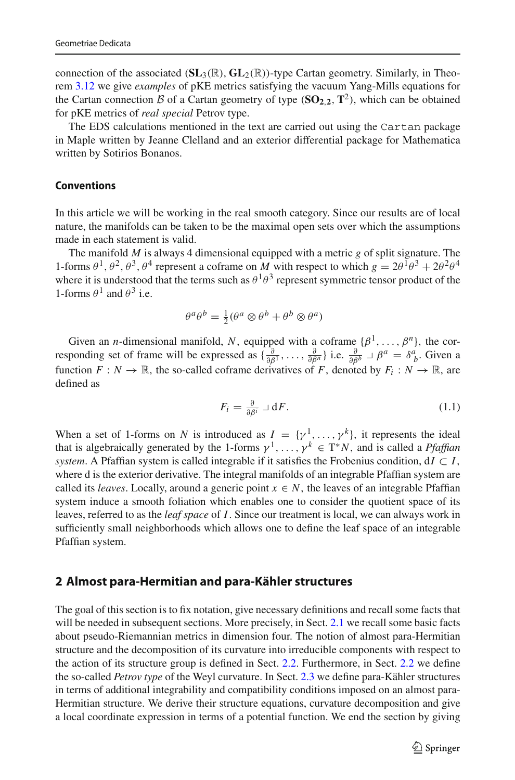connection of the associated  $(SL_3(\mathbb{R}), GL_2(\mathbb{R}))$ -type Cartan geometry. Similarly, in Theorem [3.12](#page-31-1) we give *examples* of pKE metrics satisfying the vacuum Yang-Mills equations for the Cartan connection *B* of a Cartan geometry of type  $(\mathbf{SO}_{2,2}, \mathbf{T}^2)$ , which can be obtained for pKE metrics of *real special* Petrov type.

The EDS calculations mentioned in the text are carried out using the Cartan package in Maple written by Jeanne Clelland and an exterior differential package for Mathematica written by Sotirios Bonanos.

## <span id="page-4-0"></span>**Conventions**

In this article we will be working in the real smooth category. Since our results are of local nature, the manifolds can be taken to be the maximal open sets over which the assumptions made in each statement is valid.

The manifold *M* is always 4 dimensional equipped with a metric *g* of split signature. The 1-forms  $\theta^1$ ,  $\theta^2$ ,  $\theta^3$ ,  $\theta^4$  represent a coframe on *M* with respect to which  $g = 2\theta^1\theta^3 + 2\theta^2\theta^4$ where it is understood that the terms such as  $\theta^1\theta^3$  represent symmetric tensor product of the 1-forms  $\theta^1$  and  $\theta^3$  i.e.

$$
\theta^a \theta^b = \frac{1}{2} (\theta^a \otimes \theta^b + \theta^b \otimes \theta^a)
$$

Given an *n*-dimensional manifold, *N*, equipped with a coframe  $\{\beta^1, \dots, \beta^n\}$ , the corresponding set of frame will be expressed as  $\{\frac{\partial}{\partial \beta^1}, \dots, \frac{\partial}{\partial \beta^n}\}$  i.e.  $\frac{\partial}{\partial \beta^b} \perp \beta^a = \delta^a_{ b}$ . Given a function  $F: N \to \mathbb{R}$ , the so-called coframe derivatives of *F*, denoted by  $F_i: N \to \mathbb{R}$ , are defined as

$$
F_i = \frac{\partial}{\partial \beta^i} \sqcup \mathbf{d} F. \tag{1.1}
$$

When a set of 1-forms on *N* is introduced as  $I = \{y^1, \ldots, y^k\}$ , it represents the ideal that is algebraically generated by the 1-forms  $\gamma^1, \ldots, \gamma^k \in T^*N$ , and is called a *Pfaffian system*. A Pfaffian system is called integrable if it satisfies the Frobenius condition,  $dI \subset I$ , where d is the exterior derivative. The integral manifolds of an integrable Pfaffian system are called its *leaves*. Locally, around a generic point  $x \in N$ , the leaves of an integrable Pfaffian system induce a smooth foliation which enables one to consider the quotient space of its leaves, referred to as the *leaf space* of *I*. Since our treatment is local, we can always work in sufficiently small neighborhoods which allows one to define the leaf space of an integrable Pfaffian system.

## <span id="page-4-1"></span>**2 Almost para-Hermitian and para-Kähler structures**

The goal of this section is to fix notation, give necessary definitions and recall some facts that will be needed in subsequent sections. More precisely, in Sect. [2.1](#page-5-0) we recall some basic facts about pseudo-Riemannian metrics in dimension four. The notion of almost para-Hermitian structure and the decomposition of its curvature into irreducible components with respect to the action of its structure group is defined in Sect. [2.2.](#page-8-0) Furthermore, in Sect. [2.2](#page-8-0) we define the so-called *Petrov type* of the Weyl curvature. In Sect. [2.3](#page-15-0) we define para-Kähler structures in terms of additional integrability and compatibility conditions imposed on an almost para-Hermitian structure. We derive their structure equations, curvature decomposition and give a local coordinate expression in terms of a potential function. We end the section by giving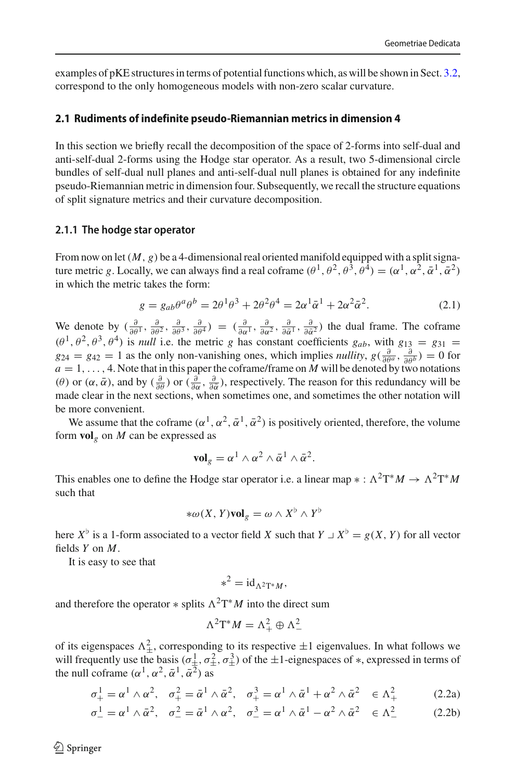examples of pKE structures in terms of potential functions which, as will be shown in Sect. [3.2,](#page-24-0) correspond to the only homogeneous models with non-zero scalar curvature.

#### <span id="page-5-0"></span>**2.1 Rudiments of indefinite pseudo-Riemannian metrics in dimension 4**

In this section we briefly recall the decomposition of the space of 2-forms into self-dual and anti-self-dual 2-forms using the Hodge star operator. As a result, two 5-dimensional circle bundles of self-dual null planes and anti-self-dual null planes is obtained for any indefinite pseudo-Riemannian metric in dimension four. Subsequently, we recall the structure equations of split signature metrics and their curvature decomposition.

#### <span id="page-5-1"></span>**2.1.1 The hodge star operator**

From now on let  $(M, g)$  be a 4-dimensional real oriented manifold equipped with a split signature metric *g*. Locally, we can always find a real coframe  $(\theta^1, \theta^2, \theta^3, \theta^4) = (\alpha^1, \alpha^2, \bar{\alpha}^1, \bar{\alpha}^2)$ in which the metric takes the form:

<span id="page-5-3"></span>
$$
g = g_{ab}\theta^a\theta^b = 2\theta^1\theta^3 + 2\theta^2\theta^4 = 2\alpha^1\bar{\alpha}^1 + 2\alpha^2\bar{\alpha}^2. \tag{2.1}
$$

We denote by  $\left(\frac{\partial}{\partial \theta^1}, \frac{\partial}{\partial \theta^2}, \frac{\partial}{\partial \theta^3}, \frac{\partial}{\partial \theta^4}\right) = \left(\frac{\partial}{\partial \alpha^1}, \frac{\partial}{\partial \alpha^2}, \frac{\partial}{\partial \overline{\alpha}^1}, \frac{\partial}{\partial \overline{\alpha}^2}\right)$  the dual frame. The coframe  $(\theta^1, \theta^2, \theta^3, \theta^4)$  is *null* i.e. the metric *g* has constant coefficients  $g_{ab}$ , with  $g_{13} = g_{31} =$  $g_{24} = g_{42} = 1$  as the only non-vanishing ones, which implies *nullity*,  $g\left(\frac{\partial}{\partial \theta^a}, \frac{\partial}{\partial \theta^b}\right) = 0$  for  $a = 1, \ldots, 4$ . Note that in this paper the coframe/frame on *M* will be denoted by two notations (θ) or  $(\alpha, \bar{\alpha})$ , and by  $(\frac{\partial}{\partial \alpha})$  or  $(\frac{\partial}{\partial \alpha}, \frac{\partial}{\partial \bar{\alpha}})$ , respectively. The reason for this redundancy will be made clear in the next sections, when sometimes one, and sometimes the other notation will be more convenient.

We assume that the coframe  $(\alpha^1, \alpha^2, \bar{\alpha}^1, \bar{\alpha}^2)$  is positively oriented, therefore, the volume form  $\text{vol}_g$  on *M* can be expressed as

$$
\mathbf{vol}_g = \alpha^1 \wedge \alpha^2 \wedge \bar{\alpha}^1 \wedge \bar{\alpha}^2.
$$

This enables one to define the Hodge star operator i.e. a linear map  $* : \Lambda^2 T^* M \to \Lambda^2 T^* M$ such that

$$
*\omega(X, Y)\mathbf{vol}_g = \omega \wedge X^{\flat} \wedge Y^{\flat}
$$

here  $X^{\flat}$  is a 1-form associated to a vector field *X* such that  $Y \perp X^{\flat} = g(X, Y)$  for all vector fields *Y* on *M*.

It is easy to see that

$$
*^2 = \mathrm{id}_{\Lambda^2 T^* M},
$$

and therefore the operator  $*$  splits  $\Lambda^2 T^*M$  into the direct sum

<span id="page-5-2"></span>
$$
\Lambda^2 \mathrm{T}^* M = \Lambda^2_+ \oplus \Lambda^2_-
$$

of its eigenspaces  $\Lambda^2_{\pm}$ , corresponding to its respective  $\pm 1$  eigenvalues. In what follows we will frequently use the basis  $(\sigma^1_{\pm}, \sigma^2_{\pm}, \sigma^3_{\pm})$  of the  $\pm 1$ -eignespaces of  $*$ , expressed in terms of the null coframe  $(\alpha^1, \alpha^2, \bar{\alpha}^1, \bar{\alpha}^2)$  as

$$
\sigma_+^1 = \alpha^1 \wedge \alpha^2, \quad \sigma_+^2 = \bar{\alpha}^1 \wedge \bar{\alpha}^2, \quad \sigma_+^3 = \alpha^1 \wedge \bar{\alpha}^1 + \alpha^2 \wedge \bar{\alpha}^2 \quad \in \Lambda_+^2 \tag{2.2a}
$$

$$
\sigma_-^1 = \alpha^1 \wedge \bar{\alpha}^2, \quad \sigma_-^2 = \bar{\alpha}^1 \wedge \alpha^2, \quad \sigma_-^3 = \alpha^1 \wedge \bar{\alpha}^1 - \alpha^2 \wedge \bar{\alpha}^2 \quad \in \Lambda_-^2 \tag{2.2b}
$$

 $\circledcirc$  Springer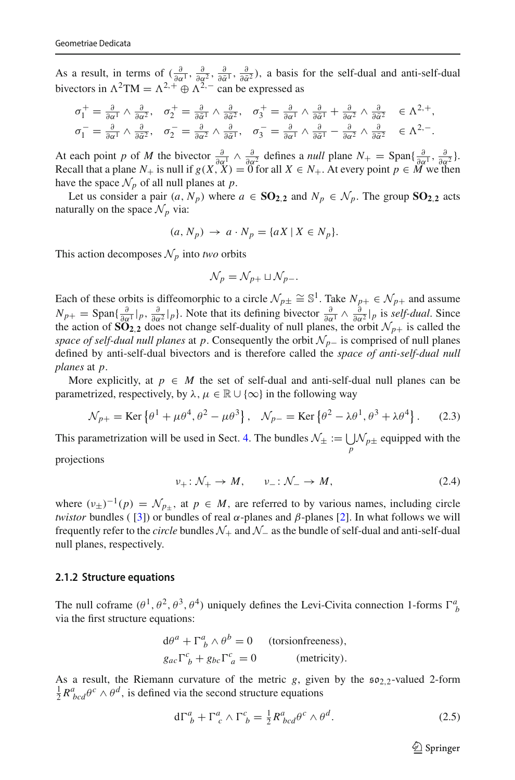As a result, in terms of  $\left(\frac{\partial}{\partial \alpha^1}, \frac{\partial}{\partial \alpha^2}, \frac{\partial}{\partial \alpha^1}, \frac{\partial}{\partial \alpha^2}\right)$ , a basis for the self-dual and anti-self-dual bivectors in  $\Lambda^2$ TM =  $\Lambda^{2,+}$   $\oplus$   $\Lambda^{2,-}$  can be expressed as

$$
\sigma_1^+ = \frac{\partial}{\partial \alpha^1} \wedge \frac{\partial}{\partial \alpha^2}, \quad \sigma_2^+ = \frac{\partial}{\partial \bar{\alpha}^1} \wedge \frac{\partial}{\partial \bar{\alpha}^2}, \quad \sigma_3^+ = \frac{\partial}{\partial \alpha^1} \wedge \frac{\partial}{\partial \bar{\alpha}^1} + \frac{\partial}{\partial \alpha^2} \wedge \frac{\partial}{\partial \bar{\alpha}^2} \in \Lambda^{2,+},
$$
  

$$
\sigma_1^- = \frac{\partial}{\partial \alpha^1} \wedge \frac{\partial}{\partial \bar{\alpha}^2}, \quad \sigma_2^- = \frac{\partial}{\partial \alpha^2} \wedge \frac{\partial}{\partial \bar{\alpha}^1}, \quad \sigma_3^- = \frac{\partial}{\partial \alpha^1} \wedge \frac{\partial}{\partial \bar{\alpha}^1} - \frac{\partial}{\partial \alpha^2} \wedge \frac{\partial}{\partial \bar{\alpha}^2} \in \Lambda^{2,-}.
$$

At each point *p* of *M* the bivector  $\frac{\partial}{\partial \alpha_1} \wedge \frac{\partial}{\partial \alpha_2^2}$  defines a *null* plane  $N_+ = \text{Span}\{\frac{\partial}{\partial \alpha_1}, \frac{\partial}{\partial \alpha_2^2}\}$ . Recall that a plane  $N_+$  is null if  $g(X, X) = 0$  for all  $X \in N_+$ . At every point  $p \in M$  we then have the space  $\mathcal{N}_p$  of all null planes at *p*.

Let us consider a pair  $(a, N_p)$  where  $a \in \mathbf{SO}_{2,2}$  and  $N_p \in \mathcal{N}_p$ . The group  $\mathbf{SO}_{2,2}$  acts naturally on the space  $\mathcal{N}_p$  via:

$$
(a, N_p) \rightarrow a \cdot N_p = \{aX \mid X \in N_p\}.
$$

This action decomposes  $\mathcal{N}_p$  into *two* orbits

$$
\mathcal{N}_p = \mathcal{N}_{p+} \sqcup \mathcal{N}_{p-}.
$$

Each of these orbits is diffeomorphic to a circle  $\mathcal{N}_{p\pm} \cong \mathbb{S}^1$ . Take  $N_{p+} \in \mathcal{N}_{p+}$  and assume  $N_{p+} = \text{Span}\{\frac{\partial}{\partial \alpha^1} |_{p}, \frac{\partial}{\partial \alpha^2} |_{p}\}.$  Note that its defining bivector  $\frac{\partial}{\partial \alpha^1} \wedge \frac{\partial}{\partial \alpha^2} |_{p}$  is *self-dual*. Since the action of  $\overrightarrow{SO_2}$ , does not change self-duality of null planes, the orbit  $\mathcal{N}_{p+}$  is called the *space of self-dual null planes* at *p*. Consequently the orbit *Np*<sup>−</sup> is comprised of null planes defined by anti-self-dual bivectors and is therefore called the *space of anti-self-dual null planes* at *p*.

More explicitly, at  $p \in M$  the set of self-dual and anti-self-dual null planes can be parametrized, respectively, by  $\lambda, \mu \in \mathbb{R} \cup \{\infty\}$  in the following way

<span id="page-6-2"></span>
$$
\mathcal{N}_{p+} = \text{Ker}\left\{\theta^1 + \mu\theta^4, \theta^2 - \mu\theta^3\right\}, \quad \mathcal{N}_{p-} = \text{Ker}\left\{\theta^2 - \lambda\theta^1, \theta^3 + \lambda\theta^4\right\}.
$$
 (2.3)

This parametrization will be used in Sect. [4.](#page-35-1) The bundles  $\mathcal{N}_{\pm} := \bigcup_{p} \mathcal{N}_{p\pm}$  equipped with the

projections

$$
\nu_+ : \mathcal{N}_+ \to M, \qquad \nu_- : \mathcal{N}_- \to M,\tag{2.4}
$$

where  $(\nu_{\pm})^{-1}(p) = \mathcal{N}_{p_{+}}$ , at  $p \in M$ , are referred to by various names, including circle *twistor* bundles ([\[3\]](#page-46-3)) or bundles of real  $\alpha$ -planes and  $\beta$ -planes [\[2\]](#page-46-4). In what follows we will frequently refer to the *circle* bundles *N*<sup>+</sup> and *N*<sup>−</sup> as the bundle of self-dual and anti-self-dual null planes, respectively.

#### <span id="page-6-0"></span>**2.1.2 Structure equations**

The null coframe  $(\theta^1, \theta^2, \theta^3, \theta^4)$  uniquely defines the Levi-Civita connection 1-forms  $\Gamma^a_{\ b}$ via the first structure equations:

$$
d\theta^{a} + \Gamma^{a}_{b} \wedge \theta^{b} = 0 \quad \text{(torsionfreeness)},
$$
  

$$
g_{ac} \Gamma^{c}_{b} + g_{bc} \Gamma^{c}_{a} = 0 \quad \text{(metricity)}.
$$

As a result, the Riemann curvature of the metric *g*, given by the  $\mathfrak{so}_{2,2}$ -valued 2-form  $\frac{1}{2}R^a_{bcd}\theta^c \wedge \theta^d$ , is defined via the second structure equations

<span id="page-6-1"></span>
$$
d\Gamma^a_{\ b} + \Gamma^a_{\ c} \wedge \Gamma^c_{\ b} = \frac{1}{2} R^a_{\ bcd} \theta^c \wedge \theta^d. \tag{2.5}
$$

 $\circled{2}$  Springer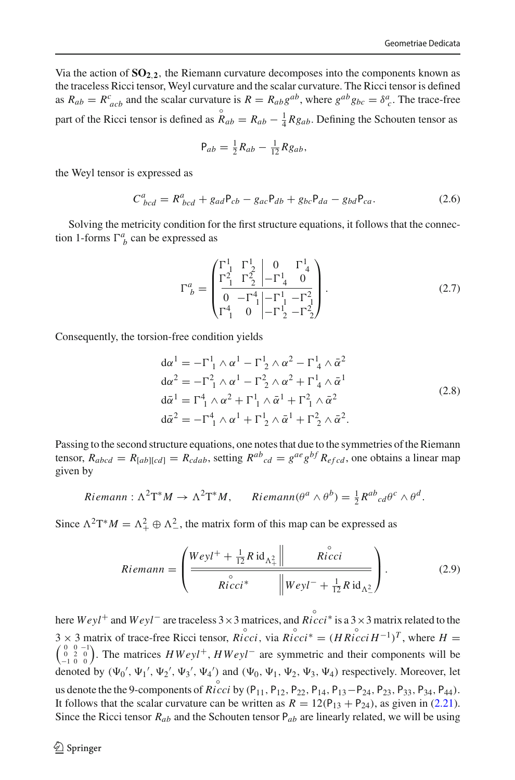Via the action of  $SO_{2,2}$ , the Riemann curvature decomposes into the components known as the traceless Ricci tensor, Weyl curvature and the scalar curvature. The Ricci tensor is defined as  $R_{ab} = R^c_{acb}$  and the scalar curvature is  $R = R_{ab}g^{ab}$ , where  $g^{ab}g_{bc} = \delta^a_c$ . The trace-free part of the Ricci tensor is defined as  $\mathring{R}_{ab} = R_{ab} - \frac{1}{4}Rg_{ab}$ . Defining the Schouten tensor as

$$
P_{ab} = \frac{1}{2}R_{ab} - \frac{1}{12}Rg_{ab},
$$

the Weyl tensor is expressed as

<span id="page-7-3"></span>
$$
C_{bcd}^a = R_{bcd}^a + g_{ad}P_{cb} - g_{ac}P_{db} + g_{bc}P_{da} - g_{bd}P_{ca}.
$$
 (2.6)

Solving the metricity condition for the first structure equations, it follows that the connection 1-forms  $\Gamma_b^a$  can be expressed as

<span id="page-7-1"></span>
$$
\Gamma^a_{\ b} = \begin{pmatrix}\n\Gamma^1_1 & \Gamma^1_2 & 0 & \Gamma^1_4 \\
\Gamma^2_1 & \Gamma^2_2 & -\Gamma^1_4 & 0 \\
0 & -\Gamma^4_1 & -\Gamma^1_1 & -\Gamma^2_2 \\
\Gamma^4_1 & 0 & -\Gamma^1_2 & -\Gamma^2_2\n\end{pmatrix} .
$$
\n(2.7)

Consequently, the torsion-free condition yields

<span id="page-7-0"></span>
$$
d\alpha^{1} = -\Gamma_{1}^{1} \wedge \alpha^{1} - \Gamma_{2}^{1} \wedge \alpha^{2} - \Gamma_{4}^{1} \wedge \bar{\alpha}^{2}
$$
  
\n
$$
d\alpha^{2} = -\Gamma_{1}^{2} \wedge \alpha^{1} - \Gamma_{2}^{2} \wedge \alpha^{2} + \Gamma_{4}^{1} \wedge \bar{\alpha}^{1}
$$
  
\n
$$
d\bar{\alpha}^{1} = \Gamma_{1}^{4} \wedge \alpha^{2} + \Gamma_{1}^{1} \wedge \bar{\alpha}^{1} + \Gamma_{1}^{2} \wedge \bar{\alpha}^{2}
$$
  
\n
$$
d\bar{\alpha}^{2} = -\Gamma_{1}^{4} \wedge \alpha^{1} + \Gamma_{2}^{1} \wedge \bar{\alpha}^{1} + \Gamma_{2}^{2} \wedge \bar{\alpha}^{2}.
$$
\n(2.8)

Passing to the second structure equations, one notes that due to the symmetries of the Riemann tensor,  $R_{abcd} = R_{[ab][cd]} = R_{cdab}$ , setting  $R^{ab}{}_{cd} = g^{ae}g^{bf}R_{efcd}$ , one obtains a linear map given by

Riemann: 
$$
\Lambda^2 T^* M \to \Lambda^2 T^* M
$$
, Riemann( $\theta^a \wedge \theta^b$ ) =  $\frac{1}{2} R^{ab}{}_{cd} \theta^c \wedge \theta^d$ .

Since  $\Lambda^2 T^* M = \Lambda^2_+ \oplus \Lambda^2_-$ , the matrix form of this map can be expressed as

<span id="page-7-2"></span>
$$
Riemann = \left(\frac{Weyl^{+} + \frac{1}{12}R \operatorname{id}_{\Lambda_{+}^{2}}||}{Ricci^{*}} \frac{Ricci}{\|Weyl^{-} + \frac{1}{12}R \operatorname{id}_{\Lambda_{-}^{2}}}\right).
$$
(2.9)

here  $Weyl^+$  and  $Weyl^-$  are traceless  $3 \times 3$  matrices, and  $Ricci^*$  is a  $3 \times 3$  matrix related to the  $3 \times 3$  matrix of trace-free Ricci tensor,  $\mathring{Ricci}$ , via  $\mathring{Ricci}^* = (HRicciH^{-1})^T$ 3 × 3 matrix of trace-free Ricci tensor, *Ricci*, via *Ricci*<sup>\*</sup> =  $(HRicciH^{-1})^T$ , where *H* =  $\begin{pmatrix} 0 & 0 & -1 \\ 0 & 2 & 0 \\ -1 & 0 & 0 \end{pmatrix}$ . The matrices *HWeyl<sup>+</sup>*, *HWeyl<sup>−</sup>* are symmetric and their components will be denoted by  $(\Psi_0', \Psi_1', \Psi_2', \Psi_3', \Psi_4')$  and  $(\Psi_0, \Psi_1, \Psi_2, \Psi_3, \Psi_4)$  respectively. Moreover, let us denote the the 9-components of *Ricci* by (P<sub>11</sub>, P<sub>12</sub>, P<sub>22</sub>, P<sub>14</sub>, P<sub>13</sub> – P<sub>24</sub>, P<sub>23</sub>, P<sub>34</sub>, P<sub>34</sub>, P<sub>44</sub>). It follows that the scalar curvature can be written as  $R = 12(P_{13} + P_{24})$ , as given in [\(2.21\)](#page-12-0). Since the Ricci tensor  $R_{ab}$  and the Schouten tensor  $P_{ab}$  are linearly related, we will be using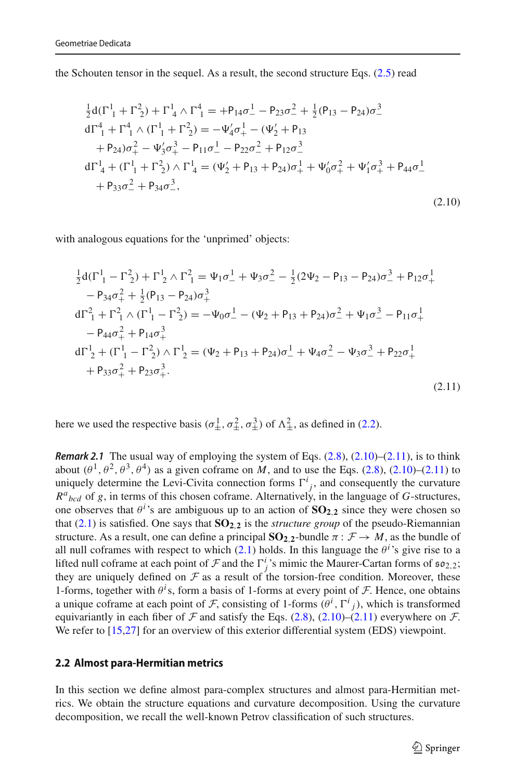the Schouten tensor in the sequel. As a result, the second structure Eqs.  $(2.5)$  read

<span id="page-8-1"></span>
$$
\frac{1}{2}d(\Gamma_{1}^{1} + \Gamma_{2}^{2}) + \Gamma_{4}^{1} \wedge \Gamma_{1}^{4} = +P_{14}\sigma_{-}^{1} - P_{23}\sigma_{-}^{2} + \frac{1}{2}(P_{13} - P_{24})\sigma_{-}^{3}
$$
\n
$$
d\Gamma_{1}^{4} + \Gamma_{1}^{4} \wedge (\Gamma_{1}^{1} + \Gamma_{2}^{2}) = -\Psi_{4}'\sigma_{+}^{1} - (\Psi_{2}' + P_{13} + P_{24})\sigma_{+}^{2} - \Psi_{3}'\sigma_{+}^{3} - P_{11}\sigma_{-}^{1} - P_{22}\sigma_{-}^{2} + P_{12}\sigma_{-}^{3}
$$
\n
$$
d\Gamma_{4}^{1} + (\Gamma_{1}^{1} + \Gamma_{2}^{2}) \wedge \Gamma_{4}^{1} = (\Psi_{2}' + P_{13} + P_{24})\sigma_{+}^{1} + \Psi_{0}'\sigma_{+}^{2} + \Psi_{1}'\sigma_{+}^{3} + P_{44}\sigma_{-}^{1}
$$
\n
$$
+ P_{33}\sigma_{-}^{2} + P_{34}\sigma_{-}^{3},
$$
\n(2.10)

with analogous equations for the 'unprimed' objects:

<span id="page-8-2"></span>
$$
\frac{1}{2}d(\Gamma_{1}^{1} - \Gamma_{2}^{2}) + \Gamma_{2}^{1} \wedge \Gamma_{1}^{2} = \Psi_{1}\sigma_{-}^{1} + \Psi_{3}\sigma_{-}^{2} - \frac{1}{2}(2\Psi_{2} - P_{13} - P_{24})\sigma_{-}^{3} + P_{12}\sigma_{+}^{1} \n- P_{34}\sigma_{+}^{2} + \frac{1}{2}(P_{13} - P_{24})\sigma_{+}^{3} \nd\Gamma_{1}^{2} + \Gamma_{1}^{2} \wedge (\Gamma_{1}^{1} - \Gamma_{2}^{2}) = -\Psi_{0}\sigma_{-}^{1} - (\Psi_{2} + P_{13} + P_{24})\sigma_{-}^{2} + \Psi_{1}\sigma_{-}^{3} - P_{11}\sigma_{+}^{1} \n- P_{44}\sigma_{+}^{2} + P_{14}\sigma_{+}^{3} \nd\Gamma_{2}^{1} + (\Gamma_{1}^{1} - \Gamma_{2}^{2}) \wedge \Gamma_{2}^{1} = (\Psi_{2} + P_{13} + P_{24})\sigma_{-}^{1} + \Psi_{4}\sigma_{-}^{2} - \Psi_{3}\sigma_{-}^{3} + P_{22}\sigma_{+}^{1} \n+ P_{33}\sigma_{+}^{2} + P_{23}\sigma_{+}^{3}.
$$
\n(2.11)

<span id="page-8-3"></span>here we used the respective basis  $(\sigma^1_\pm, \sigma^2_\pm, \sigma^3_\pm)$  of  $\Lambda^2_\pm$ , as defined in [\(2.2\)](#page-5-2).

*Remark 2.1* The usual way of employing the system of Eqs.  $(2.8)$ ,  $(2.10)$ – $(2.11)$ , is to think about  $(\theta^1, \theta^2, \theta^3, \theta^4)$  as a given coframe on *M*, and to use the Eqs. [\(2.8\)](#page-7-0), [\(2.10\)](#page-8-1)–[\(2.11\)](#page-8-2) to uniquely determine the Levi-Civita connection forms  $\Gamma^i_j$ , and consequently the curvature  $R^a{}_{bcd}$  of *g*, in terms of this chosen coframe. Alternatively, in the language of *G*-structures, one observes that  $\theta$ <sup>*i*</sup>'s are ambiguous up to an action of  $SO_{2,2}$  since they were chosen so that  $(2.1)$  is satisfied. One says that  $SO_{2,2}$  is the *structure group* of the pseudo-Riemannian structure. As a result, one can define a principal  $SO_{2,2}$ -bundle  $\pi : \mathcal{F} \to M$ , as the bundle of all null coframes with respect to which  $(2.1)$  holds. In this language the  $\theta^i$ 's give rise to a lifted null coframe at each point of *F* and the  $\Gamma^i_j$ 's mimic the Maurer-Cartan forms of  $\mathfrak{so}_{2,2}$ ;<br>they are uniquely defined on  $\mathcal F$  as a result of the torsion-free condition. Moreover, these they are uniquely defined on  $F$  as a result of the torsion-free condition. Moreover, these 1-forms, together with  $\theta^i$ s, form a basis of 1-forms at every point of *F*. Hence, one obtains a unique coframe at each point of *F*, consisting of 1-forms  $(\theta^i, \Gamma^i)$ , which is transformed equivariantly in each fiber of  $\mathcal F$  and satisfy the Eqs. [\(2.8\)](#page-7-0), [\(2.10\)](#page-8-1)–[\(2.11\)](#page-8-2) everywhere on  $\mathcal F$ . We refer to [\[15](#page-47-5)[,27](#page-47-6)] for an overview of this exterior differential system (EDS) viewpoint.

#### <span id="page-8-0"></span>**2.2 Almost para-Hermitian metrics**

In this section we define almost para-complex structures and almost para-Hermitian metrics. We obtain the structure equations and curvature decomposition. Using the curvature decomposition, we recall the well-known Petrov classification of such structures.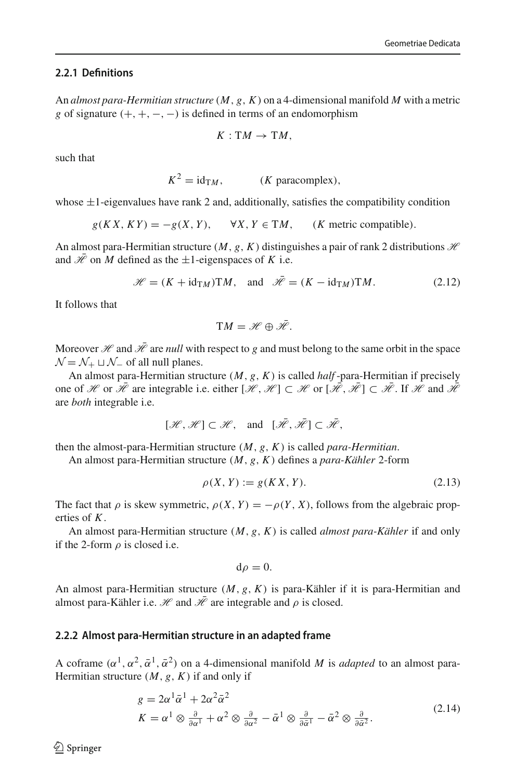### <span id="page-9-0"></span>**2.2.1 Definitions**

An *almost para-Hermitian structure* (*M*, *g*, *K*) on a 4-dimensional manifold *M* with a metric *g* of signature  $(+, +, -, -)$  is defined in terms of an endomorphism

$$
K: \mathrm{T}M \to \mathrm{T}M,
$$

such that

 $K^2 = id_{TM}$ , (*K* paracomplex),

whose  $\pm 1$ -eigenvalues have rank 2 and, additionally, satisfies the compatibility condition

 $g(KX, KY) = -g(X, Y), \quad \forall X, Y \in TM, \quad (K \text{ metric compatible}).$ 

An almost para-Hermitian structure  $(M, g, K)$  distinguishes a pair of rank 2 distributions  $H$ and  $\mathcal{H}$  on *M* defined as the  $\pm 1$ -eigenspaces of *K* i.e.

<span id="page-9-4"></span>
$$
\mathcal{H} = (K + id_{TM})TM, \text{ and } \mathcal{H} = (K - id_{TM})TM.
$$
 (2.12)

It follows that

$$
TM=\mathscr{H}\oplus\bar{\mathscr{H}}.
$$

Moreover  $\mathcal H$  and  $\bar{\mathcal H}$  are *null* with respect to g and must belong to the same orbit in the space  $\mathcal{N} = \mathcal{N}_+ \sqcup \mathcal{N}_-$  of all null planes.

An almost para-Hermitian structure (*M*, *g*, *K*) is called *half* -para-Hermitian if precisely one of *H* or  $\overline{\mathcal{H}}$  are integrable i.e. either  $[\mathcal{H}, \mathcal{H}] \subset \mathcal{H}$  or  $[\overline{\mathcal{H}}, \overline{\mathcal{H}}] \subset \overline{\mathcal{H}}$ . If  $\mathcal{H}$  and  $\overline{\mathcal{H}}$ are *both* integrable i.e.

$$
[\mathcal{H},\mathcal{H}] \subset \mathcal{H}, \quad \text{and} \quad [\bar{\mathcal{H}},\bar{\mathcal{H}}] \subset \bar{\mathcal{H}},
$$

then the almost-para-Hermitian structure (*M*, *g*, *K*) is called *para-Hermitian*.

An almost para-Hermitian structure (*M*, *g*, *K*) defines a *para-Kähler* 2-form

<span id="page-9-3"></span>
$$
\rho(X, Y) := g(KX, Y). \tag{2.13}
$$

The fact that  $\rho$  is skew symmetric,  $\rho(X, Y) = -\rho(Y, X)$ , follows from the algebraic properties of *K*.

An almost para-Hermitian structure (*M*, *g*, *K*) is called *almost para-Kähler* if and only if the 2-form  $\rho$  is closed i.e.

$$
\mathrm{d}\rho=0.
$$

An almost para-Hermitian structure (*M*, *g*, *K*) is para-Kähler if it is para-Hermitian and almost para-Kähler i.e.  $\mathcal H$  and  $\bar{\mathcal H}$  are integrable and  $\rho$  is closed.

## <span id="page-9-1"></span>**2.2.2 Almost para-Hermitian structure in an adapted frame**

A coframe  $(\alpha^1, \alpha^2, \bar{\alpha}^1, \bar{\alpha}^2)$  on a 4-dimensional manifold *M* is *adapted* to an almost para-Hermitian structure  $(M, g, K)$  if and only if

<span id="page-9-2"></span>
$$
g = 2\alpha^{1}\bar{\alpha}^{1} + 2\alpha^{2}\bar{\alpha}^{2}
$$
  
\n
$$
K = \alpha^{1} \otimes \frac{\partial}{\partial \alpha^{1}} + \alpha^{2} \otimes \frac{\partial}{\partial \alpha^{2}} - \bar{\alpha}^{1} \otimes \frac{\partial}{\partial \bar{\alpha}^{1}} - \bar{\alpha}^{2} \otimes \frac{\partial}{\partial \bar{\alpha}^{2}}.
$$
\n(2.14)

 $\circledcirc$  Springer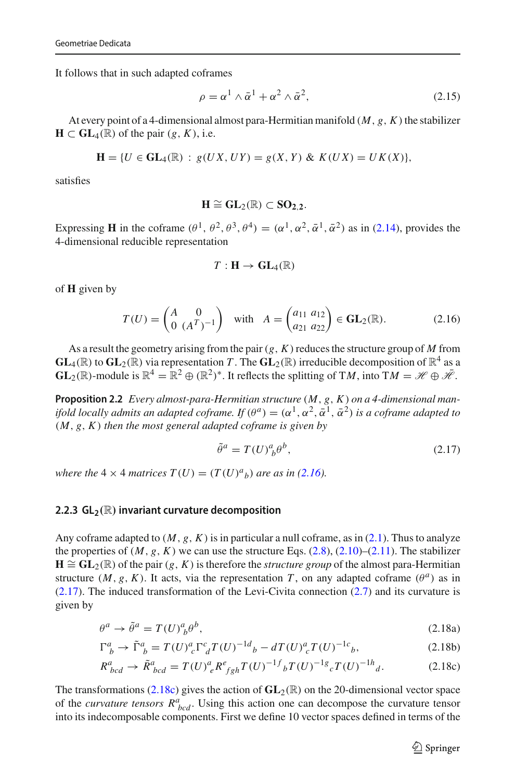It follows that in such adapted coframes

<span id="page-10-6"></span>
$$
\rho = \alpha^1 \wedge \bar{\alpha}^1 + \alpha^2 \wedge \bar{\alpha}^2, \tag{2.15}
$$

At every point of a 4-dimensional almost para-Hermitian manifold  $(M, g, K)$  the stabilizer  $H \subset GL_4(\mathbb{R})$  of the pair  $(g, K)$ , i.e.

$$
\mathbf{H} = \{ U \in \mathbf{GL}_4(\mathbb{R}) : g(UX, UY) = g(X, Y) \& K(UX) = UK(X) \},
$$

satisfies

$$
H\cong GL_2(\mathbb{R})\subset SO_{2,2}.
$$

Expressing **H** in the coframe  $(\theta^1, \theta^2, \theta^3, \theta^4) = (\alpha^1, \alpha^2, \bar{\alpha}^1, \bar{\alpha}^2)$  as in [\(2.14\)](#page-9-2), provides the 4-dimensional reducible representation

$$
T:\mathbf{H}\to\mathbf{GL}_4(\mathbb{R})
$$

of **H** given by

<span id="page-10-1"></span>
$$
T(U) = \begin{pmatrix} A & 0 \\ 0 & (A^T)^{-1} \end{pmatrix} \text{ with } A = \begin{pmatrix} a_{11} & a_{12} \\ a_{21} & a_{22} \end{pmatrix} \in \mathbf{GL}_2(\mathbb{R}).
$$
 (2.16)

As a result the geometry arising from the pair  $(g, K)$  reduces the structure group of M from  $GL_4(\mathbb{R})$  to  $GL_2(\mathbb{R})$  via representation *T*. The  $GL_2(\mathbb{R})$  irreducible decomposition of  $\mathbb{R}^4$  as a **GL**<sub>2</sub>( $\mathbb{R}$ )-module is  $\mathbb{R}^4 = \mathbb{R}^2 \oplus (\mathbb{R}^2)^*$ . It reflects the splitting of T*M*, into T*M* =  $\mathcal{H} \oplus \bar{\mathcal{H}}$ .

**Proposition 2.2** *Every almost-para-Hermitian structure* (*M*, *g*, *K*) *on a 4-dimensional manifold locally admits an adapted coframe. If*  $(\theta^a) = (\alpha^1, \alpha^2, \bar{\alpha}^1, \bar{\alpha}^2)$  *is a coframe adapted to* (*M*, *g*, *K*) *then the most general adapted coframe is given by*

<span id="page-10-4"></span><span id="page-10-3"></span><span id="page-10-2"></span>
$$
\tilde{\theta}^a = T(U)^a_{\ b} \theta^b,\tag{2.17}
$$

*where the*  $4 \times 4$  *matrices*  $T(U) = (T(U)^a)_b$  *are as in* [\(2.16\)](#page-10-1)*.* 

#### <span id="page-10-0"></span>**2.2.3 GL<sub>2</sub>**( $\mathbb{R}$ ) invariant curvature decomposition

Any coframe adapted to  $(M, g, K)$  is in particular a null coframe, as in  $(2.1)$ . Thus to analyze the properties of  $(M, g, K)$  we can use the structure Eqs.  $(2.8)$ ,  $(2.10)$ – $(2.11)$ . The stabilizer  $H \cong GL_2(\mathbb{R})$  of the pair  $(g, K)$  is therefore the *structure group* of the almost para-Hermitian structure  $(M, g, K)$ . It acts, via the representation *T*, on any adapted coframe  $(\theta^a)$  as in [\(2.17\)](#page-10-2). The induced transformation of the Levi-Civita connection [\(2.7\)](#page-7-1) and its curvature is given by

<span id="page-10-5"></span>
$$
\theta^a \to \tilde{\theta}^a = T(U)^a{}_b \theta^b,\tag{2.18a}
$$

$$
\Gamma^a_{\ b} \to \tilde{\Gamma}^a_{\ b} = T(U)^a_{\ c} \Gamma^c_{\ d} T(U)^{-1d}{}_{b} - dT(U)^a_{\ c} T(U)^{-1c}{}_{b},\tag{2.18b}
$$

$$
R^{a}_{bcd} \to \tilde{R}^{a}_{bcd} = T(U)^{a}_{e} R^{e}_{fgh} T(U)^{-1}{}^{f}_{b} T(U)^{-1}{}^{g}_{c} T(U)^{-1}{}^{h}_{d}.
$$
 (2.18c)

The transformations [\(2.18c\)](#page-10-3) gives the action of  $GL_2(\mathbb{R})$  on the 20-dimensional vector space of the *curvature tensors*  $R^a_{bcd}$ . Using this action one can decompose the curvature tensor into its indecomposable components. First we define 10 vector spaces defined in terms of the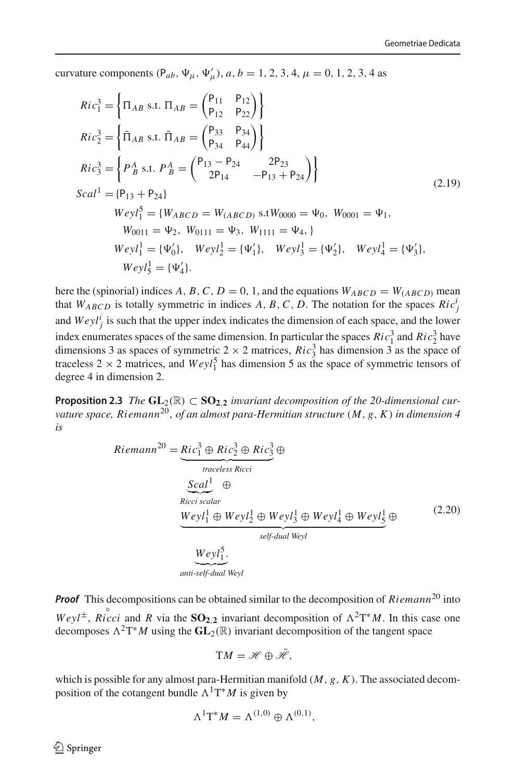curvature components  $(P_{ab}, \Psi_{\mu}, \Psi'_{\mu}), a, b = 1, 2, 3, 4, \mu = 0, 1, 2, 3, 4$  as

<span id="page-11-1"></span>
$$
Ric_1^3 = \left\{ \Pi_{AB} \text{ s.t. } \Pi_{AB} = \begin{pmatrix} P_{11} & P_{12} \\ P_{12} & P_{22} \end{pmatrix} \right\}
$$
  
\n
$$
Ric_2^3 = \left\{ \bar{\Pi}_{AB} \text{ s.t. } \bar{\Pi}_{AB} = \begin{pmatrix} P_{33} & P_{34} \\ P_{34} & P_{44} \end{pmatrix} \right\}
$$
  
\n
$$
Ric_3^3 = \left\{ P_B^A \text{ s.t. } P_B^A = \begin{pmatrix} P_{13} - P_{24} & 2P_{23} \\ 2P_{14} & -P_{13} + P_{24} \end{pmatrix} \right\}
$$
  
\n
$$
Scal^1 = \{P_{13} + P_{24}\}
$$
  
\n
$$
Weyl_1^5 = \{W_{ABCD} = W_{(ABCD)} \text{ s.t } W_{0000} = \Psi_0, W_{0001} = \Psi_1,
$$
  
\n
$$
W_{0011} = \Psi_2, W_{0111} = \Psi_3, W_{1111} = \Psi_4, \}
$$
  
\n
$$
Weyl_1^1 = \{\Psi_0', Weyl_2^1 = \{\Psi_1'\}, Weyl_3^1 = \{\Psi_2'\}, Weyl_4^1 = \{\Psi_3'\},
$$
  
\n
$$
Weyl_5^1 = \{\Psi_4'\}.
$$
  
\n(2.19)

here the (spinorial) indices A, B, C,  $D = 0$ , 1, and the equations  $W_{ABCD} = W_{(ABCD)}$  mean that  $W_{ABCD}$  is totally symmetric in indices A, B, C, D. The notation for the spaces  $Ric_j^j$ and  $Weyl_j^i$  is such that the upper index indicates the dimension of each space, and the lower index enumerates spaces of the same dimension. In particular the spaces  $Ric_1^3$  and  $Ric_2^3$  have dimensions 3 as spaces of symmetric  $2 \times 2$  matrices,  $Ric_3^3$  has dimension 3 as the space of traceless  $2 \times 2$  matrices, and  $Weyl_1^5$  has dimension 5 as the space of symmetric tensors of degree 4 in dimension 2.

**Proposition 2.3** *The*  $GL_2(\mathbb{R}) \subset SO_{2,2}$  *invariant decomposition of the 20-dimensional curvature space, Riemann*20, *of an almost para-Hermitian structure* (*M*, *g*, *K*) *in dimension 4 is*

<span id="page-11-0"></span>
$$
Riemann^{20} = \underbrace{Ric_1^3 \oplus Ric_2^3 \oplus Ric_3^2 \oplus Ric_3^3}_{traceless Ricci}
$$
\n
$$
\underbrace{Scal^1}_{Ricci scalar}
$$
\n
$$
\underbrace{Weyl_1^1 \oplus Weyl_2^1 \oplus Weyl_3^1 \oplus Weyl_4^1 \oplus Weyl_5^1}_{self-dual Weyl}
$$
\n
$$
\underbrace{Weyl_1^5}_{anti-self-dual Weyl}
$$
\n(2.20)

*Proof* This decompositions can be obtained similar to the decomposition of *Riemann*<sup>20</sup> into  $Weyl^{\pm}$ , *Ricci* and *R* via the **SO<sub>2,2</sub>** invariant decomposition of  $\Lambda^2T^*M$ . In this case one decomposes  $\Lambda^2 T^*M$  using the  $GL_2(\mathbb{R})$  invariant decomposition of the tangent space

$$
TM=\mathscr{H}\oplus\bar{\mathscr{H}},
$$

which is possible for any almost para-Hermitian manifold (*M*, *g*, *K*). The associated decomposition of the cotangent bundle  $\Lambda^1 T^*M$  is given by

$$
\Lambda^1\mathrm{T}^*M=\Lambda^{(1,0)}\oplus\Lambda^{(0,1)},
$$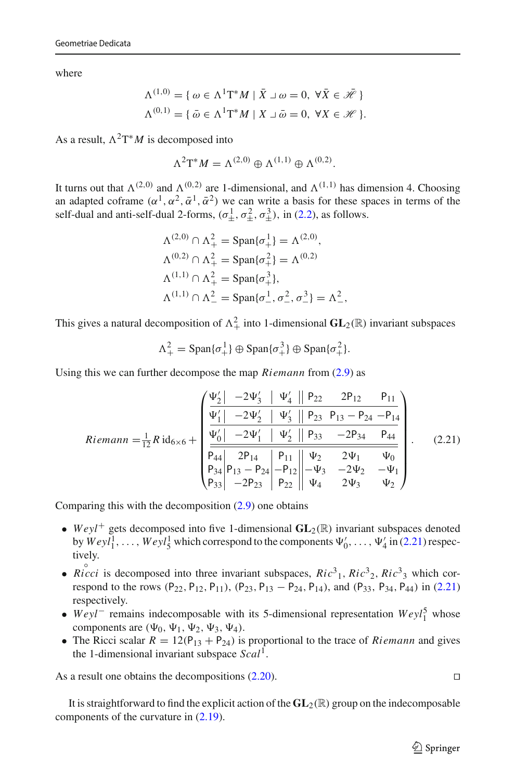where

$$
\Lambda^{(1,0)} = \{ \omega \in \Lambda^1 \mathcal{T}^* M \mid \bar{X} \cup \omega = 0, \ \forall \bar{X} \in \bar{\mathcal{H}} \}
$$

$$
\Lambda^{(0,1)} = \{ \bar{\omega} \in \Lambda^1 \mathcal{T}^* M \mid X \cup \bar{\omega} = 0, \ \forall X \in \mathcal{H} \}.
$$

As a result,  $\Lambda^2 T^*M$  is decomposed into

$$
\Lambda^2 \mathrm{T}^* M = \Lambda^{(2,0)} \oplus \Lambda^{(1,1)} \oplus \Lambda^{(0,2)}.
$$

It turns out that  $\Lambda^{(2,0)}$  and  $\Lambda^{(0,2)}$  are 1-dimensional, and  $\Lambda^{(1,1)}$  has dimension 4. Choosing an adapted coframe  $(\alpha^1, \alpha^2, \bar{\alpha}^1, \bar{\alpha}^2)$  we can write a basis for these spaces in terms of the self-dual and anti-self-dual 2-forms,  $(\sigma_{\pm}^1, \sigma_{\pm}^2, \sigma_{\pm}^3)$ , in [\(2.2\)](#page-5-2), as follows.

$$
\Lambda^{(2,0)} \cap \Lambda^2_+ = \text{Span}\{\sigma^1_+\} = \Lambda^{(2,0)},
$$
  
\n
$$
\Lambda^{(0,2)} \cap \Lambda^2_+ = \text{Span}\{\sigma^2_+\} = \Lambda^{(0,2)}
$$
  
\n
$$
\Lambda^{(1,1)} \cap \Lambda^2_+ = \text{Span}\{\sigma^3_+\},
$$
  
\n
$$
\Lambda^{(1,1)} \cap \Lambda^2_- = \text{Span}\{\sigma^1_-, \sigma^2_-, \sigma^3_-\} = \Lambda^2_-,
$$

This gives a natural decomposition of  $\Lambda^2_+$  into 1-dimensional  $GL_2(\mathbb{R})$  invariant subspaces

$$
\Lambda^2_+ = \mathrm{Span}\{\sigma^1_+\} \oplus \mathrm{Span}\{\sigma^3_+\} \oplus \mathrm{Span}\{\sigma^2_+\}.
$$

Using this we can further decompose the map *Riemann* from [\(2.9\)](#page-7-2) as

<span id="page-12-0"></span>
$$
Riemann = \frac{1}{12} R \operatorname{id}_{6\times6} + \begin{pmatrix} \frac{\Psi_2'}{1} & -2\Psi_3' & \Psi_4' & \|\ P_{22} & 2P_{12} & P_{11} \\ \frac{\Psi_1'}{1} & -2\Psi_2' & \Psi_3' & \|\ P_{23} & P_{13} - P_{24} & -P_{14} \\ \frac{\Psi_0'}{1} & -2\Psi_1' & \Psi_2' & \|\ P_{33} & -2P_{34} & P_{44} \\ \frac{\Psi_0'}{P_{44}} & 2P_{14} & P_{11} & \|\Psi_2 & 2\Psi_1 & \Psi_0 \\ P_{34} & P_{13} - P_{24} & -P_{12} & -\Psi_3 & -2\Psi_2 & -\Psi_1 \\ P_{33} & -2P_{23} & P_{22} & \|\Psi_4 & 2\Psi_3 & \Psi_2 \end{pmatrix}.
$$
 (2.21)

Comparing this with the decomposition [\(2.9\)](#page-7-2) one obtains

- *Weyl*<sup>+</sup> gets decomposed into five 1-dimensional  $GL_2(\mathbb{R})$  invariant subspaces denoted by  $Weyl_1^1, \ldots, Weyl_5^1$  which correspond to the components  $\Psi'_0, \ldots, \Psi'_4$  in [\(2.21\)](#page-12-0) respectively.
- $Ricci$  is decomposed into three invariant subspaces,  $Ric<sup>3</sup>$ <sub>1</sub>,  $Ric<sup>3</sup>$ <sub>2</sub>,  $Ric<sup>3</sup>$ <sub>3</sub> which cor-respond to the rows (P<sub>22</sub>, P<sub>12</sub>, P<sub>11</sub>), (P<sub>23</sub>, P<sub>13</sub> – P<sub>24</sub>, P<sub>14</sub>), and (P<sub>33</sub>, P<sub>34</sub>, P<sub>44</sub>) in [\(2.21\)](#page-12-0) respectively.
- *Weyl*<sup>−</sup> remains indecomposable with its 5-dimensional representation *Weyl*<sup>5</sup><sub>1</sub> whose components are  $(\Psi_0, \Psi_1, \Psi_2, \Psi_3, \Psi_4)$ .
- The Ricci scalar  $R = 12(P_{13} + P_{24})$  is proportional to the trace of *Riemann* and gives the 1-dimensional invariant subspace *Scal*1.

As a result one obtains the decompositions  $(2.20)$ .

It is straightforward to find the explicit action of the **GL**2(R) group on the indecomposable components of the curvature in [\(2.19\)](#page-11-1).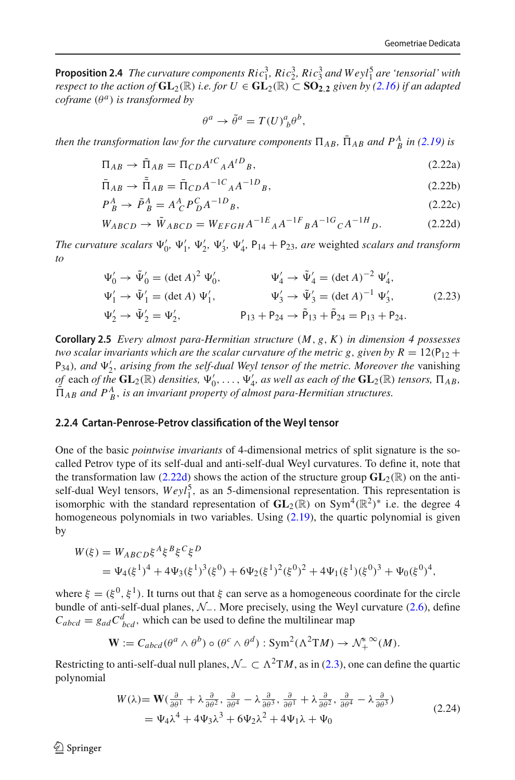**Proposition 2.4** *The curvature components Ric*<sup>3</sup><sub>1</sub>, *Ric*<sup>3</sup><sub>2</sub>, *Ric*<sup>3</sup><sub>3</sub> *and Weyl*<sup>5</sup><sub>1</sub> *are 'tensorial' with respect to the action of*  $GL_2(\mathbb{R})$  *i.e. for*  $U \in GL_2(\mathbb{R}) \subset SO_{2,2}$  *given by [\(2.16\)](#page-10-1) if an adapted coframe*  $(\theta^a)$  *is transformed by* 

<span id="page-13-1"></span>
$$
\theta^a \to \tilde{\theta}^a = T(U)^a_{\ b} \theta^b,
$$

*then the transformation law for the curvature components*  $\Pi_{AB}$ ,  $\Pi_{AB}$  *and*  $P^A_{\ B}$  *in* [\(2.19\)](#page-11-1) *is* 

$$
\Pi_{AB} \to \tilde{\Pi}_{AB} = \Pi_{CD} A^{tC}{}_A A^{tD}{}_B,\tag{2.22a}
$$

$$
\overline{\Pi}_{AB} \to \overline{\widetilde{\Pi}}_{AB} = \overline{\Pi}_{CD} A^{-1}{}^{C}{}_{A} A^{-1}{}^{D}{}_{B},\tag{2.22b}
$$

$$
P^A_B \to \tilde{P}^A_B = A^A_C P^C_D A^{-1D}{}_B,\tag{2.22c}
$$

$$
W_{ABCD} \to \tilde{W}_{ABCD} = W_{EFGH} A^{-1E}{}_A A^{-1F}{}_B A^{-1G}{}_C A^{-1H}{}_D. \tag{2.22d}
$$

*The curvature scalars*  $\Psi'_0$ ,  $\Psi'_1$ ,  $\Psi'_2$ ,  $\Psi'_3$ ,  $\Psi'_4$ ,  $P_{14} + P_{23}$ , are weighted *scalars and transform to*

<span id="page-13-3"></span>
$$
\Psi'_0 \to \tilde{\Psi}'_0 = (\det A)^2 \Psi'_0, \qquad \Psi'_4 \to \tilde{\Psi}'_4 = (\det A)^{-2} \Psi'_4, \n\Psi'_1 \to \tilde{\Psi}'_1 = (\det A) \Psi'_1, \qquad \Psi'_3 \to \tilde{\Psi}'_3 = (\det A)^{-1} \Psi'_3, \n\Psi'_2 \to \tilde{\Psi}'_2 = \Psi'_2, \qquad \qquad \mathsf{P}_{13} + \mathsf{P}_{24} \to \tilde{\mathsf{P}}_{13} + \tilde{\mathsf{P}}_{24} = \mathsf{P}_{13} + \mathsf{P}_{24}.
$$
\n(2.23)

**Corollary 2.5** *Every almost para-Hermitian structure* (*M*, *g*, *K*) *in dimension 4 possesses two scalar invariants which are the scalar curvature of the metric g, given by R* =  $12(P_{12} +$ P<sub>34</sub>), and  $\Psi'_2$ , arising from the self-dual Weyl tensor of the metric. Moreover the vanishing  $\phi$ <sup>*f*</sup> each *of the*  $GL_2(\mathbb{R})$  *densities,*  $\Psi'_0, \ldots, \Psi'_4$ *, as well as each of the*  $GL_2(\mathbb{R})$  *tensors,*  $\Pi_{AB}$ *,*  $\bar{\Pi}_{AB}$  and  $P^A_{B}$ , *is an invariant property of almost para-Hermitian structures.* 

#### <span id="page-13-0"></span>**2.2.4 Cartan-Penrose-Petrov classification of the Weyl tensor**

One of the basic *pointwise invariants* of 4-dimensional metrics of split signature is the socalled Petrov type of its self-dual and anti-self-dual Weyl curvatures. To define it, note that the transformation law [\(2.22d\)](#page-13-1) shows the action of the structure group  $GL_2(\mathbb{R})$  on the antiself-dual Weyl tensors,  $Weyl_1^5$ , as an 5-dimensional representation. This representation is isomorphic with the standard representation of **GL**2(R) on Sym4(R2)<sup>∗</sup> i.e. the degree 4 homogeneous polynomials in two variables. Using  $(2.19)$ , the quartic polynomial is given by

$$
W(\xi) = W_{ABCD}\xi^{A}\xi^{B}\xi^{C}\xi^{D}
$$
  
=  $\Psi_{4}(\xi^{1})^{4} + 4\Psi_{3}(\xi^{1})^{3}(\xi^{0}) + 6\Psi_{2}(\xi^{1})^{2}(\xi^{0})^{2} + 4\Psi_{1}(\xi^{1})(\xi^{0})^{3} + \Psi_{0}(\xi^{0})^{4},$ 

where  $\xi = (\xi^0, \xi^1)$ . It turns out that  $\xi$  can serve as a homogeneous coordinate for the circle bundle of anti-self-dual planes, *N*−. More precisely, using the Weyl curvature [\(2.6\)](#page-7-3), define  $C_{abcd} = g_{ad}C_{bcd}^d$ , which can be used to define the multilinear map

$$
\mathbf{W} := C_{abcd}(\theta^a \wedge \theta^b) \circ (\theta^c \wedge \theta^d) : \mathrm{Sym}^2(\Lambda^2 \mathrm{T}M) \to \mathcal{N}_+^*^{\infty}(M).
$$

Restricting to anti-self-dual null planes,  $\mathcal{N}_- \subset \Lambda^2 TM$ , as in [\(2.3\)](#page-6-2), one can define the quartic polynomial

<span id="page-13-2"></span>
$$
W(\lambda) = \mathbf{W}(\frac{\partial}{\partial \theta^1} + \lambda \frac{\partial}{\partial \theta^2}, \frac{\partial}{\partial \theta^4} - \lambda \frac{\partial}{\partial \theta^3}, \frac{\partial}{\partial \theta^1} + \lambda \frac{\partial}{\partial \theta^2}, \frac{\partial}{\partial \theta^4} - \lambda \frac{\partial}{\partial \theta^3})
$$
  
=  $\Psi_4 \lambda^4 + 4\Psi_3 \lambda^3 + 6\Psi_2 \lambda^2 + 4\Psi_1 \lambda + \Psi_0$  (2.24)

 $\circledcirc$  Springer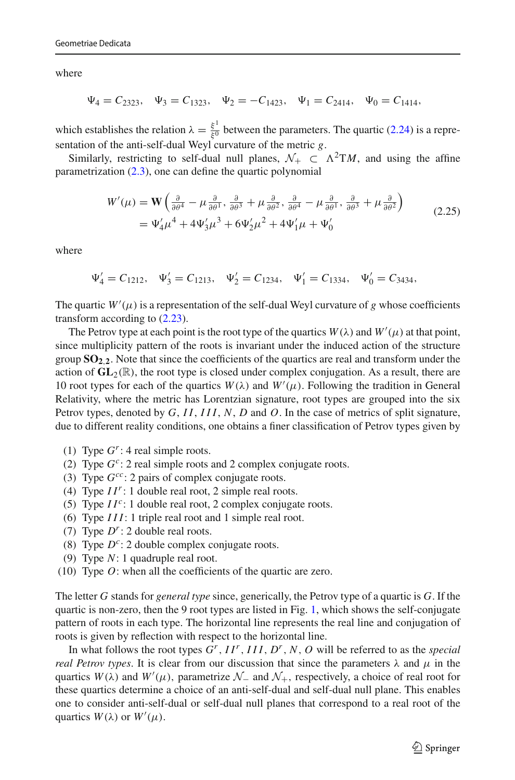where

$$
\Psi_4 = C_{2323}, \quad \Psi_3 = C_{1323}, \quad \Psi_2 = -C_{1423}, \quad \Psi_1 = C_{2414}, \quad \Psi_0 = C_{1414},
$$

which establishes the relation  $\lambda = \frac{\xi^1}{\xi^0}$  between the parameters. The quartic [\(2.24\)](#page-13-2) is a representation of the anti-self-dual Weyl curvature of the metric *g*.

Similarly, restricting to self-dual null planes,  $\mathcal{N}_+ \subset \Lambda^2 TM$ , and using the affine parametrization [\(2.3\)](#page-6-2), one can define the quartic polynomial

$$
W'(\mu) = \mathbf{W} \left( \frac{\partial}{\partial \theta^4} - \mu \frac{\partial}{\partial \theta^1}, \frac{\partial}{\partial \theta^3} + \mu \frac{\partial}{\partial \theta^2}, \frac{\partial}{\partial \theta^4} - \mu \frac{\partial}{\partial \theta^1}, \frac{\partial}{\partial \theta^3} + \mu \frac{\partial}{\partial \theta^2} \right)
$$
  
=  $\Psi_4' \mu^4 + 4\Psi_3' \mu^3 + 6\Psi_2' \mu^2 + 4\Psi_1' \mu + \Psi_0'$  (2.25)

where

$$
\Psi'_4 = C_{1212}, \quad \Psi'_3 = C_{1213}, \quad \Psi'_2 = C_{1234}, \quad \Psi'_1 = C_{1334}, \quad \Psi'_0 = C_{3434},
$$

The quartic  $W'(\mu)$  is a representation of the self-dual Weyl curvature of *g* whose coefficients transform according to [\(2.23\)](#page-13-3).

The Petrov type at each point is the root type of the quartics  $W(\lambda)$  and  $W'(\mu)$  at that point, since multiplicity pattern of the roots is invariant under the induced action of the structure group  $SO_{2,2}$ . Note that since the coefficients of the quartics are real and transform under the action of  $GL_2(\mathbb{R})$ , the root type is closed under complex conjugation. As a result, there are 10 root types for each of the quartics  $W(\lambda)$  and  $W'(\mu)$ . Following the tradition in General Relativity, where the metric has Lorentzian signature, root types are grouped into the six Petrov types, denoted by *G*, *I I*, *III*, *N*, *D* and *O*. In the case of metrics of split signature, due to different reality conditions, one obtains a finer classification of Petrov types given by

- (1) Type  $G^r$ : 4 real simple roots.
- (2) Type  $G^c$ : 2 real simple roots and 2 complex conjugate roots.
- (3) Type *Gcc*: 2 pairs of complex conjugate roots.
- (4) Type *I Ir*: 1 double real root, 2 simple real roots.
- (5) Type  $II^c$ : 1 double real root, 2 complex conjugate roots.
- (6) Type *III*: 1 triple real root and 1 simple real root.
- (7) Type *Dr*: 2 double real roots.
- (8) Type  $D^c$ : 2 double complex conjugate roots.
- (9) Type *N*: 1 quadruple real root.
- (10) Type *O*: when all the coefficients of the quartic are zero.

The letter *G* stands for *general type* since, generically, the Petrov type of a quartic is *G*. If the quartic is non-zero, then the 9 root types are listed in Fig. [1,](#page-15-2) which shows the self-conjugate pattern of roots in each type. The horizontal line represents the real line and conjugation of roots is given by reflection with respect to the horizontal line.

In what follows the root types *Gr*, *I Ir*, *III*, *Dr*, *N*, *O* will be referred to as the *special real Petrov types*. It is clear from our discussion that since the parameters  $\lambda$  and  $\mu$  in the quartics *W*( $\lambda$ ) and *W*<sup>'</sup>( $\mu$ ), parametrize  $\mathcal{N}_-$  and  $\mathcal{N}_+$ , respectively, a choice of real root for these quartics determine a choice of an anti-self-dual and self-dual null plane. This enables one to consider anti-self-dual or self-dual null planes that correspond to a real root of the quartics  $W(\lambda)$  or  $W'(\mu)$ .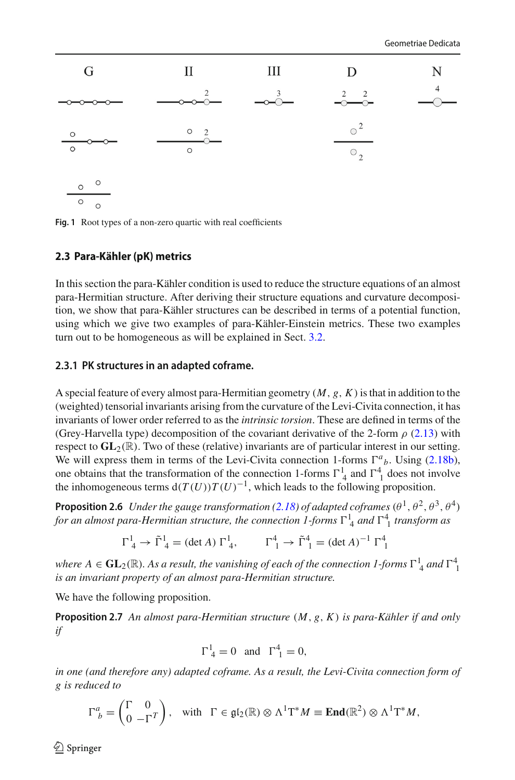

<span id="page-15-2"></span>**Fig. 1** Root types of a non-zero quartic with real coefficients

## <span id="page-15-0"></span>**2.3 Para-Kähler (pK) metrics**

In this section the para-Kähler condition is used to reduce the structure equations of an almost para-Hermitian structure. After deriving their structure equations and curvature decomposition, we show that para-Kähler structures can be described in terms of a potential function, using which we give two examples of para-Kähler-Einstein metrics. These two examples turn out to be homogeneous as will be explained in Sect. [3.2.](#page-24-0)

## <span id="page-15-1"></span>**2.3.1 PK structures in an adapted coframe.**

A special feature of every almost para-Hermitian geometry (*M*, *g*, *K*)is that in addition to the (weighted) tensorial invariants arising from the curvature of the Levi-Civita connection, it has invariants of lower order referred to as the *intrinsic torsion*. These are defined in terms of the (Grey-Harvella type) decomposition of the covariant derivative of the 2-form  $\rho$  [\(2.13\)](#page-9-3) with respect to  $GL_2(\mathbb{R})$ . Two of these (relative) invariants are of particular interest in our setting. We will express them in terms of the Levi-Civita connection 1-forms  $\Gamma^a{}_b$ . Using [\(2.18b\)](#page-10-4), one obtains that the transformation of the connection 1-forms  $\Gamma^1_{4}$  and  $\Gamma^4_{1}$  does not involve the inhomogeneous terms  $d(T(U))T(U)^{-1}$ , which leads to the following proposition.

**Proposition 2.6** *Under the gauge transformation [\(2.18\)](#page-10-5) of adapted coframes*  $(\theta^1, \theta^2, \theta^3, \theta^4)$ for an almost para-Hermitian structure, the connection 1-forms  $\Gamma^1_{\ 4}$  and  $\Gamma^4_{\ 1}$  transform as

$$
\Gamma^1_4 \to \tilde{\Gamma}^1_4 = (\det A) \Gamma^1_4, \qquad \Gamma^4_1 \to \tilde{\Gamma}^4_1 = (\det A)^{-1} \Gamma^4_1
$$

where  $A \in GL_2(\mathbb{R})$ . As a result, the vanishing of each of the connection  $I$ -forms  $\Gamma^1_A$  and  $\Gamma^4_{1}$ *is an invariant property of an almost para-Hermitian structure.*

We have the following proposition.

**Proposition 2.7** *An almost para-Hermitian structure* (*M*, *g*, *K*) *is para-Kähler if and only if*

<span id="page-15-3"></span>
$$
\Gamma^1_4 = 0 \quad \text{and} \quad \Gamma^4_1 = 0,
$$

*in one (and therefore any) adapted coframe. As a result, the Levi-Civita connection form of g is reduced to*

$$
\Gamma^a_{\ b} = \begin{pmatrix} \Gamma & 0 \\ 0 & -\Gamma^T \end{pmatrix}, \quad \text{with} \quad \Gamma \in \mathfrak{gl}_2(\mathbb{R}) \otimes \Lambda^1 \mathbb{T}^* M \equiv \mathbf{End}(\mathbb{R}^2) \otimes \Lambda^1 \mathbb{T}^* M,
$$

 $\circledcirc$  Springer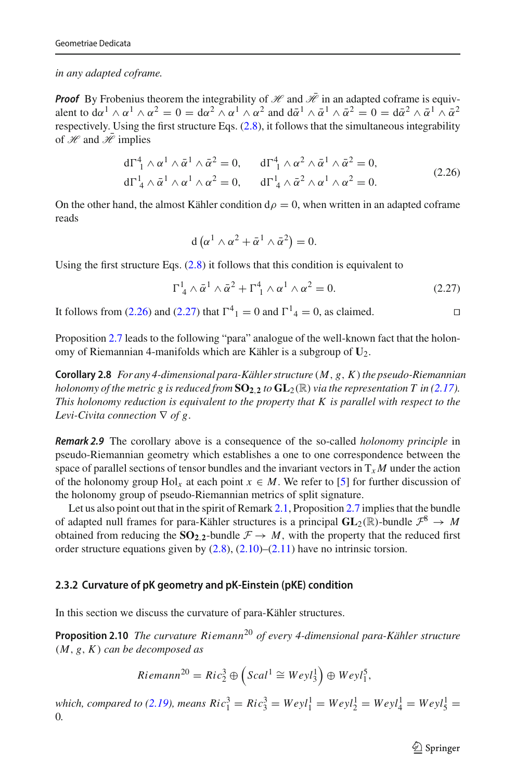*in any adapted coframe.*

*Proof* By Frobenius theorem the integrability of  $\mathcal{H}$  and  $\bar{\mathcal{H}}$  in an adapted coframe is equivalent to d $\alpha^1 \wedge \alpha^1 \wedge \alpha^2 = 0 = \alpha^2 \wedge \alpha^1 \wedge \alpha^2$  and  $\alpha^1 \wedge \alpha^1 \wedge \alpha^2 = 0 = \alpha^2 \wedge \alpha^1 \wedge \alpha^2$ respectively. Using the first structure Eqs. [\(2.8\)](#page-7-0), it follows that the simultaneous integrability of  $\mathscr H$  and  $\bar{\mathscr H}$  implies

<span id="page-16-1"></span>
$$
d\Gamma_1^4 \wedge \alpha^1 \wedge \bar{\alpha}^1 \wedge \bar{\alpha}^2 = 0, \qquad d\Gamma_1^4 \wedge \alpha^2 \wedge \bar{\alpha}^1 \wedge \bar{\alpha}^2 = 0,
$$
  
\n
$$
d\Gamma_4^1 \wedge \bar{\alpha}^1 \wedge \alpha^1 \wedge \alpha^2 = 0, \qquad d\Gamma_4^1 \wedge \bar{\alpha}^2 \wedge \alpha^1 \wedge \alpha^2 = 0.
$$
\n(2.26)

On the other hand, the almost Kähler condition  $d\rho = 0$ , when written in an adapted coframe reads

$$
d\left(\alpha^1 \wedge \alpha^2 + \bar{\alpha}^1 \wedge \bar{\alpha}^2\right) = 0.
$$

Using the first structure Eqs. [\(2.8\)](#page-7-0) it follows that this condition is equivalent to

<span id="page-16-2"></span>
$$
\Gamma^1_{\ 4} \wedge \bar{\alpha}^1 \wedge \bar{\alpha}^2 + \Gamma^4_{\ 1} \wedge \alpha^1 \wedge \alpha^2 = 0. \tag{2.27}
$$

It follows from [\(2.26\)](#page-16-1) and [\(2.27\)](#page-16-2) that  $\Gamma^4{}_1 = 0$  and  $\Gamma^1{}_4 = 0$ , as claimed.

Proposition [2.7](#page-15-3) leads to the following "para" analogue of the well-known fact that the holonomy of Riemannian 4-manifolds which are Kähler is a subgroup of **U**2.

**Corollary 2.8** *For any 4-dimensional para-Kähler structure* (*M*, *g*, *K*)*the pseudo-Riemannian holonomy of the metric g is reduced from*  $SO_{2,2}$  *to*  $GL_2(\mathbb{R})$  *via the representation T in [\(2.17\)](#page-10-2). This holonomy reduction is equivalent to the property that K is parallel with respect to the Levi-Civita connection* ∇ *of g*.

<span id="page-16-3"></span>*Remark 2.9* The corollary above is a consequence of the so-called *holonomy principle* in pseudo-Riemannian geometry which establishes a one to one correspondence between the space of parallel sections of tensor bundles and the invariant vectors in  $T_xM$  under the action of the holonomy group Hol<sub>x</sub> at each point  $x \in M$ . We refer to [\[5](#page-46-5)] for further discussion of the holonomy group of pseudo-Riemannian metrics of split signature.

Let us also point out that in the spirit of Remark [2.1,](#page-8-3) Proposition [2.7](#page-15-3) implies that the bundle of adapted null frames for para-Kähler structures is a principal  $GL_2(\mathbb{R})$ -bundle  $\mathcal{F}^8 \to M$ obtained from reducing the  $SO_{2,2}$ -bundle  $F \rightarrow M$ , with the property that the reduced first order structure equations given by  $(2.8)$ ,  $(2.10)$ – $(2.11)$  have no intrinsic torsion.

#### <span id="page-16-0"></span>**2.3.2 Curvature of pK geometry and pK-Einstein (pKE) condition**

In this section we discuss the curvature of para-Kähler structures.

**Proposition 2.10** *The curvature Riemann*<sup>20</sup> *of every 4-dimensional para-Kähler structure* (*M*, *g*, *K*) *can be decomposed as*

$$
Riemann^{20} = Ric_2^3 \oplus \left(Scal^1 \cong Weyl_3^1\right) \oplus Weyl_1^5,
$$

*which, compared to [\(2.19\)](#page-11-1), means*  $Ric_1^3 = Ric_3^3 = Weyl_1^1 = Weyl_2^1 = Weyl_4^1 = Weyl_5^1 =$ 0*.*

 $\circled{2}$  Springer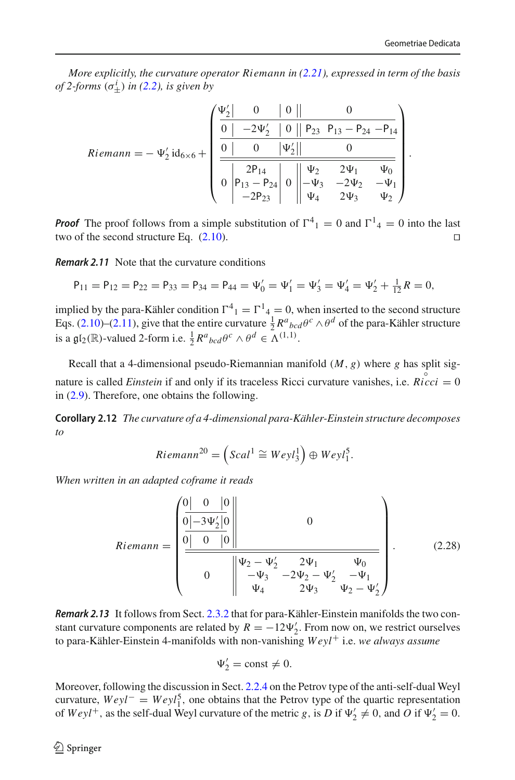.

*More explicitly, the curvature operator Riemann in [\(2.21\)](#page-12-0), expressed in term of the basis of 2-forms*  $(\sigma^i_{\pm})$  *in* [\(2.2\)](#page-5-2)*, is given by* 

$$
Riemann = -\Psi_2' \mathrm{id}_{6 \times 6} + \left(\begin{array}{c|c|c} \Psi_2' & 0 & 0 & 0 & 0 \\ \hline \hline 0 & -2\Psi_2' & 0 & P_{23} & P_{13} - P_{24} & -P_{14} \\ \hline 0 & 0 & |\Psi_2'| & 0 \\ \hline 0 & P_{13} - P_{24} & 0 & \Psi_2 & 2\Psi_1 & \Psi_0 \\ -2P_{23} & 0 & \Psi_4 & 2\Psi_3 & \Psi_2 \end{array}\right)
$$

**Proof** The proof follows from a simple substitution of  $\Gamma^4{}_1 = 0$  and  $\Gamma^1{}_4 = 0$  into the last two of the second structure Eq.  $(2.10)$ .

*Remark 2.11* Note that the curvature conditions

$$
P_{11} = P_{12} = P_{22} = P_{33} = P_{34} = P_{44} = \Psi_0' = \Psi_1' = \Psi_3' = \Psi_4' = \Psi_2' + \tfrac{1}{12}R = 0,
$$

implied by the para-Kähler condition  $\Gamma^4{}_1 = \Gamma^1{}_4 = 0$ , when inserted to the second structure Eqs. [\(2.10\)](#page-8-1)–[\(2.11\)](#page-8-2), give that the entire curvature  $\frac{1}{2}R^a{}_{bcd}\theta^c \wedge \theta^d$  of the para-Kähler structure is a  $\mathfrak{gl}_2(\mathbb{R})$ -valued 2-form i.e.  $\frac{1}{2}R^a{}_{bcd}\theta^c \wedge \theta^d \in \Lambda^{(1,1)}$ .

Recall that a 4-dimensional pseudo-Riemannian manifold (*M*, *g*) where *g* has split signature is called *Einstein* if and only if its traceless Ricci curvature vanishes, i.e.  $\mathring{Ricci} = 0$ in [\(2.9\)](#page-7-2). Therefore, one obtains the following.

**Corollary 2.12** *The curvature of a 4-dimensional para-Kähler-Einstein structure decomposes to*

$$
Riemann^{20} = \left(Scal^1 \cong Weyl_3^1\right) \oplus Weyl_1^5.
$$

*When written in an adapted coframe it reads*

$$
Riemann = \begin{pmatrix} 0 & 0 & 0 & 0 \\ 0 & 0 & 0 & 0 \\ 0 & 0 & 0 & 0 \\ 0 & 0 & 0 & 0 \\ 0 & 0 & 0 & 0 \\ 0 & 0 & 0 & 0 \\ 0 & 0 & 0 & 0 \end{pmatrix} \qquad (2.28)
$$

*Remark 2.13* It follows from Sect. [2.3.2](#page-16-0) that for para-Kähler-Einstein manifolds the two constant curvature components are related by  $R = -12\Psi_2'$ . From now on, we restrict ourselves to para-Kähler-Einstein 4-manifolds with non-vanishing *Weyl*+ i.e. *we always assume*

$$
\Psi_2' = \text{const} \neq 0.
$$

Moreover, following the discussion in Sect. [2.2.4](#page-13-0) on the Petrov type of the anti-self-dual Weyl curvature,  $Weyl^-=Weyl_1^5$ , one obtains that the Petrov type of the quartic representation of  $Weyl^+$ , as the self-dual Weyl curvature of the metric *g*, is *D* if  $\Psi_2' \neq 0$ , and *O* if  $\Psi_2' = 0$ .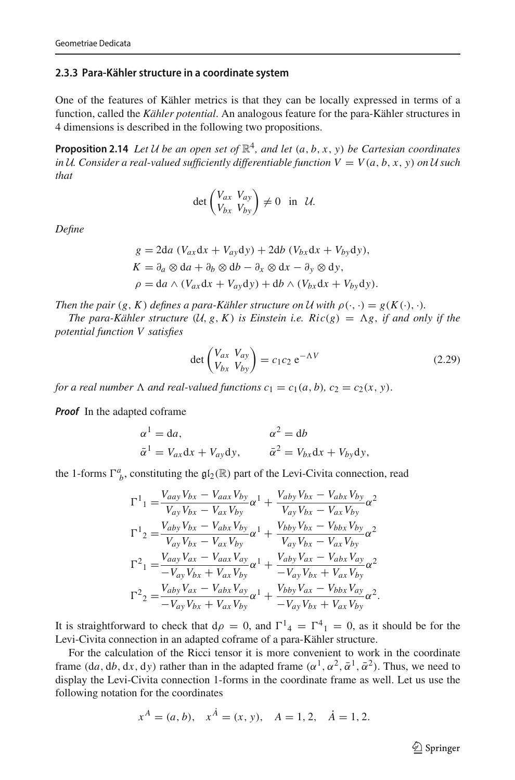#### <span id="page-18-0"></span>**2.3.3 Para-Kähler structure in a coordinate system**

One of the features of Kähler metrics is that they can be locally expressed in terms of a function, called the *Kähler potential*. An analogous feature for the para-Kähler structures in 4 dimensions is described in the following two propositions.

**Proposition 2.14** *Let U be an open set of*  $\mathbb{R}^4$ *, and let*  $(a, b, x, y)$  *be Cartesian coordinates in U. Consider a real-valued sufficiently differentiable function*  $V = V(a, b, x, y)$  *on U such that*

<span id="page-18-1"></span>
$$
\det\begin{pmatrix} V_{ax} & V_{ay} \\ V_{bx} & V_{by} \end{pmatrix} \neq 0 \quad \text{in} \quad \mathcal{U}.
$$

*Define*

$$
g = 2da (V_{ax}dx + V_{ay}dy) + 2db (V_{bx}dx + V_{by}dy),
$$
  
\n
$$
K = \partial_a \otimes da + \partial_b \otimes db - \partial_x \otimes dx - \partial_y \otimes dy,
$$
  
\n
$$
\rho = da \wedge (V_{ax}dx + V_{ay}dy) + db \wedge (V_{bx}dx + V_{by}dy).
$$

*Then the pair*  $(g, K)$  *defines a para-Kähler structure on U with*  $\rho(\cdot, \cdot) = g(K(\cdot), \cdot)$ *.* 

*The para-Kähler structure*  $(U, g, K)$  *is Einstein i.e. Ric*(*g*) =  $\Lambda$ *g, if and only if the potential function V satisfies*

<span id="page-18-2"></span>
$$
\det \begin{pmatrix} V_{ax} & V_{ay} \\ V_{bx} & V_{by} \end{pmatrix} = c_1 c_2 e^{-\Lambda V}
$$
 (2.29)

*for a real number*  $\Lambda$  *and real-valued functions*  $c_1 = c_1(a, b)$ *,*  $c_2 = c_2(x, y)$ *.* 

*Proof* In the adapted coframe

$$
\alpha^{1} = da, \qquad \alpha^{2} = db
$$
  

$$
\bar{\alpha}^{1} = V_{ax}dx + V_{ay}dy, \qquad \bar{\alpha}^{2} = V_{bx}dx + V_{by}dy,
$$

the 1-forms  $\Gamma^a_{b}$ , constituting the  $\mathfrak{gl}_2(\mathbb{R})$  part of the Levi-Civita connection, read

$$
\Gamma^{1}_{1} = \frac{V_{aay}V_{bx} - V_{aax}V_{by}}{V_{ay}V_{bx} - V_{ax}V_{by}}\alpha^{1} + \frac{V_{aby}V_{bx} - V_{abx}V_{by}}{V_{ay}V_{bx} - V_{ax}V_{by}}\alpha^{2}
$$
\n
$$
\Gamma^{1}_{2} = \frac{V_{aby}V_{bx} - V_{abx}V_{by}}{V_{ay}V_{bx} - V_{ax}V_{by}}\alpha^{1} + \frac{V_{bby}V_{bx} - V_{bbx}V_{by}}{V_{ay}V_{bx} - V_{ax}V_{by}}\alpha^{2}
$$
\n
$$
\Gamma^{2}_{1} = \frac{V_{aay}V_{ax} - V_{aax}V_{ay}}{-V_{ax}V_{by}}\alpha^{1} + \frac{V_{aby}V_{ax} - V_{abx}V_{ay}}{-V_{ay}V_{bx} + V_{ax}V_{by}}\alpha^{2}
$$
\n
$$
\Gamma^{2}_{2} = \frac{V_{aby}V_{ax} - V_{abx}V_{ay}}{-V_{ay}V_{bx}}\alpha^{1} + \frac{V_{bby}V_{ax} - V_{bbx}V_{by}}{-V_{ay}V_{bx} + V_{ax}V_{by}}\alpha^{2}.
$$

It is straightforward to check that  $d\rho = 0$ , and  $\Gamma^1{}_4 = \Gamma^4{}_1 = 0$ , as it should be for the Levi-Civita connection in an adapted coframe of a para-Kähler structure.

For the calculation of the Ricci tensor it is more convenient to work in the coordinate frame (d*a*, d*b*, d*x*, d*y*) rather than in the adapted frame ( $\alpha^1$ ,  $\alpha^2$ ,  $\bar{\alpha}^1$ ,  $\bar{\alpha}^2$ ). Thus, we need to display the Levi-Civita connection 1-forms in the coordinate frame as well. Let us use the following notation for the coordinates

$$
x^A = (a, b), x^{\dot{A}} = (x, y), A = 1, 2, \dot{A} = 1, 2.
$$

 $\circled{2}$  Springer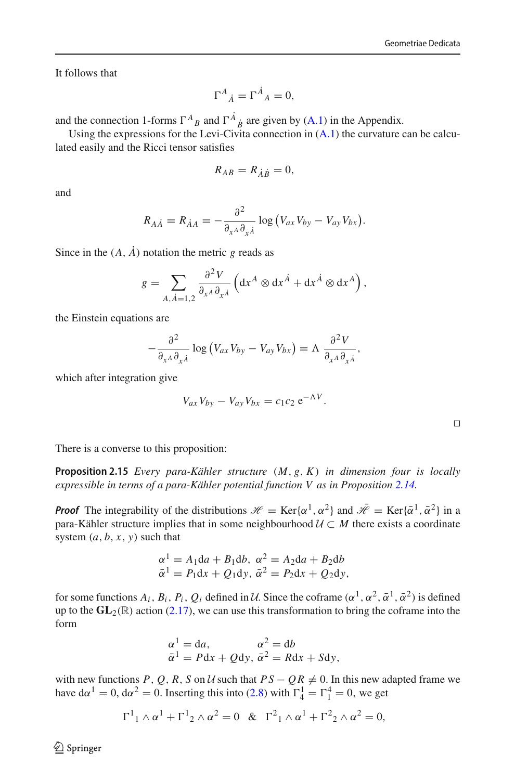It follows that

$$
\Gamma^A{}_{\dot A} = \Gamma^{\dot A}{}_A = 0,
$$

and the connection 1-forms  $\Gamma^{A}{}_{B}$  and  $\Gamma^{A}{}_{B}$  are given by [\(A.1\)](#page-36-1) in the Appendix.

Using the expressions for the Levi-Civita connection in  $(A,1)$  the curvature can be calculated easily and the Ricci tensor satisfies

$$
R_{AB}=R_{\dot{A}\dot{B}}=0,
$$

and

$$
R_{A\dot{A}} = R_{\dot{A}A} = -\frac{\partial^2}{\partial_{x^A} \partial_{x^{\dot{A}}}} \log (V_{ax} V_{by} - V_{ay} V_{bx}).
$$

Since in the  $(A, \dot{A})$  notation the metric *g* reads as

$$
g = \sum_{A, \dot{A} = 1, 2} \frac{\partial^2 V}{\partial_{x^A} \partial_{x^{\dot{A}}}} \left( dx^A \otimes dx^{\dot{A}} + dx^{\dot{A}} \otimes dx^A \right),
$$

the Einstein equations are

$$
-\frac{\partial^2}{\partial_{x^A}\partial_{x^{\dot{A}}}}\log\left(V_{ax}V_{by}-V_{ay}V_{bx}\right)=\Lambda \frac{\partial^2 V}{\partial_{x^A}\partial_{x^{\dot{A}}}},
$$

which after integration give

$$
V_{ax}V_{by}-V_{ay}V_{bx}=c_1c_2\,\mathrm{e}^{-\Lambda V}.
$$

 $\Box$ 

There is a converse to this proposition:

**Proposition 2.15** *Every para-Kähler structure* (*M*, *g*, *K*) *in dimension four is locally expressible in terms of a para-Kähler potential function V as in Proposition [2.14.](#page-18-1)*

*Proof* The integrability of the distributions  $\mathcal{H} = \text{Ker}\{\alpha^1, \alpha^2\}$  and  $\bar{\mathcal{H}} = \text{Ker}\{\bar{\alpha}^1, \bar{\alpha}^2\}$  in a para-Kähler structure implies that in some neighbourhood  $U \subset M$  there exists a coordinate system  $(a, b, x, y)$  such that

$$
\alpha^1 = A_1 \mathrm{d}a + B_1 \mathrm{d}b, \ \alpha^2 = A_2 \mathrm{d}a + B_2 \mathrm{d}b
$$
  

$$
\bar{\alpha}^1 = P_1 \mathrm{d}x + Q_1 \mathrm{d}y, \ \bar{\alpha}^2 = P_2 \mathrm{d}x + Q_2 \mathrm{d}y,
$$

for some functions  $A_i$ ,  $B_i$ ,  $P_i$ ,  $Q_i$  defined in *U*. Since the coframe  $(\alpha^1, \alpha^2, \bar{\alpha}^1, \bar{\alpha}^2)$  is defined up to the  $GL_2(\mathbb{R})$  action [\(2.17\)](#page-10-2), we can use this transformation to bring the coframe into the form

$$
\alpha^1 = da, \qquad \alpha^2 = db
$$
  

$$
\bar{\alpha}^1 = Pdx + Qdy, \ \bar{\alpha}^2 = Rdx + Sdy,
$$

with new functions *P*, *Q*, *R*, *S* on *U* such that  $PS - QR \neq 0$ . In this new adapted frame we have  $d\alpha^1 = 0$ ,  $d\alpha^2 = 0$ . Inserting this into [\(2.8\)](#page-7-0) with  $\Gamma_4^1 = \Gamma_1^4 = 0$ , we get

$$
\Gamma^{1}_{1} \wedge \alpha^{1} + \Gamma^{1}_{2} \wedge \alpha^{2} = 0 \& \Gamma^{2}_{1} \wedge \alpha^{1} + \Gamma^{2}_{2} \wedge \alpha^{2} = 0,
$$

 $\bigcirc$  Springer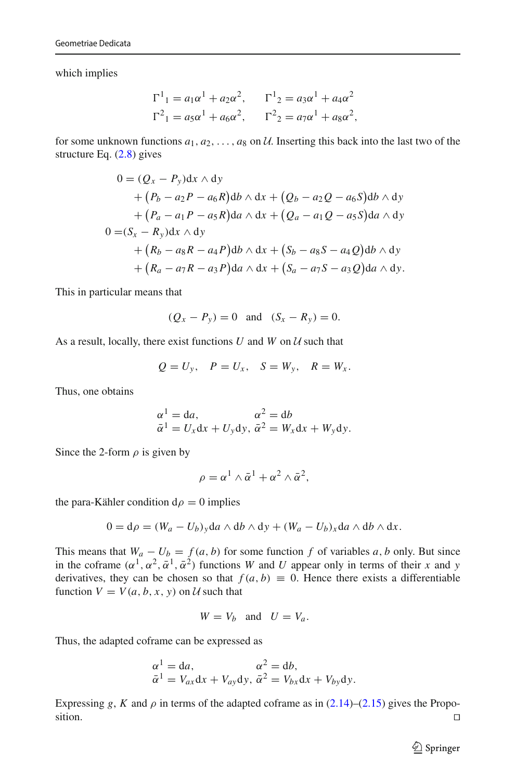which implies

$$
\Gamma^{1}_{1} = a_{1}\alpha^{1} + a_{2}\alpha^{2}, \qquad \Gamma^{1}_{2} = a_{3}\alpha^{1} + a_{4}\alpha^{2}
$$
  

$$
\Gamma^{2}_{1} = a_{5}\alpha^{1} + a_{6}\alpha^{2}, \qquad \Gamma^{2}_{2} = a_{7}\alpha^{1} + a_{8}\alpha^{2},
$$

for some unknown functions  $a_1, a_2, \ldots, a_8$  on *U*. Inserting this back into the last two of the structure Eq. [\(2.8\)](#page-7-0) gives

$$
0 = (Q_x - P_y)dx \wedge dy
$$
  
+  $(P_b - a_2P - a_6R)db \wedge dx + (Q_b - a_2Q - a_6S)db \wedge dy$   
+  $(P_a - a_1P - a_5R)da \wedge dx + (Q_a - a_1Q - a_5S)da \wedge dy$   

$$
0 = (S_x - R_y)dx \wedge dy
$$
  
+  $(R_b - a_8R - a_4P)db \wedge dx + (S_b - a_8S - a_4Q)db \wedge dy$   
+  $(R_a - a_7R - a_3P)da \wedge dx + (S_a - a_7S - a_3Q)da \wedge dy.$ 

This in particular means that

$$
(Q_x - P_y) = 0
$$
 and  $(S_x - R_y) = 0$ .

As a result, locally, there exist functions *U* and *W* on *U* such that

$$
Q = U_y, \quad P = U_x, \quad S = W_y, \quad R = W_x.
$$

Thus, one obtains

$$
\begin{aligned}\n\alpha^1 &= \mathrm{d}a, & \alpha^2 &= \mathrm{d}b \\
\bar{\alpha}^1 &= U_x \mathrm{d}x + U_y \mathrm{d}y, & \bar{\alpha}^2 &= W_x \mathrm{d}x + W_y \mathrm{d}y.\n\end{aligned}
$$

Since the 2-form  $\rho$  is given by

$$
\rho = \alpha^1 \wedge \bar{\alpha}^1 + \alpha^2 \wedge \bar{\alpha}^2,
$$

the para-Kähler condition  $d\rho = 0$  implies

$$
0 = d\rho = (W_a - U_b)_y da \wedge db \wedge dy + (W_a - U_b)_x da \wedge db \wedge dx.
$$

This means that  $W_a - U_b = f(a, b)$  for some function f of variables a, b only. But since in the coframe  $(\alpha^1, \alpha^2, \bar{\alpha}^1, \bar{\alpha}^2)$  functions *W* and *U* appear only in terms of their *x* and *y* derivatives, they can be chosen so that  $f(a, b) \equiv 0$ . Hence there exists a differentiable function  $V = V(a, b, x, y)$  on  $U$  such that

$$
W = V_b \quad \text{and} \quad U = V_a.
$$

Thus, the adapted coframe can be expressed as

$$
\begin{aligned}\n\alpha^1 &= \mathrm{d}a, & \alpha^2 &= \mathrm{d}b, \\
\bar{\alpha}^1 &= V_{ax}\mathrm{d}x + V_{ay}\mathrm{d}y, & \bar{\alpha}^2 &= V_{bx}\mathrm{d}x + V_{by}\mathrm{d}y.\n\end{aligned}
$$

Expressing *g*, *K* and  $\rho$  in terms of the adapted coframe as in [\(2.14\)](#page-9-2)–[\(2.15\)](#page-10-6) gives the Proposition.  $\Box$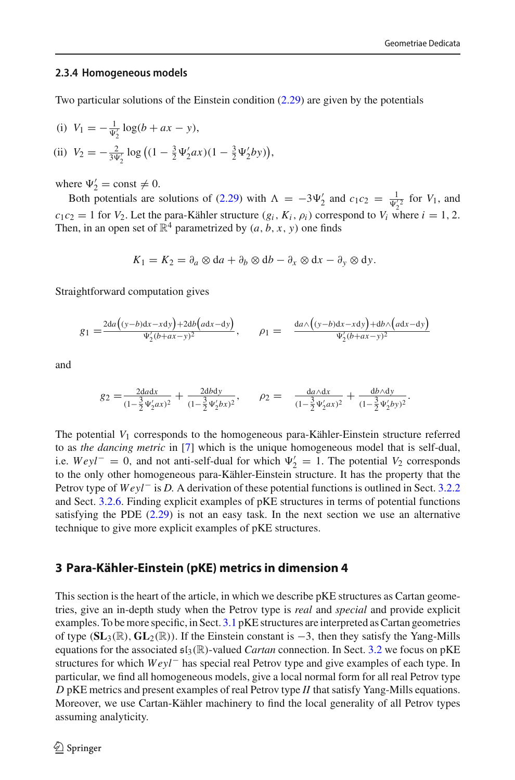#### <span id="page-21-0"></span>**2.3.4 Homogeneous models**

Two particular solutions of the Einstein condition [\(2.29\)](#page-18-2) are given by the potentials

(i) 
$$
V_1 = -\frac{1}{\Psi_2'} \log(b + ax - y),
$$
  
\n(ii)  $V_2 = -\frac{2}{3\Psi_2'} \log((1 - \frac{3}{2}\Psi_2'ax)(1 - \frac{3}{2}\Psi_2'by)),$ 

where  $\Psi'_2 = \text{const} \neq 0$ .

Both potentials are solutions of [\(2.29\)](#page-18-2) with  $\Lambda = -3\Psi'_2$  and  $c_1c_2 = \frac{1}{\Psi'_2^2}$  for  $V_1$ , and  $c_1 c_2 = 1$  for  $V_2$ . Let the para-Kähler structure  $(g_i, K_i, \rho_i)$  correspond to  $V_i$  where  $i = 1, 2$ . Then, in an open set of  $\mathbb{R}^4$  parametrized by  $(a, b, x, y)$  one finds

$$
K_1 = K_2 = \partial_a \otimes da + \partial_b \otimes db - \partial_x \otimes dx - \partial_y \otimes dy.
$$

Straightforward computation gives

$$
g_1 = \frac{2da((y-b)dx - xdy) + 2db\big(adx - dy\big)}{\Psi_2'(b+ax-y)^2}, \qquad \rho_1 = \frac{da \wedge \big((y-b)dx - xdy\big) + db \wedge \big(adx - dy\big)}{\Psi_2'(b+ax-y)^2}
$$

and

$$
g_2 = \frac{2dxdx}{(1-\frac{3}{2}\Psi'_2ax)^2} + \frac{2dbdy}{(1-\frac{3}{2}\Psi'_2bx)^2}, \qquad \rho_2 = \frac{da\wedge dx}{(1-\frac{3}{2}\Psi'_2ax)^2} + \frac{db\wedge dy}{(1-\frac{3}{2}\Psi'_2by)^2}.
$$

The potential *V*<sup>1</sup> corresponds to the homogeneous para-Kähler-Einstein structure referred to as *the dancing metric* in [\[7\]](#page-46-1) which is the unique homogeneous model that is self-dual, i.e.  $Weyl^- = 0$ , and not anti-self-dual for which  $\Psi_2' = 1$ . The potential  $V_2$  corresponds to the only other homogeneous para-Kähler-Einstein structure. It has the property that the Petrov type of *Weyl*<sup>−</sup> is *D*. A derivation of these potential functions is outlined in Sect. [3.2.2](#page-27-0) and Sect. [3.2.6.](#page-34-0) Finding explicit examples of pKE structures in terms of potential functions satisfying the PDE  $(2.29)$  is not an easy task. In the next section we use an alternative technique to give more explicit examples of pKE structures.

## <span id="page-21-1"></span>**3 Para-Kähler-Einstein (pKE) metrics in dimension 4**

This section is the heart of the article, in which we describe pKE structures as Cartan geometries, give an in-depth study when the Petrov type is *real* and *special* and provide explicit examples. To be more specific, in Sect. [3.1](#page-22-0) pKE structures are interpreted as Cartan geometries of type (**SL**3(R), **GL**2(R)). If the Einstein constant is <sup>−</sup>3, then they satisfy the Yang-Mills equations for the associated sl3(R)-valued *Cartan* connection. In Sect. [3.2](#page-24-0) we focus on pKE structures for which *Weyl*− has special real Petrov type and give examples of each type. In particular, we find all homogeneous models, give a local normal form for all real Petrov type *D* pKE metrics and present examples of real Petrov type *II* that satisfy Yang-Mills equations. Moreover, we use Cartan-Kähler machinery to find the local generality of all Petrov types assuming analyticity.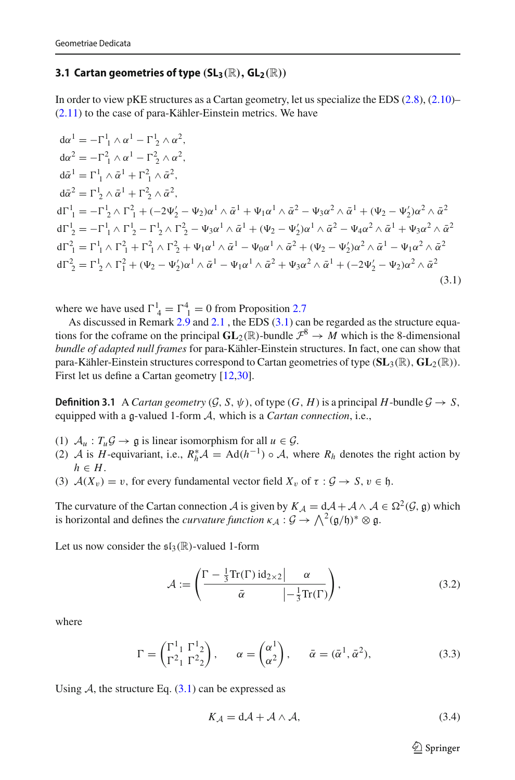#### <span id="page-22-0"></span>**3.1 Cartan geometries of type**  $(SL_3(\mathbb{R}), GL_2(\mathbb{R}))$

In order to view pKE structures as a Cartan geometry, let us specialize the EDS [\(2.8\)](#page-7-0), [\(2.10\)](#page-8-1)– [\(2.11\)](#page-8-2) to the case of para-Kähler-Einstein metrics. We have

<span id="page-22-1"></span>
$$
d\alpha^{1} = -\Gamma_{1}^{1} \wedge \alpha^{1} - \Gamma_{2}^{1} \wedge \alpha^{2},
$$
  
\n
$$
d\alpha^{2} = -\Gamma_{1}^{2} \wedge \alpha^{1} - \Gamma_{2}^{2} \wedge \alpha^{2},
$$
  
\n
$$
d\bar{\alpha}^{1} = \Gamma_{1}^{1} \wedge \bar{\alpha}^{1} + \Gamma_{1}^{2} \wedge \bar{\alpha}^{2},
$$
  
\n
$$
d\bar{\alpha}^{2} = \Gamma_{2}^{1} \wedge \bar{\alpha}^{1} + \Gamma_{2}^{2} \wedge \bar{\alpha}^{2},
$$
  
\n
$$
d\Gamma_{1}^{1} = -\Gamma_{2}^{1} \wedge \Gamma_{1}^{2} + (-2\Psi_{2}' - \Psi_{2})\alpha^{1} \wedge \bar{\alpha}^{1} + \Psi_{1}\alpha^{1} \wedge \bar{\alpha}^{2} - \Psi_{3}\alpha^{2} \wedge \bar{\alpha}^{1} + (\Psi_{2} - \Psi_{2}')\alpha^{2} \wedge \bar{\alpha}^{2}
$$
  
\n
$$
d\Gamma_{2}^{1} = -\Gamma_{1}^{1} \wedge \Gamma_{2}^{1} - \Gamma_{2}^{1} \wedge \Gamma_{2}^{2} - \Psi_{3}\alpha^{1} \wedge \bar{\alpha}^{1} + (\Psi_{2} - \Psi_{2}')\alpha^{1} \wedge \bar{\alpha}^{2} - \Psi_{4}\alpha^{2} \wedge \bar{\alpha}^{1} + \Psi_{3}\alpha^{2} \wedge \bar{\alpha}^{2}
$$
  
\n
$$
d\Gamma_{1}^{2} = \Gamma_{1}^{1} \wedge \Gamma_{1}^{2} + \Gamma_{1}^{2} \wedge \Gamma_{2}^{2} + \Psi_{1}\alpha^{1} \wedge \bar{\alpha}^{1} - \Psi_{0}\alpha^{1} \wedge \bar{\alpha}^{2} + (\Psi_{2} - \Psi_{2}')\alpha^{2} \wedge \bar{\alpha}^{1} - \Psi_{1}\alpha^{2} \wedge \bar{\alpha}^{2}
$$
  
\n
$$
d\Gamma_{2}^{2} = \Gamma_{2}^{1} \wedge \Gamma_{1}^{2} + (\Psi_{2} - \Psi_{2}')\alpha^{1} \wedge \bar{\alpha}^{1} - \Psi_{1}\alpha^{1} \wedge \bar{\alpha}^{2} + \Psi_{3}\alpha^{2
$$

where we have used  $\Gamma^1_4 = \Gamma^4_1 = 0$  from Proposition [2.7](#page-15-3)

<span id="page-22-3"></span>As discussed in Remark  $2.9$  and  $2.1$ , the EDS  $(3.1)$  can be regarded as the structure equations for the coframe on the principal  $GL_2(\mathbb{R})$ -bundle  $\mathcal{F}^8 \to M$  which is the 8-dimensional *bundle of adapted null frames* for para-Kähler-Einstein structures. In fact, one can show that para-Kähler-Einstein structures correspond to Cartan geometries of type (**SL**3(R), **GL**2(R)). First let us define a Cartan geometry [\[12](#page-47-7)[,30\]](#page-47-8).

**Definition 3.1** A *Cartan geometry*  $(\mathcal{G}, S, \psi)$ , of type  $(G, H)$  is a principal *H*-bundle  $\mathcal{G} \rightarrow S$ , equipped with a g-valued 1-form *<sup>A</sup>*, which is a *Cartan connection*, i.e.,

- (1)  $A_u$ :  $T_u \mathcal{G} \rightarrow \mathfrak{g}$  is linear isomorphism for all  $u \in \mathcal{G}$ .
- (2) *A* is *H*-equivariant, i.e.,  $R_h^* A = \text{Ad}(h^{-1}) \circ A$ , where  $R_h$  denotes the right action by  $h \in H$ .
- (3)  $A(X_v) = v$ , for every fundamental vector field  $X_v$  of  $\tau : \mathcal{G} \to S$ ,  $v \in \mathfrak{h}$ .

The curvature of the Cartan connection *A* is given by  $K_A = dA + A \wedge A \in \Omega^2(G, \mathfrak{g})$  which is horizontal and defines the *curvature function*  $\kappa_A : \mathcal{G} \to \bigwedge^2(\mathfrak{g}/\mathfrak{h})^* \otimes \mathfrak{g}$ .

Let us now consider the  $\mathfrak{sl}_3(\mathbb{R})$ -valued 1-form

<span id="page-22-4"></span>
$$
\mathcal{A} := \left( \frac{\Gamma - \frac{1}{3} \text{Tr}(\Gamma) \, \text{id}_{2 \times 2} | \alpha}{\bar{\alpha} \left| -\frac{1}{3} \text{Tr}(\Gamma) \right|} \right),\tag{3.2}
$$

where

$$
\Gamma = \begin{pmatrix} \Gamma^1_1 & \Gamma^1_2 \\ \Gamma^2_1 & \Gamma^2_2 \end{pmatrix}, \qquad \alpha = \begin{pmatrix} \alpha^1 \\ \alpha^2 \end{pmatrix}, \qquad \bar{\alpha} = (\bar{\alpha}^1, \bar{\alpha}^2), \tag{3.3}
$$

Using  $A$ , the structure Eq.  $(3.1)$  can be expressed as

<span id="page-22-2"></span>
$$
K_{\mathcal{A}} = d\mathcal{A} + \mathcal{A} \wedge \mathcal{A},\tag{3.4}
$$

 $\circled{2}$  Springer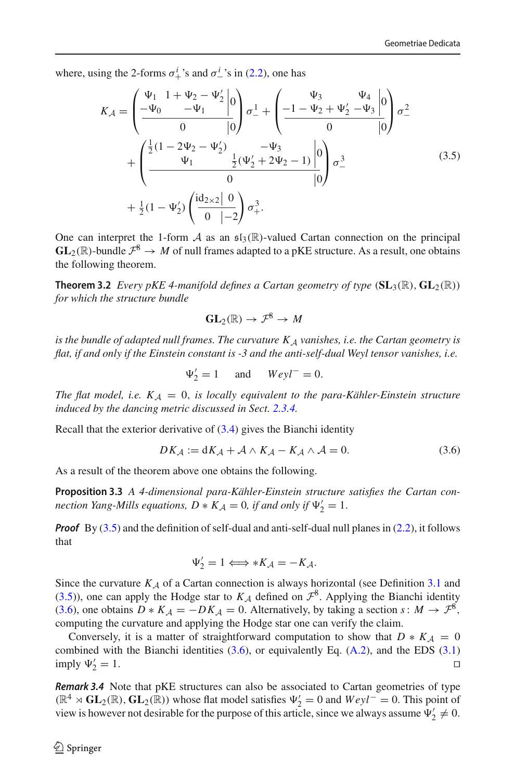where, using the 2-forms  $\sigma_+^i$ 's and  $\sigma_-^i$ 's in [\(2.2\)](#page-5-2), one has

<span id="page-23-2"></span>
$$
K_{A} = \left(\frac{\Psi_{1} \quad 1 + \Psi_{2} - \Psi_{2}'}{-\Psi_{1}}\right) \quad \sigma_{-}^{1} + \left(\frac{\Psi_{3}}{-1 - \Psi_{2} + \Psi_{2} - \Psi_{3}}\right) \quad \sigma_{-}^{2}
$$

$$
+ \left(\frac{\frac{1}{2}(1 - 2\Psi_{2} - \Psi_{2}')}{\Psi_{1}} - \frac{\frac{1}{2}(\Psi_{2}' + 2\Psi_{2} - 1)}{\Psi_{2}}\right) \quad \sigma_{-}^{3}
$$

$$
+ \frac{1}{2}(1 - \Psi_{2}') \left(\frac{\mathrm{id}_{2\times 2} \mid 0}{0 \mid -2}\right) \sigma_{+}^{3}.
$$
(3.5)

One can interpret the 1-form  $A$  as an  $\mathfrak{sl}_3(\mathbb{R})$ -valued Cartan connection on the principal  $GL_2(\mathbb{R})$ -bundle  $\mathcal{F}^8 \to M$  of null frames adapted to a pKE structure. As a result, one obtains the following theorem.

**Theorem 3.2** *Every pKE 4-manifold defines a Cartan geometry of type*  $(SL_3(\mathbb{R}), GL_2(\mathbb{R}))$ *for which the structure bundle*

<span id="page-23-1"></span>
$$
\mathbf{GL}_2(\mathbb{R}) \to \mathcal{F}^8 \to M
$$

*is the bundle of adapted null frames. The curvature K<sup>A</sup> vanishes, i.e. the Cartan geometry is flat, if and only if the Einstein constant is -3 and the anti-self-dual Weyl tensor vanishes, i.e.*

<span id="page-23-0"></span>
$$
\Psi_2' = 1 \quad \text{and} \quad Weyl^- = 0.
$$

*The flat model, i.e.*  $K_A = 0$ , *is locally equivalent to the para-Kähler-Einstein structure induced by the dancing metric discussed in Sect. [2.3.4.](#page-21-0)*

Recall that the exterior derivative of [\(3.4\)](#page-22-2) gives the Bianchi identity

<span id="page-23-3"></span>
$$
DK_{\mathcal{A}} := dK_{\mathcal{A}} + \mathcal{A} \wedge K_{\mathcal{A}} - K_{\mathcal{A}} \wedge \mathcal{A} = 0. \tag{3.6}
$$

As a result of the theorem above one obtains the following.

**Proposition 3.3** *A 4-dimensional para-Kähler-Einstein structure satisfies the Cartan connection Yang-Mills equations,*  $D * K_A = 0$ , *if and only if*  $\Psi'_2 = 1$ .

*Proof* By [\(3.5\)](#page-23-2) and the definition of self-dual and anti-self-dual null planes in [\(2.2\)](#page-5-2), it follows that

$$
\Psi_2' = 1 \Longleftrightarrow *K_{\mathcal{A}} = -K_{\mathcal{A}}.
$$

Since the curvature  $K_A$  of a Cartan connection is always horizontal (see Definition [3.1](#page-22-3) and [\(3.5\)](#page-23-2)), one can apply the Hodge star to  $K_A$  defined on  $\mathcal{F}^8$ . Applying the Bianchi identity [\(3.6\)](#page-23-3), one obtains  $D * K_A = -DK_A = 0$ . Alternatively, by taking a section *s*:  $M \to \mathcal{F}^8$ , computing the curvature and applying the Hodge star one can verify the claim.

Conversely, it is a matter of straightforward computation to show that  $D * K_A = 0$ combined with the Bianchi identities  $(3.6)$ , or equivalently Eq.  $(A.2)$ , and the EDS  $(3.1)$ imply  $\Psi_2' = 1$ .  $\frac{1}{2} = 1.$ 

*Remark 3.4* Note that pKE structures can also be associated to Cartan geometries of type  $(\mathbb{R}^4 \times GL_2(\mathbb{R}), GL_2(\mathbb{R}))$  whose flat model satisfies  $\Psi'_2 = 0$  and  $Weyl^- = 0$ . This point of view is however not desirable for the purpose of this article, since we always assume  $\Psi'_2 \neq 0$ .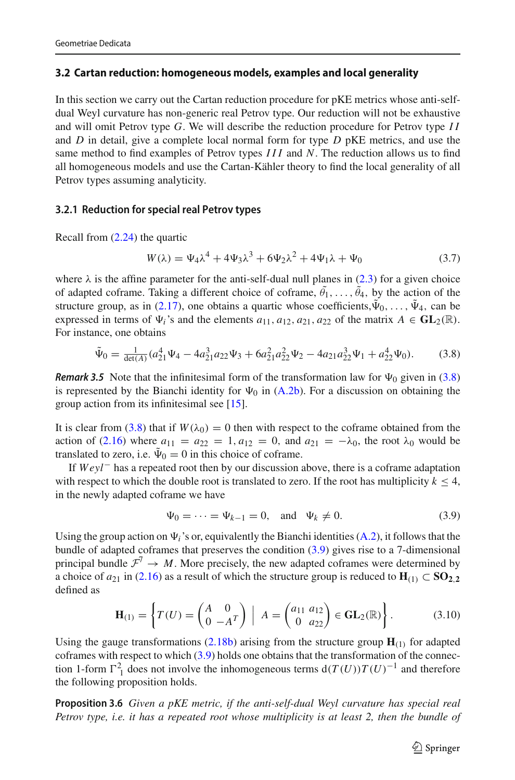## <span id="page-24-0"></span>**3.2 Cartan reduction: homogeneous models, examples and local generality**

In this section we carry out the Cartan reduction procedure for pKE metrics whose anti-selfdual Weyl curvature has non-generic real Petrov type. Our reduction will not be exhaustive and will omit Petrov type *G*. We will describe the reduction procedure for Petrov type *I I* and *D* in detail, give a complete local normal form for type *D* pKE metrics, and use the same method to find examples of Petrov types *III* and *N*. The reduction allows us to find all homogeneous models and use the Cartan-Kähler theory to find the local generality of all Petrov types assuming analyticity.

## <span id="page-24-1"></span>**3.2.1 Reduction for special real Petrov types**

Recall from [\(2.24\)](#page-13-2) the quartic

<span id="page-24-7"></span>
$$
W(\lambda) = \Psi_4 \lambda^4 + 4\Psi_3 \lambda^3 + 6\Psi_2 \lambda^2 + 4\Psi_1 \lambda + \Psi_0
$$
 (3.7)

where  $\lambda$  is the affine parameter for the anti-self-dual null planes in [\(2.3\)](#page-6-2) for a given choice of adapted coframe. Taking a different choice of coframe,  $\theta_1, \ldots, \theta_4$ , by the action of the structure group, as in [\(2.17\)](#page-10-2), one obtains a quartic whose coefficients,  $\tilde{\Psi}_0, \ldots, \tilde{\Psi}_4$ , can be expressed in terms of  $\Psi_i$ 's and the elements  $a_{11}$ ,  $a_{12}$ ,  $a_{21}$ ,  $a_{22}$  of the matrix  $A \in GL_2(\mathbb{R})$ . For instance, one obtains

<span id="page-24-2"></span>
$$
\tilde{\Psi}_0 = \frac{1}{\det(A)} (a_{21}^4 \Psi_4 - 4a_{21}^3 a_{22} \Psi_3 + 6a_{21}^2 a_{22}^2 \Psi_2 - 4a_{21} a_{22}^3 \Psi_1 + a_{22}^4 \Psi_0).
$$
 (3.8)

<span id="page-24-6"></span>*Remark 3.5* Note that the infinitesimal form of the transformation law for  $\Psi_0$  given in [\(3.8\)](#page-24-2) is represented by the Bianchi identity for  $\Psi_0$  in [\(A.2b\)](#page-45-1). For a discussion on obtaining the group action from its infinitesimal see [\[15\]](#page-47-5).

It is clear from [\(3.8\)](#page-24-2) that if  $W(\lambda_0) = 0$  then with respect to the coframe obtained from the action of [\(2.16\)](#page-10-1) where  $a_{11} = a_{22} = 1, a_{12} = 0$ , and  $a_{21} = -\lambda_0$ , the root  $\lambda_0$  would be translated to zero, i.e.  $\tilde{\Psi}_0 = 0$  in this choice of coframe.

If *Weyl*− has a repeated root then by our discussion above, there is a coframe adaptation with respect to which the double root is translated to zero. If the root has multiplicity  $k \leq 4$ , in the newly adapted coframe we have

<span id="page-24-3"></span>
$$
\Psi_0 = \dots = \Psi_{k-1} = 0
$$
, and  $\Psi_k \neq 0$ . (3.9)

Using the group action on  $\Psi_i$ 's or, equivalently the Bianchi identities [\(A.2\)](#page-37-0), it follows that the bundle of adapted coframes that preserves the condition [\(3.9\)](#page-24-3) gives rise to a 7-dimensional principal bundle  $\mathcal{F}^7 \to M$ . More precisely, the new adapted coframes were determined by a choice of  $a_{21}$  in [\(2.16\)](#page-10-1) as a result of which the structure group is reduced to  $H_{(1)} \subset SO_{2,2}$ defined as

<span id="page-24-5"></span><span id="page-24-4"></span>
$$
\mathbf{H}_{(1)} = \left\{ T(U) = \begin{pmatrix} A & 0 \\ 0 & -A^T \end{pmatrix} \middle| A = \begin{pmatrix} a_{11} & a_{12} \\ 0 & a_{22} \end{pmatrix} \in \mathbf{GL}_2(\mathbb{R}) \right\}.
$$
 (3.10)

Using the gauge transformations  $(2.18b)$  arising from the structure group  $\mathbf{H}_{(1)}$  for adapted coframes with respect to which [\(3.9\)](#page-24-3) holds one obtains that the transformation of the connection 1-form  $\Gamma_1^2$  does not involve the inhomogeneous terms  $d(T(U))T(U)^{-1}$  and therefore the following proposition holds.

**Proposition 3.6** *Given a pKE metric, if the anti-self-dual Weyl curvature has special real Petrov type, i.e. it has a repeated root whose multiplicity is at least 2, then the bundle of*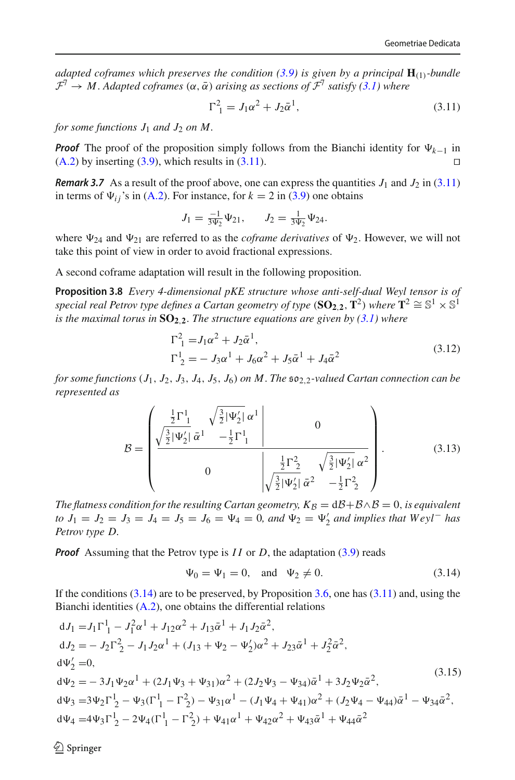*adapted coframes which preserves the condition [\(3.9\)](#page-24-3) is given by a principal*  $H_{(1)}$ *-bundle*  $\mathcal{F}^7 \to M$ . *Adapted coframes*  $(\alpha, \bar{\alpha})$  *arising as sections of*  $\mathcal{F}^7$  *satisfy* [\(3.1\)](#page-22-1) where

<span id="page-25-0"></span>
$$
\Gamma_1^2 = J_1 \alpha^2 + J_2 \bar{\alpha}^1,\tag{3.11}
$$

*for some functions*  $J_1$  *and*  $J_2$  *on*  $M$ *.* 

*Proof* The proof of the proposition simply follows from the Bianchi identity for  $\Psi_{k-1}$  in  $(A.2)$  by inserting  $(3.9)$ , which results in  $(3.11)$ .

**Remark 3.7** As a result of the proof above, one can express the quantities  $J_1$  and  $J_2$  in [\(3.11\)](#page-25-0) in terms of  $\Psi_{ij}$ 's in [\(A.2\)](#page-37-0). For instance, for  $k = 2$  in [\(3.9\)](#page-24-3) one obtains

<span id="page-25-5"></span>
$$
J_1 = \frac{-1}{3\Psi_2}\Psi_{21}, \qquad J_2 = \frac{1}{3\Psi_2}\Psi_{24}.
$$

where  $\Psi_{24}$  and  $\Psi_{21}$  are referred to as the *coframe derivatives* of  $\Psi_2$ . However, we will not take this point of view in order to avoid fractional expressions.

A second coframe adaptation will result in the following proposition.

**Proposition 3.8** *Every 4-dimensional pKE structure whose anti-self-dual Weyl tensor is of special real Petrov type defines a Cartan geometry of type* ( $SO_{2,2}$ ,  $T^2$ ) *where*  $T^2 \cong S^1 \times S^1$ *is the maximal torus in*  $SO_2,2$ *. The structure equations are given by [\(3.1\)](#page-22-1)* where

<span id="page-25-3"></span>
$$
\Gamma^2_{1} = J_1 \alpha^2 + J_2 \bar{\alpha}^1,
$$
  
\n
$$
\Gamma^1_{2} = -J_3 \alpha^1 + J_6 \alpha^2 + J_5 \bar{\alpha}^1 + J_4 \bar{\alpha}^2
$$
\n(3.12)

*for some functions*  $(J_1, J_2, J_3, J_4, J_5, J_6)$  *on M. The*  $\mathfrak{so}_{2,2}$ -valued Cartan connection can be *represented as*

<span id="page-25-4"></span>
$$
\mathcal{B} = \begin{pmatrix} \frac{\frac{1}{2}\Gamma_{1}^{1}}{\frac{3}{2}|\Psi_{2}'|} \frac{\sqrt{\frac{3}{2}|\Psi_{2}'|}}{\alpha^{1}} \frac{-\frac{1}{2}\Gamma_{1}^{1}} & 0\\ 0 & \frac{\frac{1}{2}\Gamma_{2}^{2}}{\sqrt{\frac{3}{2}|\Psi_{2}'|}} \frac{\sqrt{\frac{3}{2}|\Psi_{2}'|}}{\alpha^{2}} \alpha^{2} \end{pmatrix}.
$$
(3.13)

*The flatness condition for the resulting Cartan geometry,*  $K_B = dB + B \wedge B = 0$ *, is equivalent to*  $J_1 = J_2 = J_3 = J_4 = J_5 = J_6 = \Psi_4 = 0$ , and  $\Psi_2 = \Psi'_2$  and implies that  $Weyl<sup>−</sup>$  has *Petrov type D.*

*Proof* Assuming that the Petrov type is *II* or *D*, the adaptation [\(3.9\)](#page-24-3) reads

<span id="page-25-1"></span>
$$
\Psi_0 = \Psi_1 = 0
$$
, and  $\Psi_2 \neq 0$ . (3.14)

If the conditions  $(3.14)$  are to be preserved, by Proposition [3.6,](#page-24-4) one has  $(3.11)$  and, using the Bianchi identities [\(A.2\)](#page-37-0), one obtains the differential relations

<span id="page-25-2"></span>
$$
dJ_1 = J_1 \Gamma_1^1 - J_1^2 \alpha^1 + J_{12} \alpha^2 + J_{13} \bar{\alpha}^1 + J_1 J_2 \bar{\alpha}^2,
$$
  
\n
$$
dJ_2 = -J_2 \Gamma_2^2 - J_1 J_2 \alpha^1 + (J_{13} + \Psi_2 - \Psi_2') \alpha^2 + J_{23} \bar{\alpha}^1 + J_2^2 \bar{\alpha}^2,
$$
  
\n
$$
d\Psi_2' = 0,
$$
  
\n
$$
d\Psi_2 = -3J_1 \Psi_2 \alpha^1 + (2J_1 \Psi_3 + \Psi_{31}) \alpha^2 + (2J_2 \Psi_3 - \Psi_{34}) \bar{\alpha}^1 + 3J_2 \Psi_2 \bar{\alpha}^2,
$$
  
\n
$$
d\Psi_3 = 3\Psi_2 \Gamma_2^1 - \Psi_3 (\Gamma_1^1 - \Gamma_2^2) - \Psi_{31} \alpha^1 - (J_1 \Psi_4 + \Psi_{41}) \alpha^2 + (J_2 \Psi_4 - \Psi_{44}) \bar{\alpha}^1 - \Psi_{34} \bar{\alpha}^2,
$$
  
\n
$$
d\Psi_4 = 4\Psi_3 \Gamma_2^1 - 2\Psi_4 (\Gamma_1^1 - \Gamma_2^2) + \Psi_{41} \alpha^1 + \Psi_{42} \alpha^2 + \Psi_{43} \bar{\alpha}^1 + \Psi_{44} \bar{\alpha}^2
$$
\n(3.15)

 $\mathcal{L}$  Springer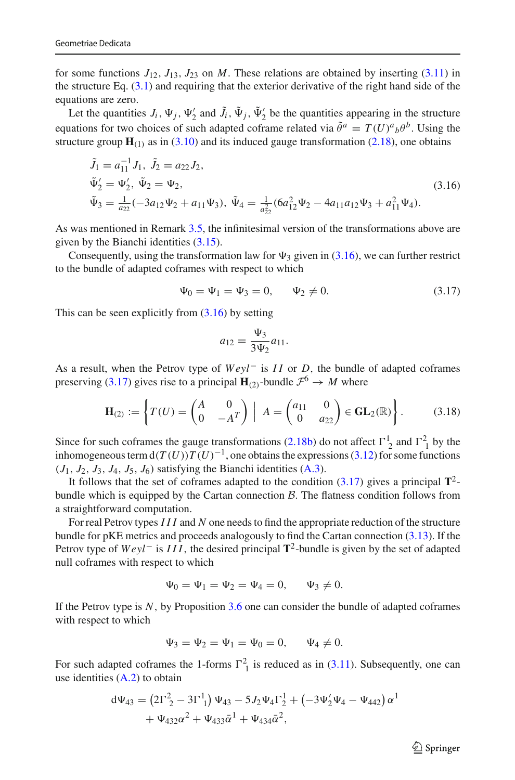for some functions  $J_{12}$ ,  $J_{13}$ ,  $J_{23}$  on *M*. These relations are obtained by inserting [\(3.11\)](#page-25-0) in the structure Eq. [\(3.1\)](#page-22-1) and requiring that the exterior derivative of the right hand side of the equations are zero.

Let the quantities  $J_i$ ,  $\Psi_j$ ,  $\Psi_2'$  and  $J_i$ ,  $\Psi_j$ ,  $\Psi_2'$  be the quantities appearing in the structure equations for two choices of such adapted coframe related via  $\tilde{\theta}^a = T(U)^a{}_b \theta^b$ . Using the structure group  $\mathbf{H}_{(1)}$  as in  $(3.10)$  and its induced gauge transformation  $(2.18)$ , one obtains

<span id="page-26-0"></span>
$$
\tilde{J}_1 = a_{11}^{-1} J_1, \ \tilde{J}_2 = a_{22} J_2,
$$
\n
$$
\tilde{\Psi}'_2 = \Psi'_2, \ \tilde{\Psi}_2 = \Psi_2,
$$
\n
$$
\tilde{\Psi}_3 = \frac{1}{a_{22}} (-3a_{12}\Psi_2 + a_{11}\Psi_3), \ \tilde{\Psi}_4 = \frac{1}{a_{22}^2} (6a_{12}^2\Psi_2 - 4a_{11}a_{12}\Psi_3 + a_{11}^2\Psi_4).
$$
\n(3.16)

As was mentioned in Remark [3.5,](#page-24-6) the infinitesimal version of the transformations above are given by the Bianchi identities [\(3.15\)](#page-25-2).

Consequently, using the transformation law for  $\Psi_3$  given in [\(3.16\)](#page-26-0), we can further restrict to the bundle of adapted coframes with respect to which

<span id="page-26-1"></span>
$$
\Psi_0 = \Psi_1 = \Psi_3 = 0, \qquad \Psi_2 \neq 0. \tag{3.17}
$$

This can be seen explicitly from  $(3.16)$  by setting

$$
a_{12} = \frac{\Psi_3}{3\Psi_2} a_{11}.
$$

As a result, when the Petrov type of *Weyl*− is *I I* or *D*, the bundle of adapted coframes preserving [\(3.17\)](#page-26-1) gives rise to a principal  $H_{(2)}$ -bundle  $\mathcal{F}^6 \rightarrow M$  where

<span id="page-26-2"></span>
$$
\mathbf{H}_{(2)} := \left\{ T(U) = \begin{pmatrix} A & 0 \\ 0 & -A^T \end{pmatrix} \middle| A = \begin{pmatrix} a_{11} & 0 \\ 0 & a_{22} \end{pmatrix} \in \mathbf{GL}_2(\mathbb{R}) \right\}. \tag{3.18}
$$

Since for such coframes the gauge transformations [\(2.18b\)](#page-10-4) do not affect  $\Gamma^1_2$  and  $\Gamma^2_1$  by the inhomogeneous term  $d(T(U))T(U)^{-1}$ , one obtains the expressions [\(3.12\)](#page-25-3) for some functions  $(J_1, J_2, J_3, J_4, J_5, J_6)$  satisfying the Bianchi identities  $(A.3)$ .

It follows that the set of coframes adapted to the condition  $(3.17)$  gives a principal  $\mathbf{T}^2$ bundle which is equipped by the Cartan connection *B*. The flatness condition follows from a straightforward computation.

For real Petrov types *III* and *N* one needs to find the appropriate reduction of the structure bundle for pKE metrics and proceeds analogously to find the Cartan connection  $(3.13)$ . If the Petrov type of *Weyl*<sup>−</sup> is *III*, the desired principal **T**2-bundle is given by the set of adapted null coframes with respect to which

$$
\Psi_0 = \Psi_1 = \Psi_2 = \Psi_4 = 0, \quad \Psi_3 \neq 0.
$$

If the Petrov type is *N*, by Proposition [3.6](#page-24-4) one can consider the bundle of adapted coframes with respect to which

$$
\Psi_3 = \Psi_2 = \Psi_1 = \Psi_0 = 0, \quad \Psi_4 \neq 0.
$$

For such adapted coframes the 1-forms  $\Gamma_1^2$  is reduced as in [\(3.11\)](#page-25-0). Subsequently, one can use identities [\(A.2\)](#page-37-0) to obtain

$$
d\Psi_{43} = (2\Gamma_2^2 - 3\Gamma_1^1) \Psi_{43} - 5J_2\Psi_4\Gamma_2^1 + (-3\Psi_2'\Psi_4 - \Psi_{442}) \alpha^1 + \Psi_{432}\alpha^2 + \Psi_{433}\bar{\alpha}^1 + \Psi_{434}\bar{\alpha}^2,
$$

 $\circled{2}$  Springer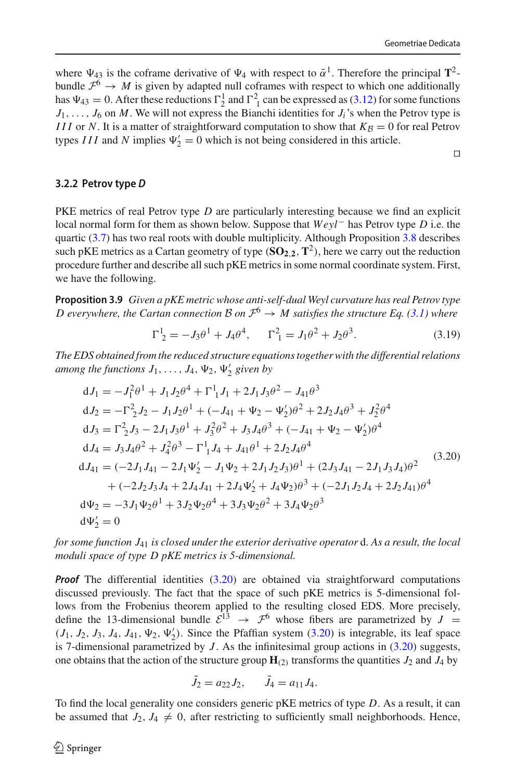where  $\Psi_{43}$  is the coframe derivative of  $\Psi_4$  with respect to  $\bar{\alpha}^1$ . Therefore the principal  $\mathbf{T}^2$ bundle  $\mathcal{F}^6 \to M$  is given by adapted null coframes with respect to which one additionally has  $\Psi_{43} = 0$ . After these reductions  $\Gamma_2^1$  and  $\Gamma_1^2$  can be expressed as [\(3.12\)](#page-25-3) for some functions  $J_1, \ldots, J_6$  on *M*. We will not express the Bianchi identities for  $J_i$ 's when the Petrov type is *III* or *N*. It is a matter of straightforward computation to show that  $K_{\beta} = 0$  for real Petrov types *III* and *N* implies  $\Psi_2' = 0$  which is not being considered in this article.

 $\Box$ 

## <span id="page-27-0"></span>**3.2.2 Petrov type** *D*

PKE metrics of real Petrov type *D* are particularly interesting because we find an explicit local normal form for them as shown below. Suppose that *Weyl*− has Petrov type *D* i.e. the quartic [\(3.7\)](#page-24-7) has two real roots with double multiplicity. Although Proposition [3.8](#page-25-5) describes such pKE metrics as a Cartan geometry of type  $(\mathbf{SO}_{2,2}, \mathbf{T}^2)$ , here we carry out the reduction procedure further and describe all such pKE metrics in some normal coordinate system. First, we have the following.

**Proposition 3.9** *Given a pKE metric whose anti-self-dual Weyl curvature has real Petrov type D* everywhere, the Cartan connection  $\beta$  on  $\mathcal{F}^6 \to M$  satisfies the structure Eq. [\(3.1\)](#page-22-1) where

<span id="page-27-3"></span><span id="page-27-2"></span>
$$
\Gamma^1_{\ 2} = -J_3\theta^1 + J_4\theta^4, \qquad \Gamma^2_{\ 1} = J_1\theta^2 + J_2\theta^3. \tag{3.19}
$$

*The EDS obtained from the reduced structure equations together with the differential relations* among the functions  $J_1, \ldots, J_4, \Psi_2, \Psi'_2$  given by

<span id="page-27-1"></span>
$$
dJ_1 = -J_1^2 \theta^1 + J_1 J_2 \theta^4 + \Gamma^1_1 J_1 + 2J_1 J_3 \theta^2 - J_{41} \theta^3
$$
  
\n
$$
dJ_2 = -\Gamma^2_2 J_2 - J_1 J_2 \theta^1 + (-J_{41} + \Psi_2 - \Psi'_2) \theta^2 + 2J_2 J_4 \theta^3 + J_2^2 \theta^4
$$
  
\n
$$
dJ_3 = \Gamma^2_2 J_3 - 2J_1 J_3 \theta^1 + J_3^2 \theta^2 + J_3 J_4 \theta^3 + (-J_{41} + \Psi_2 - \Psi'_2) \theta^4
$$
  
\n
$$
dJ_4 = J_3 J_4 \theta^2 + J_4^2 \theta^3 - \Gamma^1_1 J_4 + J_{41} \theta^1 + 2J_2 J_4 \theta^4
$$
  
\n
$$
dJ_{41} = (-2J_1 J_{41} - 2J_1 \Psi'_2 - J_1 \Psi_2 + 2J_1 J_2 J_3) \theta^1 + (2J_3 J_{41} - 2J_1 J_3 J_4) \theta^2
$$
  
\n
$$
+ (-2J_2 J_3 J_4 + 2J_4 J_{41} + 2J_4 \Psi'_2 + J_4 \Psi_2) \theta^3 + (-2J_1 J_2 J_4 + 2J_2 J_{41}) \theta^4
$$
  
\n
$$
d\Psi_2 = -3J_1 \Psi_2 \theta^1 + 3J_2 \Psi_2 \theta^4 + 3J_3 \Psi_2 \theta^2 + 3J_4 \Psi_2 \theta^3
$$
  
\n
$$
d\Psi'_2 = 0
$$

*for some function J*<sup>41</sup> *is closed under the exterior derivative operator* d*. As a result, the local moduli space of type D pKE metrics is 5-dimensional.*

*Proof* The differential identities [\(3.20\)](#page-27-1) are obtained via straightforward computations discussed previously. The fact that the space of such pKE metrics is 5-dimensional follows from the Frobenius theorem applied to the resulting closed EDS. More precisely, define the 13-dimensional bundle  $\tilde{\mathcal{E}}^{13} \rightarrow \mathcal{F}^6$  whose fibers are parametrized by  $J =$  $(J_1, J_2, J_3, J_4, J_{41}, \Psi_2, \Psi'_2)$ . Since the Pfaffian system  $(3.20)$  is integrable, its leaf space is 7-dimensional parametrized by  $J$ . As the infinitesimal group actions in  $(3.20)$  suggests, one obtains that the action of the structure group  $\mathbf{H}_{(2)}$  transforms the quantities  $J_2$  and  $J_4$  by

$$
\tilde{J}_2 = a_{22} J_2, \qquad \tilde{J}_4 = a_{11} J_4.
$$

To find the local generality one considers generic pKE metrics of type *D*. As a result, it can be assumed that  $J_2$ ,  $J_4 \neq 0$ , after restricting to sufficiently small neighborhoods. Hence,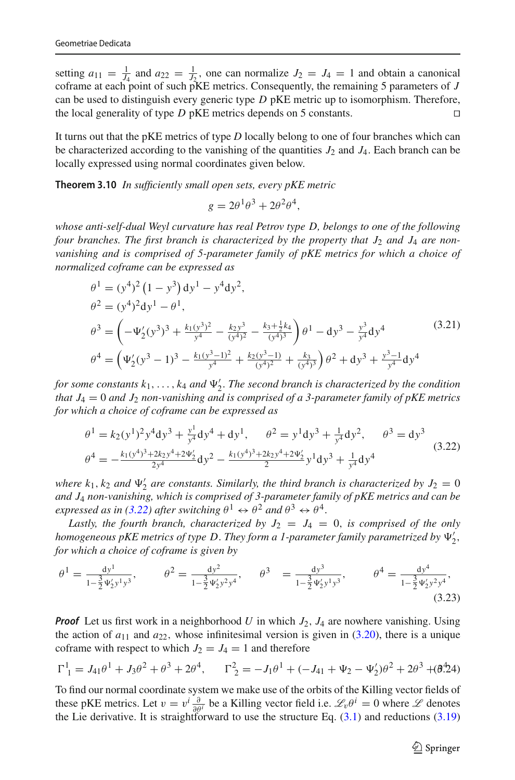setting  $a_{11} = \frac{1}{J_4}$  and  $a_{22} = \frac{1}{J_2}$ , one can normalize  $J_2 = J_4 = 1$  and obtain a canonical coframe at each point of such pKE metrics. Consequently, the remaining 5 parameters of *J* can be used to distinguish every generic type *D* pKE metric up to isomorphism. Therefore, the local generality of type  $D$  pKE metrics depends on 5 constants.  $\square$ 

It turns out that the pKE metrics of type *D* locally belong to one of four branches which can be characterized according to the vanishing of the quantities  $J_2$  and  $J_4$ . Each branch can be locally expressed using normal coordinates given below.

**Theorem 3.10** *In sufficiently small open sets, every pKE metric*

<span id="page-28-0"></span>
$$
g = 2\theta^1\theta^3 + 2\theta^2\theta^4,
$$

*whose anti-self-dual Weyl curvature has real Petrov type D, belongs to one of the following four branches. The first branch is characterized by the property that J*<sup>2</sup> *and J*<sup>4</sup> *are nonvanishing and is comprised of 5-parameter family of pKE metrics for which a choice of normalized coframe can be expressed as*

<span id="page-28-3"></span>
$$
\theta^{1} = (y^{4})^{2} (1 - y^{3}) dy^{1} - y^{4} dy^{2},
$$
  
\n
$$
\theta^{2} = (y^{4})^{2} dy^{1} - \theta^{1},
$$
  
\n
$$
\theta^{3} = \left( -\Psi_{2}'(y^{3})^{3} + \frac{k_{1}(y^{3})^{2}}{y^{4}} - \frac{k_{2}y^{3}}{(y^{4})^{2}} - \frac{k_{3} + \frac{1}{2}k_{4}}{(y^{4})^{3}} \right) \theta^{1} - dy^{3} - \frac{y^{3}}{y^{4}} dy^{4}
$$
\n
$$
\theta^{4} = \left( \Psi_{2}'(y^{3} - 1)^{3} - \frac{k_{1}(y^{3} - 1)^{2}}{y^{4}} + \frac{k_{2}(y^{3} - 1)}{(y^{4})^{2}} + \frac{k_{3}}{(y^{4})^{3}} \right) \theta^{2} + dy^{3} + \frac{y^{3} - 1}{y^{4}} dy^{4}
$$
\n(3.21)

*for some constants k*1,..., *k*<sup>4</sup> *and* <sup>2</sup>. *The second branch is characterized by the condition that J*<sup>4</sup> = 0 *and J*<sup>2</sup> *non-vanishing and is comprised of a 3-parameter family of pKE metrics for which a choice of coframe can be expressed as*

<span id="page-28-1"></span>
$$
\theta^{1} = k_{2}(y^{1})^{2}y^{4}dy^{3} + \frac{y^{1}}{y^{4}}dy^{4} + dy^{1}, \quad \theta^{2} = y^{1}dy^{3} + \frac{1}{y^{4}}dy^{2}, \quad \theta^{3} = dy^{3}
$$
\n
$$
\theta^{4} = -\frac{k_{1}(y^{4})^{3} + 2k_{2}y^{4} + 2\Psi'_{2}}{2y^{4}}dy^{2} - \frac{k_{1}(y^{4})^{3} + 2k_{2}y^{4} + 2\Psi'_{2}}{2}y^{1}dy^{3} + \frac{1}{y^{4}}dy^{4}
$$
\n(3.22)

where  $k_1, k_2$  and  $\Psi'_2$  are constants. Similarly, the third branch is characterized by  $J_2 = 0$ *and J*<sup>4</sup> *non-vanishing, which is comprised of 3-parameter family of pKE metrics and can be expressed as in [\(3.22\)](#page-28-1) after switching*  $\theta^1 \leftrightarrow \theta^2$  *and*  $\theta^3 \leftrightarrow \theta^4$ .

Lastly, the fourth branch, characterized by  $J_2 = J_4 = 0$ , is comprised of the only *homogeneous pKE metrics of type D*. *They form a 1-parameter family parametrized by* 2, *for which a choice of coframe is given by*

<span id="page-28-4"></span>
$$
\theta^1 = \frac{dy^1}{1 - \frac{3}{2}\Psi_2' y^1 y^3}, \qquad \theta^2 = \frac{dy^2}{1 - \frac{3}{2}\Psi_2' y^2 y^4}, \qquad \theta^3 = \frac{dy^3}{1 - \frac{3}{2}\Psi_2' y^1 y^3}, \qquad \theta^4 = \frac{dy^4}{1 - \frac{3}{2}\Psi_2' y^2 y^4},
$$
\n(3.23)

*Proof* Let us first work in a neighborhood *U* in which *J*2, *J*<sup>4</sup> are nowhere vanishing. Using the action of  $a_{11}$  and  $a_{22}$ , whose infinitesimal version is given in [\(3.20\)](#page-27-1), there is a unique coframe with respect to which  $J_2 = J_4 = 1$  and therefore

<span id="page-28-2"></span>
$$
\Gamma^1_{1} = J_{41}\theta^1 + J_{3}\theta^2 + \theta^3 + 2\theta^4, \qquad \Gamma^2_{2} = -J_{1}\theta^1 + (-J_{41} + \Psi_2 - \Psi_2')\theta^2 + 2\theta^3 + (\theta^4\theta^4)
$$

To find our normal coordinate system we make use of the orbits of the Killing vector fields of these pKE metrics. Let  $v = v^i \frac{\partial}{\partial \theta^i}$  be a Killing vector field i.e.  $\mathcal{L}_v \theta^i = 0$  where  $\mathcal L$  denotes the Lie derivative. It is straightforward to use the structure Eq.  $(3.1)$  and reductions  $(3.19)$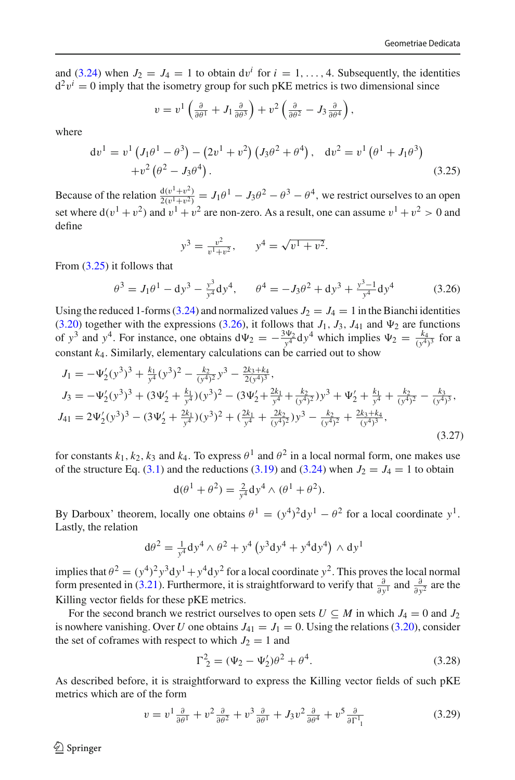and [\(3.24\)](#page-28-2) when  $J_2 = J_4 = 1$  to obtain  $dv^i$  for  $i = 1, ..., 4$ . Subsequently, the identities  $d^2v^i = 0$  imply that the isometry group for such pKE metrics is two dimensional since

$$
v = v^1 \left( \frac{\partial}{\partial \theta^1} + J_1 \frac{\partial}{\partial \theta^3} \right) + v^2 \left( \frac{\partial}{\partial \theta^2} - J_3 \frac{\partial}{\partial \theta^4} \right),
$$

where

<span id="page-29-0"></span>
$$
dv^{1} = v^{1} (J_{1}\theta^{1} - \theta^{3}) - (2v^{1} + v^{2}) (J_{3}\theta^{2} + \theta^{4}), dv^{2} = v^{1} (\theta^{1} + J_{1}\theta^{3}) + v^{2} (\theta^{2} - J_{3}\theta^{4}).
$$
\n(3.25)

Because of the relation  $\frac{d(v^1+v^2)}{2(v^1+v^2)} = J_1\theta^1 - J_3\theta^2 - \theta^3 - \theta^4$ , we restrict ourselves to an open set where  $d(v^1 + v^2)$  and  $v^1 + v^2$  are non-zero. As a result, one can assume  $v^1 + v^2 > 0$  and define

$$
y^3 = \frac{v^2}{v^1 + v^2}
$$
,  $y^4 = \sqrt{v^1 + v^2}$ .

From [\(3.25\)](#page-29-0) it follows that

<span id="page-29-1"></span>
$$
\theta^3 = J_1 \theta^1 - dy^3 - \frac{y^3}{y^4} dy^4, \qquad \theta^4 = -J_3 \theta^2 + dy^3 + \frac{y^3 - 1}{y^4} dy^4 \tag{3.26}
$$

Using the reduced 1-forms [\(3.24\)](#page-28-2) and normalized values  $J_2 = J_4 = 1$  in the Bianchi identities [\(3.20\)](#page-27-1) together with the expressions [\(3.26\)](#page-29-1), it follows that  $J_1$ ,  $J_3$ ,  $J_{41}$  and  $\Psi_2$  are functions of  $y^3$  and  $y^4$ . For instance, one obtains  $d\Psi_2 = -\frac{3\Psi_2}{y^4} dy^4$  which implies  $\Psi_2 = \frac{k_4}{(y^4)^3}$  for a constant  $k_4$ . Similarly, elementary calculations can be carried out to show

$$
J_1 = -\Psi_2'(y^3)^3 + \frac{k_1}{y^4}(y^3)^2 - \frac{k_2}{(y^4)^2}y^3 - \frac{2k_3 + k_4}{2(y^4)^3},
$$
  
\n
$$
J_3 = -\Psi_2'(y^3)^3 + (3\Psi_2' + \frac{k_1}{y^4})(y^3)^2 - (3\Psi_2' + \frac{2k_1}{y^4} + \frac{k_2}{(y^4)^2})y^3 + \Psi_2' + \frac{k_1}{y^4} + \frac{k_2}{(y^4)^2} - \frac{k_3}{(y^4)^3},
$$
  
\n
$$
J_{41} = 2\Psi_2'(y^3)^3 - (3\Psi_2' + \frac{2k_1}{y^4})(y^3)^2 + (\frac{2k_1}{y^4} + \frac{2k_2}{(y^4)^2})y^3 - \frac{k_2}{(y^4)^2} + \frac{2k_3 + k_4}{(y^4)^3},
$$
  
\n(3.27)

for constants  $k_1, k_2, k_3$  and  $k_4$ . To express  $\theta^1$  and  $\theta^2$  in a local normal form, one makes use of the structure Eq. [\(3.1\)](#page-22-1) and the reductions [\(3.19\)](#page-27-2) and [\(3.24\)](#page-28-2) when  $J_2 = J_4 = 1$  to obtain

$$
d(\theta^1 + \theta^2) = \frac{2}{y^4} dy^4 \wedge (\theta^1 + \theta^2).
$$

By Darboux' theorem, locally one obtains  $\theta^1 = (y^4)^2 dy^1 - \theta^2$  for a local coordinate  $y^1$ . Lastly, the relation

$$
d\theta^2 = \frac{1}{y^4} dy^4 \wedge \theta^2 + y^4 \left( y^3 dy^4 + y^4 dy^4 \right) \wedge dy^1
$$

implies that  $\theta^2 = (y^4)^2 y^3 dy^1 + y^4 dy^2$  for a local coordinate  $y^2$ . This proves the local normal form presented in [\(3.21\)](#page-28-3). Furthermore, it is straightforward to verify that  $\frac{\partial}{\partial y^1}$  and  $\frac{\partial}{\partial y^2}$  are the Killing vector fields for these pKE metrics.

For the second branch we restrict ourselves to open sets  $U \subseteq M$  in which  $J_4 = 0$  and  $J_2$ is nowhere vanishing. Over *U* one obtains  $J_{41} = J_1 = 0$ . Using the relations [\(3.20\)](#page-27-1), consider the set of coframes with respect to which  $J_2 = 1$  and

<span id="page-29-2"></span>
$$
\Gamma_2^2 = (\Psi_2 - \Psi_2')\theta^2 + \theta^4. \tag{3.28}
$$

As described before, it is straightforward to express the Killing vector fields of such pKE metrics which are of the form

<span id="page-29-3"></span>
$$
v = v^1 \frac{\partial}{\partial \theta^1} + v^2 \frac{\partial}{\partial \theta^2} + v^3 \frac{\partial}{\partial \theta^1} + J_3 v^2 \frac{\partial}{\partial \theta^4} + v^5 \frac{\partial}{\partial \Gamma^1_{1}} \tag{3.29}
$$

 $\circledcirc$  Springer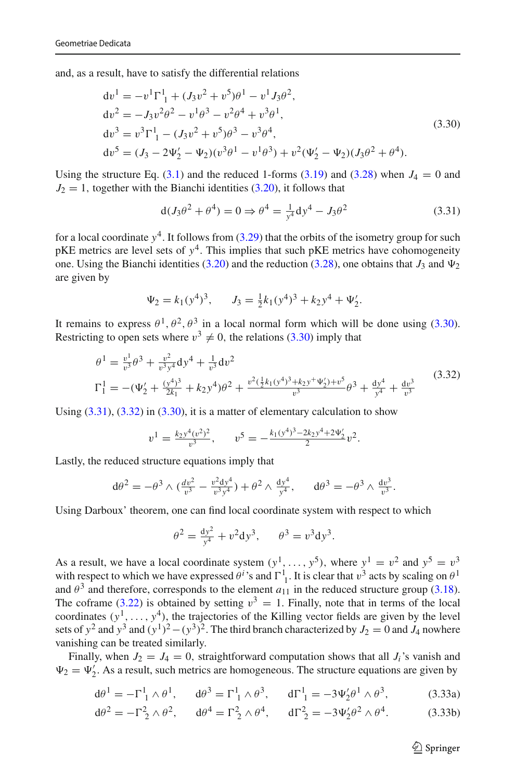and, as a result, have to satisfy the differential relations

<span id="page-30-0"></span>
$$
dv1 = -v1 \Gamma11 + (J3v2 + v5)\theta1 - v1 J3\theta2,\n dv2 = -J3v2\theta2 - v1\theta3 - v2\theta4 + v3\theta1,\n dv3 = v3 \Gamma11 - (J3v2 + v5)\theta3 - v3\theta4,\n dv5 = (J3 - 2\Psi'2 - \Psi2)(v3\theta1 - v1\theta3) + v2(\Psi'2 - \Psi2)(J3\theta2 + \theta4).
$$
\n(3.30)

Using the structure Eq. [\(3.1\)](#page-22-1) and the reduced 1-forms [\(3.19\)](#page-27-2) and [\(3.28\)](#page-29-2) when  $J_4 = 0$  and  $J_2 = 1$ , together with the Bianchi identities [\(3.20\)](#page-27-1), it follows that

<span id="page-30-1"></span>
$$
d(J_3\theta^2 + \theta^4) = 0 \Rightarrow \theta^4 = \frac{1}{y^4}dy^4 - J_3\theta^2
$$
 (3.31)

for a local coordinate  $y^4$ . It follows from  $(3.29)$  that the orbits of the isometry group for such pKE metrics are level sets of  $y^4$ . This implies that such pKE metrics have cohomogeneity one. Using the Bianchi identities  $(3.20)$  and the reduction  $(3.28)$ , one obtains that  $J_3$  and  $\Psi_2$ are given by

$$
\Psi_2 = k_1 (y^4)^3
$$
,  $J_3 = \frac{1}{2} k_1 (y^4)^3 + k_2 y^4 + \Psi'_2$ .

It remains to express  $\theta^1$ ,  $\theta^2$ ,  $\theta^3$  in a local normal form which will be done using [\(3.30\)](#page-30-0). Restricting to open sets where  $v^3 \neq 0$ , the relations [\(3.30\)](#page-30-0) imply that

<span id="page-30-2"></span>
$$
\theta^{1} = \frac{v^{1}}{v^{3}} \theta^{3} + \frac{v^{2}}{v^{3} y^{4}} dy^{4} + \frac{1}{v^{3}} dv^{2}
$$
\n
$$
\Gamma_{1}^{1} = -(\Psi_{2}^{\prime} + \frac{(y^{4})^{3}}{2k_{1}} + k_{2} y^{4}) \theta^{2} + \frac{v^{2} (\frac{1}{2}k_{1}(y^{4})^{3} + k_{2} y^{+} \Psi_{2}^{\prime}) + v^{5}}{v^{3}} \theta^{3} + \frac{dy^{4}}{y^{4}} + \frac{dv^{3}}{v^{3}} \tag{3.32}
$$

Using  $(3.31)$ ,  $(3.32)$  in  $(3.30)$ , it is a matter of elementary calculation to show

$$
v^{1} = \frac{k_{2}y^{4}(v^{2})^{2}}{v^{3}}, \qquad v^{5} = -\frac{k_{1}(y^{4})^{3} - 2k_{2}y^{4} + 2\Psi'_{2}}{2}v^{2}.
$$

Lastly, the reduced structure equations imply that

$$
d\theta^2 = -\theta^3 \wedge (\frac{dv^2}{v^3} - \frac{v^2 dy^4}{v^3 y^4}) + \theta^2 \wedge \frac{dy^4}{y^4}, \quad d\theta^3 = -\theta^3 \wedge \frac{dv^3}{v^3}.
$$

Using Darboux' theorem, one can find local coordinate system with respect to which

$$
\theta^2 = \frac{dy^2}{y^4} + v^2 dy^3
$$
,  $\theta^3 = v^3 dy^3$ .

As a result, we have a local coordinate system  $(y^1, \ldots, y^5)$ , where  $y^1 = v^2$  and  $y^5 = v^3$ with respect to which we have expressed  $\theta^i$ 's and  $\Gamma^1$ <sub>1</sub>. It is clear that  $v^3$  acts by scaling on  $\theta^1$ and  $\theta^3$  and therefore, corresponds to the element  $a_{11}$  in the reduced structure group [\(3.18\)](#page-26-2). The coframe [\(3.22\)](#page-28-1) is obtained by setting  $v^3 = 1$ . Finally, note that in terms of the local coordinates  $(y^1, \ldots, y^4)$ , the trajectories of the Killing vector fields are given by the level sets of *y*<sup>2</sup> and *y*<sup>3</sup> and  $(y^{1})^{2}-(y^{3})^{2}$ . The third branch characterized by *J*<sub>2</sub> = 0 and *J*<sub>4</sub> nowhere vanishing can be treated similarly.

Finally, when  $J_2 = J_4 = 0$ , straightforward computation shows that all  $J_i$ 's vanish and  $\Psi_2 = \Psi'_2$ . As a result, such metrics are homogeneous. The structure equations are given by

$$
d\theta^{1} = -\Gamma_{1}^{1} \wedge \theta^{1}, \quad d\theta^{3} = \Gamma_{1}^{1} \wedge \theta^{3}, \quad d\Gamma_{1}^{1} = -3\Psi_{2}'\theta^{1} \wedge \theta^{3},
$$
 (3.33a)

$$
d\theta^2 = -\Gamma_2^2 \wedge \theta^2, \quad d\theta^4 = \Gamma_2^2 \wedge \theta^4, \quad d\Gamma_2^2 = -3\Psi_2'\theta^2 \wedge \theta^4. \tag{3.33b}
$$

<span id="page-30-3"></span> $\circled{2}$  Springer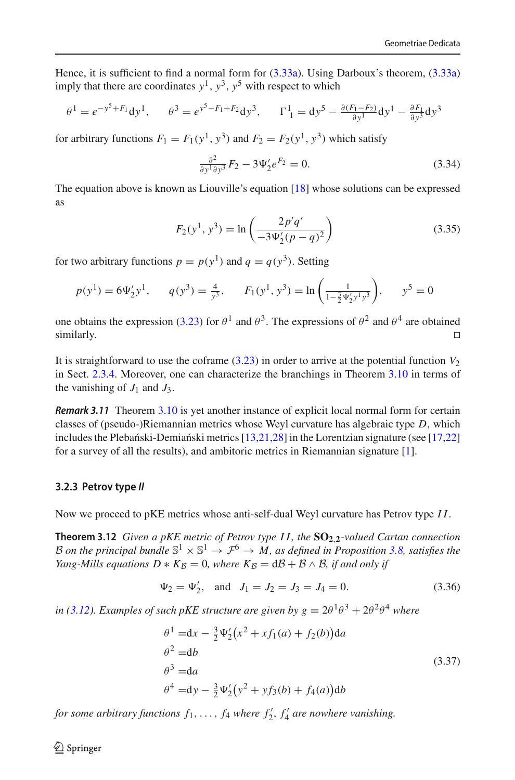Hence, it is sufficient to find a normal form for [\(3.33a\)](#page-30-3). Using Darboux's theorem, [\(3.33a\)](#page-30-3) imply that there are coordinates  $y^1$ ,  $y^3$ ,  $y^5$  with respect to which

$$
\theta^1 = e^{-y^5 + F_1} dy^1, \qquad \theta^3 = e^{y^5 - F_1 + F_2} dy^3, \qquad \Gamma^1_{1} = dy^5 - \frac{\partial (F_1 - F_2)}{\partial y^1} dy^1 - \frac{\partial F_1}{\partial y^3} dy^3
$$

for arbitrary functions  $F_1 = F_1(y^1, y^3)$  and  $F_2 = F_2(y^1, y^3)$  which satisfy

$$
\frac{\partial^2}{\partial y^1 \partial y^3} F_2 - 3\Psi'_2 e^{F_2} = 0.
$$
 (3.34)

The equation above is known as Liouville's equation [\[18\]](#page-47-9) whose solutions can be expressed as

$$
F_2(y^1, y^3) = \ln\left(\frac{2p'q'}{-3\Psi_2'(p-q)^2}\right)
$$
\n(3.35)

for two arbitrary functions  $p = p(y^1)$  and  $q = q(y^3)$ . Setting

$$
p(y^1) = 6\Psi'_2 y^1
$$
,  $q(y^3) = \frac{4}{y^3}$ ,  $F_1(y^1, y^3) = \ln\left(\frac{1}{1-\frac{3}{2}\Psi'_2 y^1 y^3}\right)$ ,  $y^5 = 0$ 

one obtains the expression [\(3.23\)](#page-28-4) for  $\theta^1$  and  $\theta^3$ . The expressions of  $\theta^2$  and  $\theta^4$  are obtained  $\Box$  similarly.

It is straightforward to use the coframe  $(3.23)$  in order to arrive at the potential function  $V_2$ in Sect. [2.3.4.](#page-21-0) Moreover, one can characterize the branchings in Theorem [3.10](#page-28-0) in terms of the vanishing of  $J_1$  and  $J_3$ .

*Remark 3.11* Theorem [3.10](#page-28-0) is yet another instance of explicit local normal form for certain classes of (pseudo-)Riemannian metrics whose Weyl curvature has algebraic type *D*, which includes the Plebański-Demiański metrics  $[13,21,28]$  $[13,21,28]$  $[13,21,28]$  $[13,21,28]$  in the Lorentzian signature (see  $[17,22]$  $[17,22]$ ) for a survey of all the results), and ambitoric metrics in Riemannian signature [\[1\]](#page-46-6).

#### <span id="page-31-0"></span>**3.2.3 Petrov type** *II*

Now we proceed to pKE metrics whose anti-self-dual Weyl curvature has Petrov type *I I*.

**Theorem 3.12** *Given a pKE metric of Petrov type I I , the* **SO2**,**2***-valued Cartan connection B on the principal bundle*  $\mathbb{S}^1 \times \mathbb{S}^1 \to \mathcal{F}^6 \to M$ , *as defined in Proposition* [3.8,](#page-25-5) *satisfies the Yang-Mills equations*  $D * K_B = 0$ *, where*  $K_B = d\mathcal{B} + \mathcal{B} \wedge \mathcal{B}$ *, if and only if* 

<span id="page-31-2"></span><span id="page-31-1"></span>
$$
\Psi_2 = \Psi'_2
$$
, and  $J_1 = J_2 = J_3 = J_4 = 0$ . (3.36)

*in* [\(3.12\)](#page-25-3)*. Examples of such pKE structure are given by*  $g = 2\theta^1\theta^3 + 2\theta^2\theta^4$  *where* 

<span id="page-31-3"></span>
$$
\theta^{1} = dx - \frac{3}{2} \Psi'_{2} (x^{2} + xf_{1}(a) + f_{2}(b)) da
$$
  
\n
$$
\theta^{2} = db
$$
  
\n
$$
\theta^{3} = da
$$
  
\n
$$
\theta^{4} = dy - \frac{3}{2} \Psi'_{2} (y^{2} + yf_{3}(b) + f_{4}(a)) db
$$
  
\n(3.37)

*for some arbitrary functions*  $f_1, \ldots, f_4$  *where*  $f'_2, f'_4$  *are nowhere vanishing.*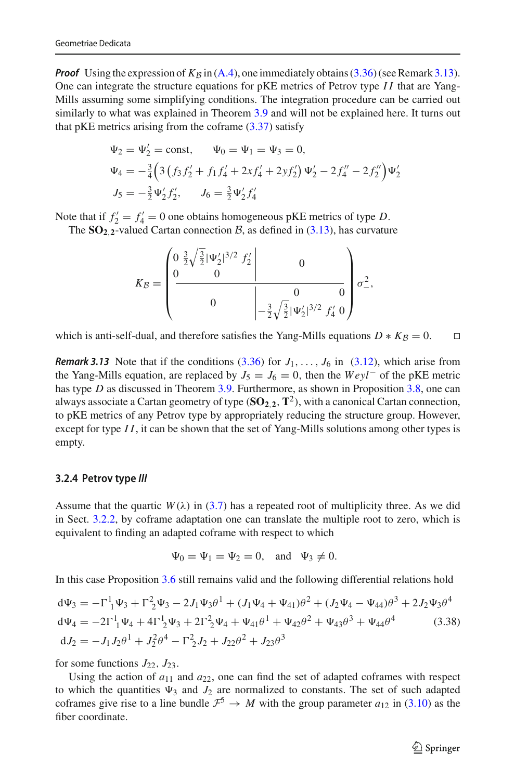**Proof** Using the expression of  $K_B$  in [\(A.4\)](#page-37-2), one immediately obtains [\(3.36\)](#page-31-2) (see Remark [3.13\)](#page-32-2). One can integrate the structure equations for pKE metrics of Petrov type *I I* that are Yang-Mills assuming some simplifying conditions. The integration procedure can be carried out similarly to what was explained in Theorem [3.9](#page-27-3) and will not be explained here. It turns out that pKE metrics arising from the coframe  $(3.37)$  satisfy

$$
\Psi_2 = \Psi'_2 = \text{const}, \qquad \Psi_0 = \Psi_1 = \Psi_3 = 0,
$$
  
\n
$$
\Psi_4 = -\frac{3}{4} \left( 3 \left( f_3 f'_2 + f_1 f'_4 + 2 x f'_4 + 2 y f'_2 \right) \Psi'_2 - 2 f''_4 - 2 f''_2 \right) \Psi'_2
$$
  
\n
$$
J_5 = -\frac{3}{2} \Psi'_2 f'_2, \qquad J_6 = \frac{3}{2} \Psi'_2 f'_4
$$

Note that if  $f_2' = f_4' = 0$  one obtains homogeneous pKE metrics of type *D*.

The  $SO_2$ <sub>2</sub>-valued Cartan connection *B*, as defined in [\(3.13\)](#page-25-4), has curvature

$$
K_B = \begin{pmatrix} 0 & \frac{3}{2}\sqrt{\frac{3}{2}}|\Psi_2'|^{3/2} & f_2' \\ 0 & 0 & 0 \\ 0 & 0 & 0 \\ 0 & -\frac{3}{2}\sqrt{\frac{3}{2}}|\Psi_2'|^{3/2} & f_4' & 0 \end{pmatrix} \sigma^2_{-},
$$

which is anti-self-dual, and therefore satisfies the Yang-Mills equations  $D * K_B = 0$ .

<span id="page-32-2"></span>*Remark 3.13* Note that if the conditions  $(3.36)$  for  $J_1, \ldots, J_6$  in  $(3.12)$ , which arise from the Yang-Mills equation, are replaced by  $J_5 = J_6 = 0$ , then the  $Weyl^-\,$  of the pKE metric has type *D* as discussed in Theorem [3.9.](#page-27-3) Furthermore, as shown in Proposition [3.8,](#page-25-5) one can always associate a Cartan geometry of type  $(SO_2, 2, T^2)$ , with a canonical Cartan connection, to pKE metrics of any Petrov type by appropriately reducing the structure group. However, except for type *I I*, it can be shown that the set of Yang-Mills solutions among other types is empty.

#### <span id="page-32-0"></span>**3.2.4 Petrov type** *III*

Assume that the quartic  $W(\lambda)$  in [\(3.7\)](#page-24-7) has a repeated root of multiplicity three. As we did in Sect. [3.2.2,](#page-27-0) by coframe adaptation one can translate the multiple root to zero, which is equivalent to finding an adapted coframe with respect to which

$$
\Psi_0 = \Psi_1 = \Psi_2 = 0
$$
, and  $\Psi_3 \neq 0$ .

In this case Proposition [3.6](#page-24-4) still remains valid and the following differential relations hold

<span id="page-32-3"></span>
$$
d\Psi_3 = -\Gamma^1_1 \Psi_3 + \Gamma^2_2 \Psi_3 - 2J_1 \Psi_3 \theta^1 + (J_1 \Psi_4 + \Psi_{41}) \theta^2 + (J_2 \Psi_4 - \Psi_{44}) \theta^3 + 2J_2 \Psi_3 \theta^4
$$
  
\n
$$
d\Psi_4 = -2\Gamma^1_1 \Psi_4 + 4\Gamma^1_2 \Psi_3 + 2\Gamma^2_2 \Psi_4 + \Psi_{41} \theta^1 + \Psi_{42} \theta^2 + \Psi_{43} \theta^3 + \Psi_{44} \theta^4
$$
\n(3.38)  
\n
$$
dJ_2 = -J_1 J_2 \theta^1 + J_2^2 \theta^4 - \Gamma^2_2 J_2 + J_{22} \theta^2 + J_{23} \theta^3
$$

for some functions  $J_{22}$ ,  $J_{23}$ .

<span id="page-32-1"></span>Using the action of  $a_{11}$  and  $a_{22}$ , one can find the set of adapted coframes with respect to which the quantities  $\Psi_3$  and  $J_2$  are normalized to constants. The set of such adapted coframes give rise to a line bundle  $\mathcal{F}^5 \to M$  with the group parameter  $a_{12}$  in [\(3.10\)](#page-24-5) as the fiber coordinate.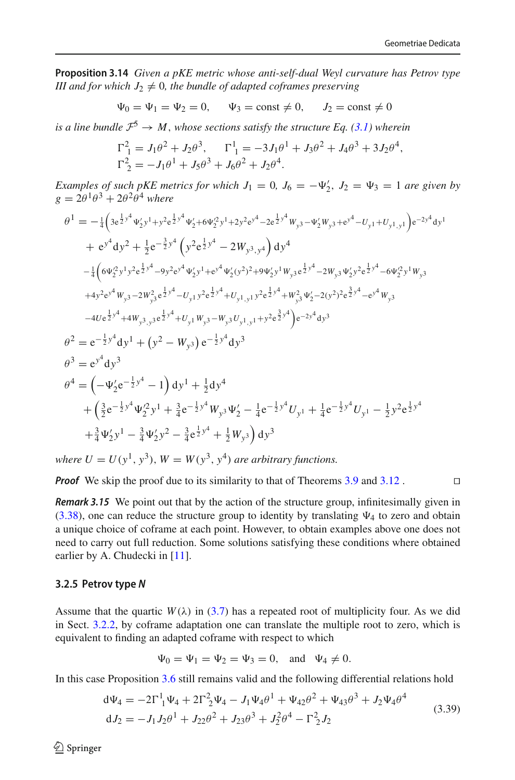**Proposition 3.14** *Given a pKE metric whose anti-self-dual Weyl curvature has Petrov type III and for which*  $J_2 \neq 0$ *, the bundle of adapted coframes preserving* 

$$
\Psi_0 = \Psi_1 = \Psi_2 = 0
$$
,  $\Psi_3 = \text{const} \neq 0$ ,  $J_2 = \text{const} \neq 0$ 

*is a line bundle*  $\mathcal{F}^5 \to M$ , *whose sections satisfy the structure Eq.* [\(3.1\)](#page-22-1) *wherein* 

$$
\Gamma_1^2 = J_1 \theta^2 + J_2 \theta^3, \qquad \Gamma_1^1 = -3J_1 \theta^1 + J_3 \theta^2 + J_4 \theta^3 + 3J_2 \theta^4,
$$
  

$$
\Gamma_2^2 = -J_1 \theta^1 + J_5 \theta^3 + J_6 \theta^2 + J_2 \theta^4.
$$

*Examples of such pKE metrics for which*  $J_1 = 0$ ,  $J_6 = -\Psi'_2$ ,  $J_2 = \Psi_3 = 1$  are given by  $g = 2\theta^1\theta^3 + 2\theta^2\theta^4$  where

$$
\theta^{1} = -\frac{1}{4} \left( 3e^{\frac{1}{2}y^{4}} \Psi_{2}' y^{1} + y^{2}e^{\frac{1}{2}y^{4}} \Psi_{2}' + 6\Psi_{2}^{2}y^{1} + 2y^{2}e^{y^{4}} - 2e^{\frac{1}{2}y^{4}} W_{y^{3}} - \Psi_{2}' W_{y^{3}} + e^{y^{4}} - U_{y^{1}} + U_{y^{1},y^{1}} \right) e^{-2y^{4}} dy^{1}
$$
\n
$$
+ e^{y^{4}} dy^{2} + \frac{1}{2}e^{-\frac{3}{2}y^{4}} \left( y^{2}e^{\frac{1}{2}y^{4}} - 2W_{y^{3},y^{4}} \right) dy^{4}
$$
\n
$$
- \frac{1}{4} \left( 6\Psi_{2}^{2}y^{1}y^{2}e^{\frac{1}{2}y^{4}} - 9y^{2}e^{y^{4}} \Psi_{2}'y^{1} + e^{y^{4}} \Psi_{2}'(y^{2})^{2} + 9\Psi_{2}' y^{1} W_{y^{3}} e^{\frac{1}{2}y^{4}} - 2W_{y^{3}} \Psi_{2}' y^{2}e^{\frac{1}{2}y^{4}} - 6\Psi_{2}^{2}y^{1} W_{y^{3}}
$$
\n
$$
+ 4y^{2}e^{y^{4}} W_{y^{3}} - 2W_{y^{3}}^{2}e^{\frac{1}{2}y^{4}} - U_{y^{1}} y^{2}e^{\frac{1}{2}y^{4}} + U_{y^{1},y^{1}} y^{2}e^{\frac{1}{2}y^{4}} + W_{y^{3}}^{2} \Psi_{2}' - 2(y^{2})^{2}e^{\frac{3}{2}y^{4}} - e^{y^{4}} W_{y^{3}}
$$
\n
$$
- 4Ue^{\frac{1}{2}y^{4}} + 4W_{y^{3},y^{3}}e^{\frac{1}{2}y^{4}} + U_{y^{1}} W_{y^{3}} - W_{y^{3}} U_{y^{1},y^{1}} + y^{2}e^{\frac{3}{2}y^{4}} \right) e^{-2y^{4}} dy^{3}
$$
\n
$$
\theta^{2} = e^{-\frac{1}{2}y^{4}} dy^{3}
$$
\n
$$
\theta^{3} = e^{y^{4}} dy^{3}
$$
\n
$$
\theta^{4}
$$

*where*  $U = U(y^1, y^3)$ ,  $W = W(y^3, y^4)$  *are arbitrary functions.* 

*Proof* We skip the proof due to its similarity to that of Theorems [3.9](#page-27-3) and [3.12](#page-31-1) . □

*Remark 3.15* We point out that by the action of the structure group, infinitesimally given in  $(3.38)$ , one can reduce the structure group to identity by translating  $\Psi_4$  to zero and obtain a unique choice of coframe at each point. However, to obtain examples above one does not need to carry out full reduction. Some solutions satisfying these conditions where obtained earlier by A. Chudecki in [\[11](#page-47-15)].

#### <span id="page-33-0"></span>**3.2.5 Petrov type** *N*

Assume that the quartic  $W(\lambda)$  in [\(3.7\)](#page-24-7) has a repeated root of multiplicity four. As we did in Sect. [3.2.2,](#page-27-0) by coframe adaptation one can translate the multiple root to zero, which is equivalent to finding an adapted coframe with respect to which

$$
\Psi_0 = \Psi_1 = \Psi_2 = \Psi_3 = 0
$$
, and  $\Psi_4 \neq 0$ .

In this case Proposition [3.6](#page-24-4) still remains valid and the following differential relations hold

$$
d\Psi_4 = -2\Gamma_1^1 \Psi_4 + 2\Gamma_2^2 \Psi_4 - J_1 \Psi_4 \theta^1 + \Psi_{42} \theta^2 + \Psi_{43} \theta^3 + J_2 \Psi_4 \theta^4
$$
  
\n
$$
dJ_2 = -J_1 J_2 \theta^1 + J_{22} \theta^2 + J_{23} \theta^3 + J_2^2 \theta^4 - \Gamma_2^2 J_2
$$
\n(3.39)

 $\circledcirc$  Springer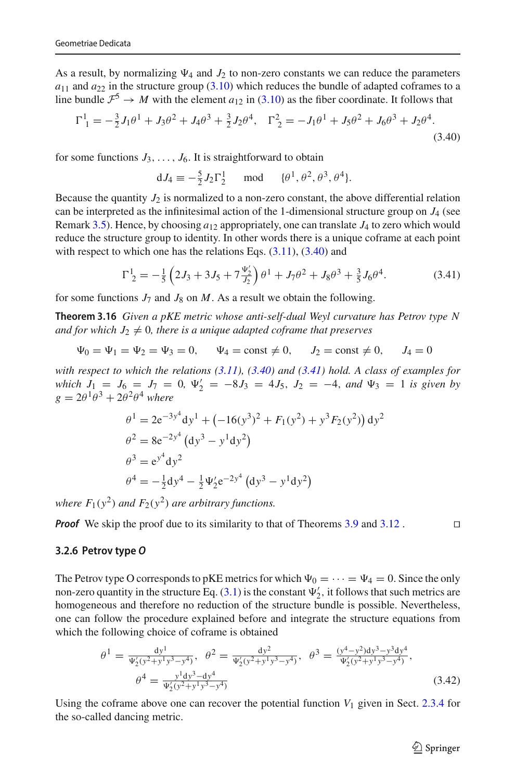As a result, by normalizing  $\Psi_4$  and  $J_2$  to non-zero constants we can reduce the parameters  $a_{11}$  and  $a_{22}$  in the structure group [\(3.10\)](#page-24-5) which reduces the bundle of adapted coframes to a line bundle  $\mathcal{F}^5 \to M$  with the element  $a_{12}$  in [\(3.10\)](#page-24-5) as the fiber coordinate. It follows that

<span id="page-34-2"></span>
$$
\Gamma_1^1 = -\frac{3}{2}J_1\theta^1 + J_3\theta^2 + J_4\theta^3 + \frac{3}{2}J_2\theta^4, \quad \Gamma_2^2 = -J_1\theta^1 + J_5\theta^2 + J_6\theta^3 + J_2\theta^4. \tag{3.40}
$$

for some functions  $J_3, \ldots, J_6$ . It is straightforward to obtain

<span id="page-34-1"></span>
$$
dJ_4 \equiv -\frac{5}{2}J_2\Gamma_2^1 \quad \text{mod} \quad {\theta}^1, \theta^2, \theta^3, \theta^4.
$$

Because the quantity  $J_2$  is normalized to a non-zero constant, the above differential relation can be interpreted as the infinitesimal action of the 1-dimensional structure group on  $J_4$  (see Remark [3.5\)](#page-24-6). Hence, by choosing  $a_{12}$  appropriately, one can translate  $J_4$  to zero which would reduce the structure group to identity. In other words there is a unique coframe at each point with respect to which one has the relations Eqs.  $(3.11)$ ,  $(3.40)$  and

<span id="page-34-3"></span>
$$
\Gamma^1_{2} = -\frac{1}{5} \left( 2J_3 + 3J_5 + 7\frac{\Psi_2'}{J_2} \right) \theta^1 + J_7 \theta^2 + J_8 \theta^3 + \frac{3}{5} J_6 \theta^4. \tag{3.41}
$$

for some functions  $J_7$  and  $J_8$  on  $M$ . As a result we obtain the following.

**Theorem 3.16** *Given a pKE metric whose anti-self-dual Weyl curvature has Petrov type N and for which*  $J_2 \neq 0$ *, there is a unique adapted coframe that preserves* 

$$
\Psi_0 = \Psi_1 = \Psi_2 = \Psi_3 = 0,
$$
  $\Psi_4 = \text{const} \neq 0,$   $J_2 = \text{const} \neq 0,$   $J_4 = 0$ 

*with respect to which the relations [\(3.11\)](#page-25-0), [\(3.40\)](#page-34-2) and [\(3.41\)](#page-34-3) hold. A class of examples for which*  $J_1 = J_6 = J_7 = 0$ ,  $\Psi'_2 = -8J_3 = 4J_5$ ,  $J_2 = -4$ , and  $\Psi_3 = 1$  is given by  $g = 2\theta^1\theta^3 + 2\theta^2\theta^4$  *where* 

$$
\theta^{1} = 2e^{-3y^{4}} dy^{1} + (-16(y^{3})^{2} + F_{1}(y^{2}) + y^{3} F_{2}(y^{2})) dy^{2}
$$
  
\n
$$
\theta^{2} = 8e^{-2y^{4}} (dy^{3} - y^{1} dy^{2})
$$
  
\n
$$
\theta^{3} = e^{y^{4}} dy^{2}
$$
  
\n
$$
\theta^{4} = -\frac{1}{2} dy^{4} - \frac{1}{2} \Psi_{2}' e^{-2y^{4}} (dy^{3} - y^{1} dy^{2})
$$

*where*  $F_1(y^2)$  *and*  $F_2(y^2)$  *are arbitrary functions.* 

*Proof* We skip the proof due to its similarity to that of Theorems [3.9](#page-27-3) and [3.12](#page-31-1). □

### <span id="page-34-0"></span>**3.2.6 Petrov type** *O*

The Petrov type O corresponds to pKE metrics for which  $\Psi_0 = \cdots = \Psi_4 = 0$ . Since the only non-zero quantity in the structure Eq. [\(3.1\)](#page-22-1) is the constant  $\Psi_2'$ , it follows that such metrics are homogeneous and therefore no reduction of the structure bundle is possible. Nevertheless, one can follow the procedure explained before and integrate the structure equations from which the following choice of coframe is obtained

<span id="page-34-4"></span>
$$
\theta^{1} = \frac{dy^{1}}{\Psi_{2}'(y^{2} + y^{1}y^{3} - y^{4})}, \quad \theta^{2} = \frac{dy^{2}}{\Psi_{2}'(y^{2} + y^{1}y^{3} - y^{4})}, \quad \theta^{3} = \frac{(y^{4} - y^{2})dy^{3} - y^{3}dy^{4}}{\Psi_{2}'(y^{2} + y^{1}y^{3} - y^{4})},
$$
\n
$$
\theta^{4} = \frac{y^{1}dy^{3} - dy^{4}}{\Psi_{2}'(y^{2} + y^{1}y^{3} - y^{4})}
$$
\n(3.42)

Using the coframe above one can recover the potential function *V*<sup>1</sup> given in Sect. [2.3.4](#page-21-0) for the so-called dancing metric.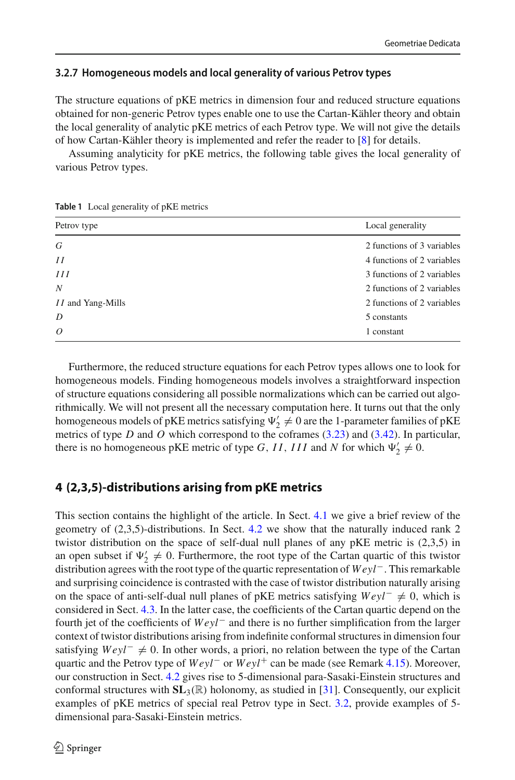## <span id="page-35-0"></span>**3.2.7 Homogeneous models and local generality of various Petrov types**

The structure equations of pKE metrics in dimension four and reduced structure equations obtained for non-generic Petrov types enable one to use the Cartan-Kähler theory and obtain the local generality of analytic pKE metrics of each Petrov type. We will not give the details of how Cartan-Kähler theory is implemented and refer the reader to [\[8](#page-46-7)] for details.

Assuming analyticity for pKE metrics, the following table gives the local generality of various Petrov types.

| Petrov type              | Local generality           |  |
|--------------------------|----------------------------|--|
| G                        | 2 functions of 3 variables |  |
| II                       | 4 functions of 2 variables |  |
| III                      | 3 functions of 2 variables |  |
| N                        | 2 functions of 2 variables |  |
| <i>II</i> and Yang-Mills | 2 functions of 2 variables |  |
| D                        | 5 constants                |  |
| $\overline{O}$           | 1 constant                 |  |

<span id="page-35-2"></span>**Table 1** Local generality of pKE metrics

Furthermore, the reduced structure equations for each Petrov types allows one to look for homogeneous models. Finding homogeneous models involves a straightforward inspection of structure equations considering all possible normalizations which can be carried out algorithmically. We will not present all the necessary computation here. It turns out that the only homogeneous models of pKE metrics satisfying  $\Psi'_2 \neq 0$  are the 1-parameter families of pKE metrics of type *D* and *O* which correspond to the coframes [\(3.23\)](#page-28-4) and [\(3.42\)](#page-34-4). In particular, there is no homogeneous pKE metric of type *G*, *II*, *III* and *N* for which  $\Psi_2' \neq 0$ .

## <span id="page-35-1"></span>**4 (2,3,5)-distributions arising from pKE metrics**

This section contains the highlight of the article. In Sect. [4.1](#page-36-0) we give a brief review of the geometry of (2,3,5)-distributions. In Sect. [4.2](#page-38-0) we show that the naturally induced rank 2 twistor distribution on the space of self-dual null planes of any pKE metric is (2,3,5) in an open subset if  $\Psi'_2 \neq 0$ . Furthermore, the root type of the Cartan quartic of this twistor distribution agrees with the root type of the quartic representation of *Weyl*−. This remarkable and surprising coincidence is contrasted with the case of twistor distribution naturally arising on the space of anti-self-dual null planes of pKE metrics satisfying *Weyl*<sup>−</sup> ≠ 0, which is considered in Sect. [4.3.](#page-43-0) In the latter case, the coefficients of the Cartan quartic depend on the fourth jet of the coefficients of *Weyl*− and there is no further simplification from the larger context of twistor distributions arising from indefinite conformal structures in dimension four satisfying  $Weyl^-\neq 0$ . In other words, a priori, no relation between the type of the Cartan quartic and the Petrov type of *Weyl*− or *Weyl*+ can be made (see Remark [4.15\)](#page-44-0). Moreover, our construction in Sect. [4.2](#page-38-0) gives rise to 5-dimensional para-Sasaki-Einstein structures and conformal structures with  $SL_3(\mathbb{R})$  holonomy, as studied in [\[31](#page-47-2)]. Consequently, our explicit examples of pKE metrics of special real Petrov type in Sect. [3.2,](#page-24-0) provide examples of 5 dimensional para-Sasaki-Einstein metrics.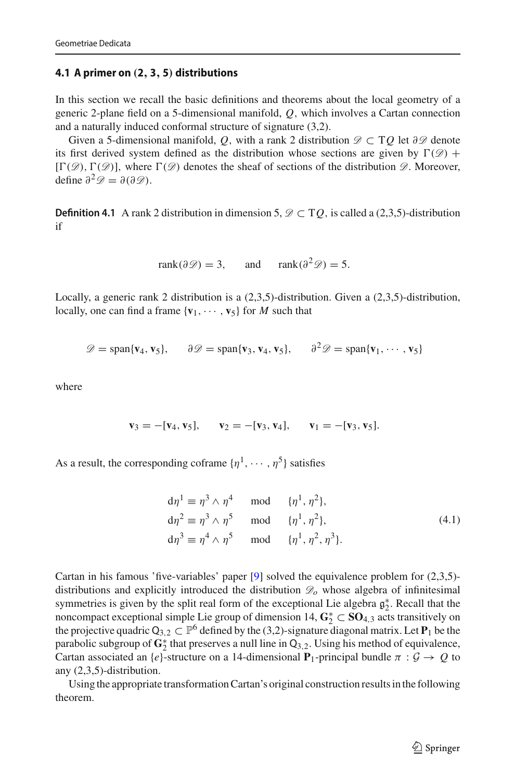## <span id="page-36-0"></span>**4.1 A primer on** *(***2***,* **3***,* **5***)* **distributions**

In this section we recall the basic definitions and theorems about the local geometry of a generic 2-plane field on a 5-dimensional manifold, *Q*, which involves a Cartan connection and a naturally induced conformal structure of signature (3,2).

Given a 5-dimensional manifold, *Q*, with a rank 2 distribution  $\mathscr{D} \subset TQ$  let  $\partial \mathscr{D}$  denote its first derived system defined as the distribution whose sections are given by  $\Gamma(\mathscr{D})$  +  $[\Gamma(\mathscr{D}), \Gamma(\mathscr{D})]$ , where  $\Gamma(\mathscr{D})$  denotes the sheaf of sections of the distribution  $\mathscr{D}$ . Moreover, define  $\partial^2 \mathscr{D} = \partial(\partial \mathscr{D})$ .

**Definition 4.1** A rank 2 distribution in dimension 5,  $\mathcal{D} \subset TQ$ , is called a (2,3,5)-distribution if

$$
rank(\partial \mathcal{D}) = 3
$$
, and  $rank(\partial^2 \mathcal{D}) = 5$ .

Locally, a generic rank 2 distribution is a (2,3,5)-distribution. Given a (2,3,5)-distribution, locally, one can find a frame  $\{v_1, \dots, v_5\}$  for *M* such that

 $\mathscr{D} = \text{span}\{\mathbf{v}_4, \mathbf{v}_5\}, \quad \partial \mathscr{D} = \text{span}\{\mathbf{v}_3, \mathbf{v}_4, \mathbf{v}_5\}, \quad \partial^2 \mathscr{D} = \text{span}\{\mathbf{v}_1, \cdots, \mathbf{v}_5\}$ 

where

$$
\mathbf{v}_3 = -[\mathbf{v}_4, \mathbf{v}_5], \quad \mathbf{v}_2 = -[\mathbf{v}_3, \mathbf{v}_4], \quad \mathbf{v}_1 = -[\mathbf{v}_3, \mathbf{v}_5].
$$

As a result, the corresponding coframe  $\{\eta^1, \cdots, \eta^5\}$  satisfies

<span id="page-36-1"></span>
$$
d\eta^{1} \equiv \eta^{3} \wedge \eta^{4} \mod {\{\eta^{1}, \eta^{2}\}},
$$
  
\n
$$
d\eta^{2} \equiv \eta^{3} \wedge \eta^{5} \mod {\{\eta^{1}, \eta^{2}\}},
$$
  
\n
$$
d\eta^{3} \equiv \eta^{4} \wedge \eta^{5} \mod {\{\eta^{1}, \eta^{2}, \eta^{3}\}}.
$$
\n(4.1)

Cartan in his famous 'five-variables' paper  $[9]$  $[9]$  solved the equivalence problem for  $(2,3,5)$ distributions and explicitly introduced the distribution *Do* whose algebra of infinitesimal symmetries is given by the split real form of the exceptional Lie algebra  $\mathfrak{g}_{2}^{*}$ . Recall that the noncompact exceptional simple Lie group of dimension 14.  $\mathbf{C}^{*} \subset \mathbf{SO}_{4,2}$  acts transitively on noncompact exceptional simple Lie group of dimension 14, **G**∗ <sup>2</sup> ⊂ **SO**4,<sup>3</sup> acts transitively on the projective quadric  $Q_{3,2} \subset \mathbb{P}^6$  defined by the (3,2)-signature diagonal matrix. Let  $P_1$  be the parabolic subgroup of  $\mathbf{G}_2^*$  that preserves a null line in  $Q_{3,2}$ . Using his method of equivalence, Cartan associated an {*e*}-structure on a 14-dimensional  $P_1$ -principal bundle  $\pi : \mathcal{G} \to \mathcal{Q}$  to any (2,3,5)-distribution.

Using the appropriate transformation Cartan's original construction results in the following theorem.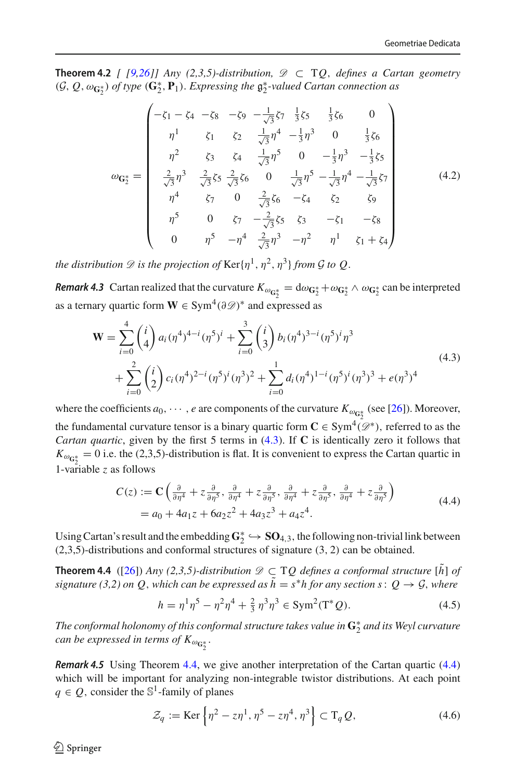**Theorem 4.2** *[*  $[9,26]$  $[9,26]$  $[9,26]$ ] Any (2,3,5)-distribution,  $\mathcal{D}$  ⊂ TQ, defines a Cartan geometry  $(G, Q, \omega_{\mathbf{G}_2^*})$  *of type*  $(\mathbf{G}_2^*, \mathbf{P}_1)$ *. Expressing the*  $\mathfrak{g}_2^*$ -valued Cartan connection as

<span id="page-37-0"></span>
$$
\omega_{\mathbf{G}_{2}^{*}} = \begin{pmatrix}\n-\zeta_{1} - \zeta_{4} & -\zeta_{8} & -\zeta_{9} & -\frac{1}{\sqrt{3}}\zeta_{7} & \frac{1}{3}\zeta_{5} & \frac{1}{3}\zeta_{6} & 0 \\
\eta^{1} & \zeta_{1} & \zeta_{2} & \frac{1}{\sqrt{3}}\eta^{4} & -\frac{1}{3}\eta^{3} & 0 & \frac{1}{3}\zeta_{6} \\
\eta^{2} & \zeta_{3} & \zeta_{4} & \frac{1}{\sqrt{3}}\eta^{5} & 0 & -\frac{1}{3}\eta^{3} & -\frac{1}{3}\zeta_{5} \\
\frac{2}{\sqrt{3}}\eta^{3} & \frac{2}{\sqrt{3}}\zeta_{5} & \frac{2}{\sqrt{3}}\zeta_{6} & 0 & \frac{1}{\sqrt{3}}\eta^{5} & -\frac{1}{\sqrt{3}}\eta^{4} & -\frac{1}{\sqrt{3}}\zeta_{7} \\
\eta^{4} & \zeta_{7} & 0 & \frac{2}{\sqrt{3}}\zeta_{6} & -\zeta_{4} & \zeta_{2} & \zeta_{9} \\
\eta^{5} & 0 & \zeta_{7} & -\frac{2}{\sqrt{3}}\zeta_{5} & \zeta_{3} & -\zeta_{1} & -\zeta_{8} \\
0 & \eta^{5} & -\eta^{4} & \frac{2}{\sqrt{3}}\eta^{3} & -\eta^{2} & \eta^{1} & \zeta_{1} + \zeta_{4}\n\end{pmatrix}
$$
(4.2)

*the distribution*  $\mathscr D$  *is the projection of*  $\text{Ker}\{\eta^1, \eta^2, \eta^3\}$  *from*  $\mathscr G$  *to*  $\mathscr Q$ *.* 

**Remark 4.3** Cartan realized that the curvature  $K_{\omega_{\mathbf{G}_2^*}} = d\omega_{\mathbf{G}_2^*} + \omega_{\mathbf{G}_2^*} \wedge \omega_{\mathbf{G}_2^*}$  can be interpreted as a ternary quartic form  $W \in Sym^4(\partial \mathcal{D})^*$  and expressed as

<span id="page-37-1"></span>
$$
\mathbf{W} = \sum_{i=0}^{4} {i \choose 4} a_i (\eta^4)^{4-i} (\eta^5)^i + \sum_{i=0}^{3} {i \choose 3} b_i (\eta^4)^{3-i} (\eta^5)^i \eta^3
$$
  
+ 
$$
\sum_{i=0}^{2} {i \choose 2} c_i (\eta^4)^{2-i} (\eta^5)^i (\eta^3)^2 + \sum_{i=0}^{1} d_i (\eta^4)^{1-i} (\eta^5)^i (\eta^3)^3 + e(\eta^3)^4
$$
 (4.3)

where the coefficients  $a_0, \dots, e$  are components of the curvature  $K_{\omega_{\mathbf{G}_2^*}}$  (see [\[26\]](#page-47-16)). Moreover, the fundamental curvature tensor is a binary quartic form  $C \in Sym^4(\mathcal{D}^*)$ , referred to as the *Cartan quartic*, given by the first 5 terms in [\(4.3\)](#page-37-1). If **C** is identically zero it follows that  $K_{\omega_{\mathbf{G}_2^*}} = 0$  i.e. the (2,3,5)-distribution is flat. It is convenient to express the Cartan quartic in 1-variable *z* as follows

<span id="page-37-2"></span>
$$
C(z) := \mathbf{C} \left( \frac{\partial}{\partial \eta^4} + z \frac{\partial}{\partial \eta^5}, \frac{\partial}{\partial \eta^4} + z \frac{\partial}{\partial \eta^5}, \frac{\partial}{\partial \eta^4} + z \frac{\partial}{\partial \eta^5}, \frac{\partial}{\partial \eta^4} + z \frac{\partial}{\partial \eta^5} \right)
$$
  
=  $a_0 + 4a_1z + 6a_2z^2 + 4a_3z^3 + a_4z^4.$  (4.4)

Using Cartan's result and the embedding  $G_2^* \hookrightarrow SO_{4,3}$ , the following non-trivial link between (2,3,5)-distributions and conformal structures of signature (3, 2) can be obtained.

**Theorem 4.4** ([\[26\]](#page-47-16)) *Any (2,3,5)-distribution*  $\mathcal{D} \subset TQ$  *defines a conformal structure* [ $\tilde{h}$ ] *of signature (3,2) on Q, which can be expressed as*  $\tilde{h} = s^*h$  for any section s:  $Q \rightarrow \mathcal{G}$ , where

<span id="page-37-4"></span><span id="page-37-3"></span>
$$
h = \eta^1 \eta^5 - \eta^2 \eta^4 + \frac{2}{3} \eta^3 \eta^3 \in \text{Sym}^2(\text{T}^*Q). \tag{4.5}
$$

*The conformal holonomy of this conformal structure takes value in* **G**∗ <sup>2</sup> *and its Weyl curvature* can be expressed in terms of  $K_{\omega_{\mathbf{G}_2^*}}.$ 

<span id="page-37-5"></span>*Remark 4.5* Using Theorem [4.4,](#page-37-3) we give another interpretation of the Cartan quartic [\(4.4\)](#page-37-2) which will be important for analyzing non-integrable twistor distributions. At each point  $q \in Q$ , consider the  $\mathbb{S}^1$ -family of planes

<span id="page-37-6"></span>
$$
\mathcal{Z}_q := \text{Ker}\left\{\eta^2 - z\eta^1, \eta^5 - z\eta^4, \eta^3\right\} \subset T_q Q,\tag{4.6}
$$

 $\circledcirc$  Springer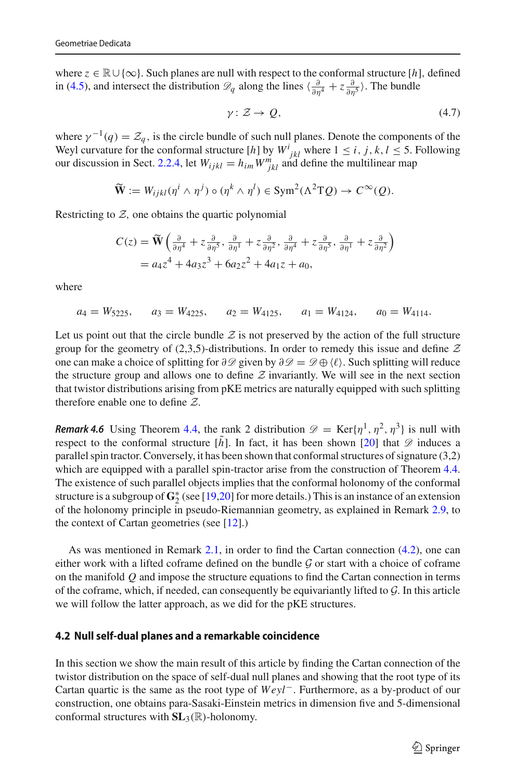where *<sup>z</sup>* <sup>∈</sup> <sup>R</sup>∪ {∞}. Such planes are null with respect to the conformal structure [*h*], defined in [\(4.5\)](#page-37-4), and intersect the distribution  $\mathscr{D}_q$  along the lines  $\langle \frac{\partial}{\partial \eta^4} + z \frac{\partial}{\partial \eta^5} \rangle$ . The bundle

<span id="page-38-1"></span>
$$
\gamma: \mathcal{Z} \to \mathcal{Q},\tag{4.7}
$$

where  $\gamma^{-1}(q) = \mathcal{Z}_q$ , is the circle bundle of such null planes. Denote the components of the Weyl curvature for the conformal structure [*h*] by  $W^i_{jkl}$  where  $1 \le i, j, k, l \le 5$ . Following our discussion in Sect. [2.2.4,](#page-13-0) let  $W_{ijkl} = h_{im} W^m_{jkl}$  and define the multilinear map

$$
\widetilde{\mathbf{W}} := W_{ijkl}(\eta^i \wedge \eta^j) \circ (\eta^k \wedge \eta^l) \in \mathrm{Sym}^2(\Lambda^2 T Q) \to C^\infty(Q).
$$

Restricting to  $Z$ , one obtains the quartic polynomial

$$
C(z) = \widetilde{\mathbf{W}} \left( \frac{\partial}{\partial \eta^4} + z \frac{\partial}{\partial \eta^5}, \frac{\partial}{\partial \eta^1} + z \frac{\partial}{\partial \eta^2}, \frac{\partial}{\partial \eta^4} + z \frac{\partial}{\partial \eta^5}, \frac{\partial}{\partial \eta^1} + z \frac{\partial}{\partial \eta^2} \right)
$$
  
=  $a_4 z^4 + 4a_3 z^3 + 6a_2 z^2 + 4a_1 z + a_0$ ,

where

 $a_4 = W_{5225}$ ,  $a_3 = W_{4225}$ ,  $a_2 = W_{4125}$ ,  $a_1 = W_{4124}$ ,  $a_0 = W_{4114}$ .

Let us point out that the circle bundle  $Z$  is not preserved by the action of the full structure group for the geometry of  $(2,3,5)$ -distributions. In order to remedy this issue and define  $Z$ one can make a choice of splitting for ∂*D* given by ∂*D* = *D* ⊕ . Such splitting will reduce the structure group and allows one to define  $Z$  invariantly. We will see in the next section that twistor distributions arising from pKE metrics are naturally equipped with such splitting therefore enable one to define *Z*.

*Remark 4.6* Using Theorem [4.4,](#page-37-3) the rank 2 distribution  $\mathscr{D} = \text{Ker}\{\eta^1, \eta^2, \eta^3\}$  is null with respect to the conformal structure  $[h]$ . In fact, it has been shown [\[20](#page-47-17)] that  $\mathscr D$  induces a parallel spin tractor. Conversely, it has been shown that conformal structures of signature (3,2) which are equipped with a parallel spin-tractor arise from the construction of Theorem [4.4.](#page-37-3) The existence of such parallel objects implies that the conformal holonomy of the conformal structure is a subgroup of  $\mathbf{G}_2^*$  (see [\[19](#page-47-18)[,20\]](#page-47-17) for more details.) This is an instance of an extension of the holonomy principle in pseudo-Riemannian geometry, as explained in Remark [2.9,](#page-16-3) to the context of Cartan geometries (see [\[12](#page-47-7)].)

As was mentioned in Remark [2.1,](#page-8-3) in order to find the Cartan connection [\(4.2\)](#page-37-0), one can either work with a lifted coframe defined on the bundle *G* or start with a choice of coframe on the manifold *Q* and impose the structure equations to find the Cartan connection in terms of the coframe, which, if needed, can consequently be equivariantly lifted to *G*. In this article we will follow the latter approach, as we did for the pKE structures.

#### <span id="page-38-0"></span>**4.2 Null self-dual planes and a remarkable coincidence**

In this section we show the main result of this article by finding the Cartan connection of the twistor distribution on the space of self-dual null planes and showing that the root type of its Cartan quartic is the same as the root type of *Weyl*−. Furthermore, as a by-product of our construction, one obtains para-Sasaki-Einstein metrics in dimension five and 5-dimensional conformal structures with **SL**3(R)-holonomy.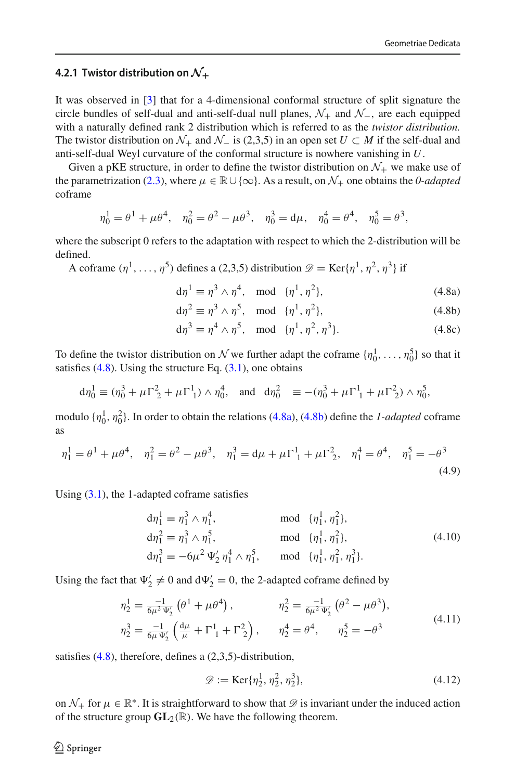## <span id="page-39-0"></span>**4.2.1 Twistor distribution on** *N***<sup>+</sup>**

It was observed in [\[3](#page-46-3)] that for a 4-dimensional conformal structure of split signature the circle bundles of self-dual and anti-self-dual null planes, *N*<sup>+</sup> and *N*−, are each equipped with a naturally defined rank 2 distribution which is referred to as the *twistor distribution.* The twistor distribution on  $\mathcal{N}_+$  and  $\mathcal{N}_-$  is (2,3,5) in an open set  $U \subset M$  if the self-dual and anti-self-dual Weyl curvature of the conformal structure is nowhere vanishing in *U*.

Given a pKE structure, in order to define the twistor distribution on  $\mathcal{N}_+$  we make use of the parametrization [\(2.3\)](#page-6-2), where  $\mu \in \mathbb{R} \cup \{\infty\}$ . As a result, on  $\mathcal{N}_+$  one obtains the *0-adapted* coframe

$$
\eta_0^1 = \theta^1 + \mu \theta^4, \quad \eta_0^2 = \theta^2 - \mu \theta^3, \quad \eta_0^3 = d\mu, \quad \eta_0^4 = \theta^4, \quad \eta_0^5 = \theta^3,
$$

where the subscript 0 refers to the adaptation with respect to which the 2-distribution will be defined.

A coframe  $(\eta^1, \ldots, \eta^5)$  defines a (2,3,5) distribution  $\mathscr{D} = \text{Ker}\{\eta^1, \eta^2, \eta^3\}$  if

<span id="page-39-3"></span><span id="page-39-2"></span><span id="page-39-1"></span>
$$
d\eta^1 \equiv \eta^3 \wedge \eta^4, \quad \text{mod} \quad \{\eta^1, \eta^2\},\tag{4.8a}
$$

$$
d\eta^2 \equiv \eta^3 \wedge \eta^5, \quad \text{mod} \quad {\eta^1, \eta^2}, \tag{4.8b}
$$

$$
d\eta^3 \equiv \eta^4 \wedge \eta^5, \quad \text{mod} \quad {\{\eta^1, \eta^2, \eta^3\}}.
$$
 (4.8c)

To define the twistor distribution on *N* we further adapt the coframe  $\{\eta_0^1, \ldots, \eta_0^5\}$  so that it satisfies  $(4.8)$ . Using the structure Eq.  $(3.1)$ , one obtains

$$
d\eta_0^1 \equiv (\eta_0^3 + \mu \Gamma_2^2 + \mu \Gamma_1^1) \wedge \eta_0^4, \text{ and } d\eta_0^2 \equiv -(\eta_0^3 + \mu \Gamma_1^1 + \mu \Gamma_2^2) \wedge \eta_0^5,
$$

modulo  $\{\eta_0^1, \eta_0^2\}$ . In order to obtain the relations [\(4.8a\)](#page-39-2), [\(4.8b\)](#page-39-3) define the *1-adapted* coframe as

<span id="page-39-4"></span>
$$
\eta_1^1 = \theta^1 + \mu \theta^4, \quad \eta_1^2 = \theta^2 - \mu \theta^3, \quad \eta_1^3 = d\mu + \mu \Gamma_1^1 + \mu \Gamma_2^2, \quad \eta_1^4 = \theta^4, \quad \eta_1^5 = -\theta^3
$$
\n(4.9)

Using [\(3.1\)](#page-22-1), the 1-adapted coframe satisfies

<span id="page-39-5"></span>
$$
d\eta_1^1 \equiv \eta_1^3 \wedge \eta_1^4, \qquad \text{mod } {\{\eta_1^1, \eta_1^2\}},
$$
  
\n
$$
d\eta_1^2 \equiv \eta_1^3 \wedge \eta_1^5, \qquad \text{mod } {\{\eta_1^1, \eta_1^2\}},
$$
  
\n
$$
d\eta_1^3 \equiv -6\mu^2 \Psi_2' \eta_1^4 \wedge \eta_1^5, \qquad \text{mod } {\{\eta_1^1, \eta_1^2, \eta_1^3\}}.
$$
\n(4.10)

Using the fact that  $\Psi'_2 \neq 0$  and  $d\Psi'_2 = 0$ , the 2-adapted coframe defined by

<span id="page-39-7"></span>
$$
\eta_2^1 = \frac{-1}{6\mu^2 \Psi_2'} \left(\theta^1 + \mu \theta^4\right), \qquad \eta_2^2 = \frac{-1}{6\mu^2 \Psi_2'} \left(\theta^2 - \mu \theta^3\right),
$$
  

$$
\eta_2^3 = \frac{-1}{6\mu \Psi_2'} \left(\frac{d\mu}{\mu} + \Gamma^1_{1} + \Gamma^2_{2}\right), \qquad \eta_2^4 = \theta^4, \qquad \eta_2^5 = -\theta^3
$$
 (4.11)

satisfies [\(4.8\)](#page-39-1), therefore, defines a (2,3,5)-distribution,

<span id="page-39-6"></span>
$$
\mathcal{D} := \text{Ker}\{\eta_2^1, \eta_2^2, \eta_2^3\},\tag{4.12}
$$

on  $\mathcal{N}_+$  for  $\mu \in \mathbb{R}^*$ . It is straightforward to show that  $\mathscr{D}$  is invariant under the induced action of the structure group  $GL_2(\mathbb{R})$ . We have the following theorem.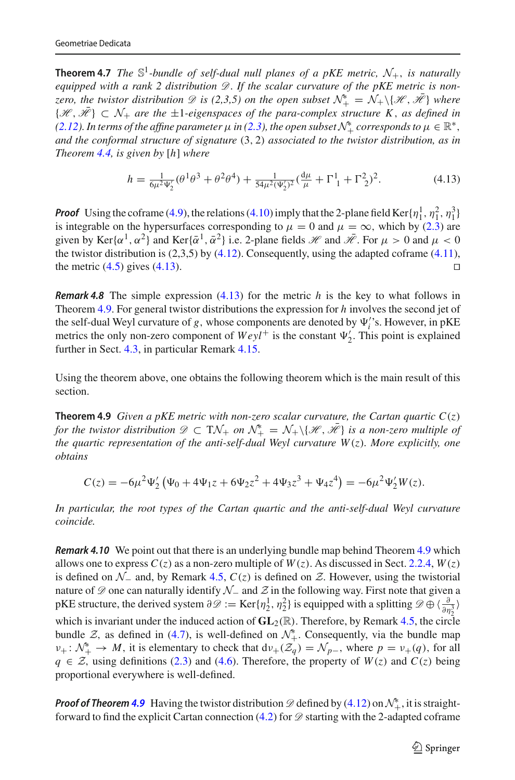**Theorem 4.7** *The*  $\mathbb{S}^1$ -bundle of self-dual null planes of a pKE metric,  $\mathcal{N}_+$ , is naturally *equipped with a rank 2 distribution D*. *If the scalar curvature of the pKE metric is nonzero, the twistor distribution*  $\mathscr D$  *is (2,3,5) on the open subset*  $\mathcal N^*_{+} = \mathcal N_{+}\backslash\{\mathscr H, \mathscr H\}$  where  $\{\mathcal{H}, \bar{\mathcal{H}}\} \subset \mathcal{N}_+$  are the  $\pm 1$ -eigenspaces of the para-complex structure K, as defined in *[\(2.12\)](#page-9-4). In terms of the affine parameter*  $\mu$  *in [\(2.3\)](#page-6-2), the open subset*  $\mathcal{N}_+^*$  *corresponds to*  $\mu \in \mathbb{R}^*$ , *and the conformal structure of signature* (3, 2) *associated to the twistor distribution, as in Theorem [4.4,](#page-37-3) is given by* [*h*] *where*

<span id="page-40-2"></span>
$$
h = \frac{1}{6\mu^2 \Psi_2'} (\theta^1 \theta^3 + \theta^2 \theta^4) + \frac{1}{54\mu^2 (\Psi_2')^2} (\frac{d\mu}{\mu} + \Gamma_1^1 + \Gamma_2^2)^2.
$$
 (4.13)

**Proof** Using the coframe [\(4.9\)](#page-39-4), the relations [\(4.10\)](#page-39-5) imply that the 2-plane field Ker $\{\eta_1^1, \eta_1^2, \eta_1^3\}$ is integrable on the hypersurfaces corresponding to  $\mu = 0$  and  $\mu = \infty$ , which by [\(2.3\)](#page-6-2) are given by Ker{ $\alpha^1$ ,  $\alpha^2$ } and Ker{ $\bar{\alpha}^1$ ,  $\bar{\alpha}^2$ } i.e. 2-plane fields *H* and  $\bar{\mathcal{H}}$ . For  $\mu > 0$  and  $\mu < 0$ the twistor distribution is  $(2,3,5)$  by  $(4.12)$ . Consequently, using the adapted coframe  $(4.11)$ , the metric  $(4.5)$  gives  $(4.13)$ .

*Remark 4.8* The simple expression [\(4.13\)](#page-40-2) for the metric *h* is the key to what follows in Theorem [4.9.](#page-40-1) For general twistor distributions the expression for *h* involves the second jet of the self-dual Weyl curvature of *g*, whose components are denoted by  $\Psi_i$ 's. However, in pKE metrics the only non-zero component of  $Weyl^+$  is the constant  $\Psi_2'$ . This point is explained further in Sect. [4.3,](#page-43-0) in particular Remark [4.15.](#page-44-0)

<span id="page-40-1"></span>Using the theorem above, one obtains the following theorem which is the main result of this section.

**Theorem 4.9** *Given a pKE metric with non-zero scalar curvature, the Cartan quartic*  $C(z)$ *for the twistor distribution*  $\mathscr{D} \subset \mathrm{TV}_+$  *on*  $\mathcal{N}_+^* = \mathcal{N}_+ \setminus \{ \mathscr{H}, \mathscr{H} \}$  *is a non-zero multiple of the quartic representation of the anti-self-dual Weyl curvature W*(*z*)*. More explicitly, one obtains*

$$
C(z) = -6\mu^2 \Psi_2' (\Psi_0 + 4\Psi_1 z + 6\Psi_2 z^2 + 4\Psi_3 z^3 + \Psi_4 z^4) = -6\mu^2 \Psi_2' W(z).
$$

*In particular, the root types of the Cartan quartic and the anti-self-dual Weyl curvature coincide.*

<span id="page-40-0"></span>*Remark 4.10* We point out that there is an underlying bundle map behind Theorem [4.9](#page-40-1) which allows one to express  $C(z)$  as a non-zero multiple of  $W(z)$ . As discussed in Sect. [2.2.4,](#page-13-0)  $W(z)$ is defined on  $N_$  and, by Remark [4.5,](#page-37-5)  $C(z)$  is defined on  $Z$ . However, using the twistorial nature of *D* one can naturally identify *N*<sup>−</sup> and *Z* in the following way. First note that given a pKE structure, the derived system  $\partial \mathcal{D} := \text{Ker}\{\eta_2^1, \eta_2^2\}$  is equipped with a splitting  $\mathcal{D} \oplus \left\{\frac{\partial}{\partial \eta_2^2}\right\}$ which is invariant under the induced action of  $GL_2(\mathbb{R})$ . Therefore, by Remark [4.5,](#page-37-5) the circle bundle *Z*, as defined in [\(4.7\)](#page-38-1), is well-defined on  $\mathcal{N}_{+}^{*}$ . Consequently, via the bundle map  $\nu_+ : \mathcal{N}_+^* \to M$ , it is elementary to check that  $d\nu_+ (\mathcal{Z}_q) = \mathcal{N}_{p-}$ , where  $p = \nu_+(q)$ , for all *q* ∈ *Z*, using definitions [\(2.3\)](#page-6-2) and [\(4.6\)](#page-37-6). Therefore, the property of *W*(*z*) and *C*(*z*) being proportional everywhere is well-defined.

**Proof of Theorem [4.9](#page-40-1)** Having the twistor distribution  $\mathscr{D}$  defined by [\(4.12\)](#page-39-6) on  $\mathcal{N}^*_{+}$ , it is straightforward to find the explicit Cartan connection  $(4.2)$  for  $\mathscr{D}$  starting with the 2-adapted coframe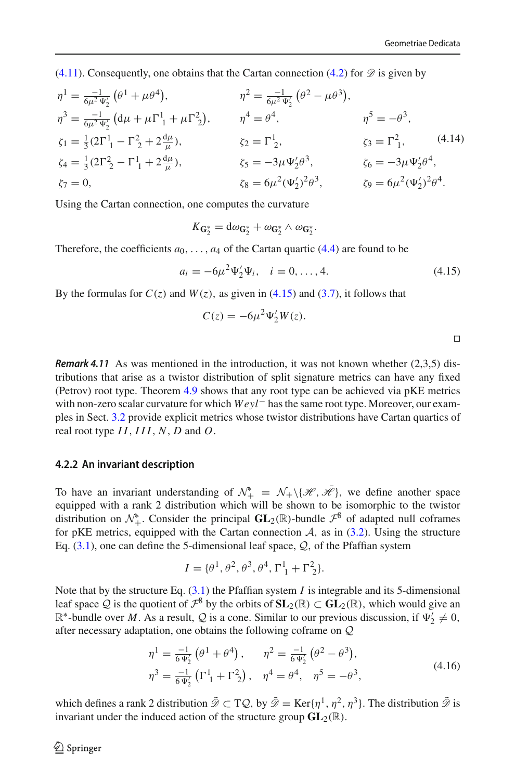[\(4.11\)](#page-39-7). Consequently, one obtains that the Cartan connection [\(4.2\)](#page-37-0) for  $\mathscr D$  is given by

<span id="page-41-2"></span>
$$
\eta^{1} = \frac{-1}{6\mu^{2} \Psi_{2}'} (\theta^{1} + \mu \theta^{4}), \qquad \eta^{2} = \frac{-1}{6\mu^{2} \Psi_{2}'} (\theta^{2} - \mu \theta^{3}),
$$
  
\n
$$
\eta^{3} = \frac{-1}{6\mu^{2} \Psi_{2}'} (d\mu + \mu \Gamma_{1}^{1} + \mu \Gamma_{2}^{2}), \qquad \eta^{4} = \theta^{4}, \qquad \eta^{5} = -\theta^{3},
$$
  
\n
$$
\zeta_{1} = \frac{1}{3} (2\Gamma_{1}^{1} - \Gamma_{2}^{2} + 2\frac{d\mu}{\mu}), \qquad \zeta_{2} = \Gamma_{2}^{1}, \qquad \zeta_{3} = \Gamma_{1}^{2}, \qquad (4.14)
$$
  
\n
$$
\zeta_{4} = \frac{1}{3} (2\Gamma_{2}^{2} - \Gamma_{1}^{1} + 2\frac{d\mu}{\mu}), \qquad \zeta_{5} = -3\mu \Psi_{2}' \theta^{3}, \qquad \zeta_{6} = -3\mu \Psi_{2}' \theta^{4},
$$
  
\n
$$
\zeta_{7} = 0, \qquad \zeta_{8} = 6\mu^{2} (\Psi_{2}')^{2} \theta^{3}, \qquad \zeta_{9} = 6\mu^{2} (\Psi_{2}')^{2} \theta^{4}.
$$
  
\n(4.14)

Using the Cartan connection, one computes the curvature

$$
K_{\mathbf{G}_2^*} = d\omega_{\mathbf{G}_2^*} + \omega_{\mathbf{G}_2^*} \wedge \omega_{\mathbf{G}_2^*}.
$$

Therefore, the coefficients  $a_0, \ldots, a_4$  of the Cartan quartic [\(4.4\)](#page-37-2) are found to be

<span id="page-41-1"></span>
$$
a_i = -6\mu^2 \Psi_2' \Psi_i, \quad i = 0, \dots, 4.
$$
 (4.15)

By the formulas for  $C(z)$  and  $W(z)$ , as given in [\(4.15\)](#page-41-1) and [\(3.7\)](#page-24-7), it follows that

$$
C(z) = -6\mu^2 \Psi_2' W(z).
$$

*Remark 4.11* As was mentioned in the introduction, it was not known whether (2,3,5) distributions that arise as a twistor distribution of split signature metrics can have any fixed (Petrov) root type. Theorem [4.9](#page-40-1) shows that any root type can be achieved via pKE metrics with non-zero scalar curvature for which *Weyl*− has the same root type. Moreover, our examples in Sect. [3.2](#page-24-0) provide explicit metrics whose twistor distributions have Cartan quartics of real root type *I I*, *III*, *N*, *D* and *O*.

#### <span id="page-41-0"></span>**4.2.2 An invariant description**

To have an invariant understanding of  $\mathcal{N}_+^* = \mathcal{N}_+ \setminus \{ \mathcal{H}, \mathcal{H} \}$ , we define another space equipped with a rank 2 distribution which will be shown to be isomorphic to the twistor distribution on  $\mathcal{N}_+^*$ . Consider the principal  $GL_2(\mathbb{R})$ -bundle  $\mathcal{F}^8$  of adapted null coframes for pKE metrics, equipped with the Cartan connection  $A$ , as in  $(3.2)$ . Using the structure Eq. [\(3.1\)](#page-22-1), one can define the 5-dimensional leaf space, *Q*, of the Pfaffian system

$$
I = \{\theta^1, \theta^2, \theta^3, \theta^4, \Gamma_1^1 + \Gamma_2^2\}.
$$

Note that by the structure Eq. [\(3.1\)](#page-22-1) the Pfaffian system *I* is integrable and its 5-dimensional leaf space Q is the quotient of  $\mathcal{F}^8$  by the orbits of  $SL_2(\mathbb{R}) \subset GL_2(\mathbb{R})$ , which would give an  $\mathbb{R}^*$ -bundle over *M*. As a result, *Q* is a cone. Similar to our previous discussion, if  $\Psi'_2 \neq 0$ , after necessary adaptation, one obtains the following coframe on *Q*

<span id="page-41-3"></span>
$$
\eta^{1} = \frac{-1}{6 \Psi_{2}'} \left( \theta^{1} + \theta^{4} \right), \qquad \eta^{2} = \frac{-1}{6 \Psi_{2}'} \left( \theta^{2} - \theta^{3} \right), \n\eta^{3} = \frac{-1}{6 \Psi_{2}'} \left( \Gamma_{1}^{1} + \Gamma_{2}^{2} \right), \quad \eta^{4} = \theta^{4}, \quad \eta^{5} = -\theta^{3},
$$
\n(4.16)

which defines a rank 2 distribution  $\tilde{\mathcal{D}} \subset T\mathcal{Q}$ , by  $\tilde{\mathcal{D}} = \text{Ker}\{\eta^1, \eta^2, \eta^3\}$ . The distribution  $\tilde{\mathcal{D}}$  is invariant under the induced action of the structure group  $GL_2(\mathbb{R})$ .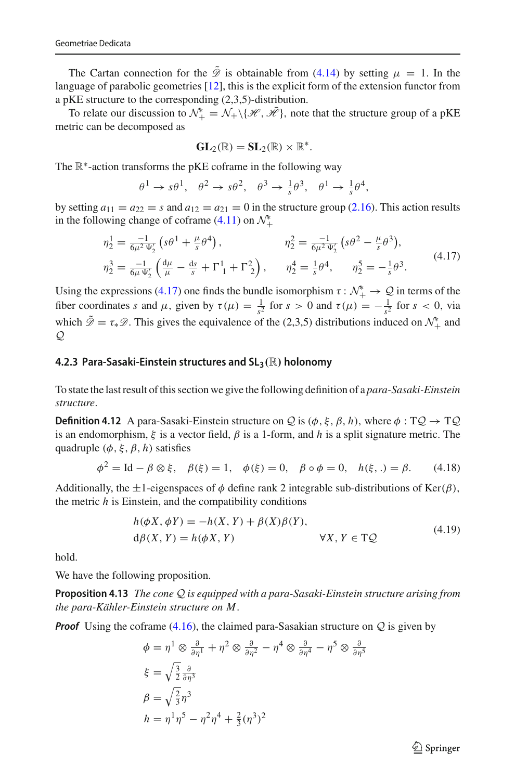The Cartan connection for the  $\tilde{\mathcal{D}}$  is obtainable from [\(4.14\)](#page-41-2) by setting  $\mu = 1$ . In the language of parabolic geometries [\[12](#page-47-7)], this is the explicit form of the extension functor from a pKE structure to the corresponding (2,3,5)-distribution.

To relate our discussion to  $\mathcal{N}_+^* = \mathcal{N}_+ \setminus \{ \mathcal{H}, \mathcal{H} \}$ , note that the structure group of a pKE metric can be decomposed as

$$
\text{GL}_2(\mathbb{R})=\text{SL}_2(\mathbb{R})\times\mathbb{R}^*.
$$

The ℝ<sup>∗</sup>-action transforms the pKE coframe in the following way

$$
\theta^1 \to s\theta^1, \quad \theta^2 \to s\theta^2, \quad \theta^3 \to \frac{1}{s}\theta^3, \quad \theta^1 \to \frac{1}{s}\theta^4,
$$

by setting  $a_{11} = a_{22} = s$  and  $a_{12} = a_{21} = 0$  in the structure group [\(2.16\)](#page-10-1). This action results in the following change of coframe  $(4.11)$  on  $\mathcal{N}_+^*$ 

<span id="page-42-1"></span>
$$
\eta_2^1 = \frac{-1}{6\mu^2 \Psi_2'} \left( s\theta^1 + \frac{\mu}{s} \theta^4 \right), \qquad \eta_2^2 = \frac{-1}{6\mu^2 \Psi_2'} \left( s\theta^2 - \frac{\mu}{s} \theta^3 \right), \n\eta_2^3 = \frac{-1}{6\mu \Psi_2'} \left( \frac{d\mu}{\mu} - \frac{ds}{s} + \Gamma^1_{1} + \Gamma^2_{2} \right), \qquad \eta_2^4 = \frac{1}{s} \theta^4, \qquad \eta_2^5 = -\frac{1}{s} \theta^3.
$$
\n(4.17)

Using the expressions [\(4.17\)](#page-42-1) one finds the bundle isomorphism  $\tau : \mathcal{N}_+^* \to \mathcal{Q}$  in terms of the fiber coordinates *s* and  $\mu$ , given by  $\tau(\mu) = \frac{1}{s^2}$  for  $s > 0$  and  $\tau(\mu) = -\frac{1}{s^2}$  for  $s < 0$ , via which  $\mathscr{D} = \tau_* \mathscr{D}$ . This gives the equivalence of the (2,3,5) distributions induced on  $\mathcal{N}_+^*$  and *Q*

#### <span id="page-42-0"></span>**4.2.3 Para-Sasaki-Einstein structures and SL3***(*R*)* **holonomy**

To state the last result of this section we give the following definition of a *para-Sasaki-Einstein structure*.

**Definition 4.12** A para-Sasaki-Einstein structure on *Q* is  $(\phi, \xi, \beta, h)$ , where  $\phi : TQ \rightarrow TQ$ is an endomorphism,  $\xi$  is a vector field,  $\beta$  is a 1-form, and h is a split signature metric. The quadruple  $(\phi, \xi, \beta, h)$  satisfies

$$
\phi^2 = \text{Id} - \beta \otimes \xi, \quad \beta(\xi) = 1, \quad \phi(\xi) = 0, \quad \beta \circ \phi = 0, \quad h(\xi, .) = \beta. \tag{4.18}
$$

Additionally, the  $\pm 1$ -eigenspaces of  $\phi$  define rank 2 integrable sub-distributions of Ker( $\beta$ ), the metric *h* is Einstein, and the compatibility conditions

$$
h(\phi X, \phi Y) = -h(X, Y) + \beta(X)\beta(Y),
$$
  
\n
$$
d\beta(X, Y) = h(\phi X, Y) \qquad \forall X, Y \in TQ
$$
\n(4.19)

hold.

We have the following proposition.

**Proposition 4.13** *The cone Q is equipped with a para-Sasaki-Einstein structure arising from the para-Kähler-Einstein structure on M*.

*Proof* Using the coframe [\(4.16\)](#page-41-3), the claimed para-Sasakian structure on *<sup>Q</sup>* is given by

$$
\phi = \eta^1 \otimes \frac{\partial}{\partial \eta^1} + \eta^2 \otimes \frac{\partial}{\partial \eta^2} - \eta^4 \otimes \frac{\partial}{\partial \eta^4} - \eta^5 \otimes \frac{\partial}{\partial \eta^5}
$$
  

$$
\xi = \sqrt{\frac{3}{2}} \frac{\partial}{\partial \eta^3}
$$
  

$$
\beta = \sqrt{\frac{2}{3}} \eta^3
$$
  

$$
h = \eta^1 \eta^5 - \eta^2 \eta^4 + \frac{2}{3} (\eta^3)^2
$$

 $\circled{2}$  Springer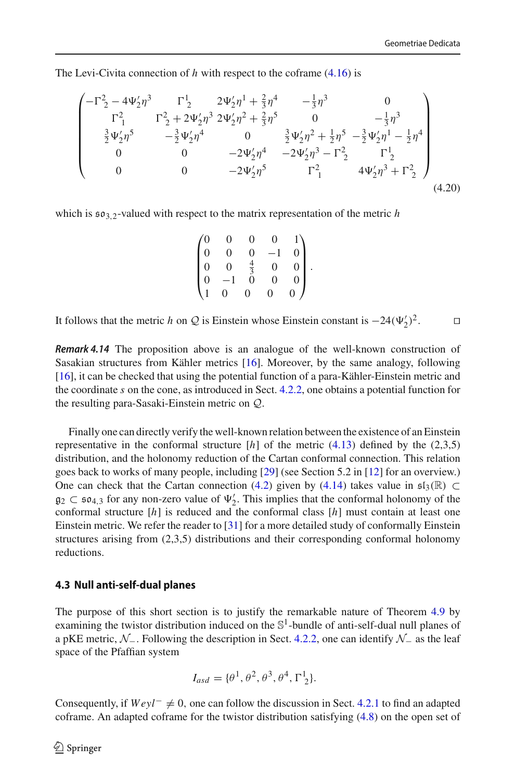The Levi-Civita connection of *h* with respect to the coframe [\(4.16\)](#page-41-3) is

$$
\begin{pmatrix}\n-\Gamma_2^2 - 4\Psi_2'\eta^3 & \Gamma_2^1 & 2\Psi_2'\eta^1 + \frac{2}{3}\eta^4 & -\frac{1}{3}\eta^3 & 0 \\
\Gamma_1^2 & \Gamma_2^2 + 2\Psi_2'\eta^3 & 2\Psi_2'\eta^2 + \frac{2}{3}\eta^5 & 0 & -\frac{1}{3}\eta^3 \\
\frac{3}{2}\Psi_2'\eta^5 & -\frac{3}{2}\Psi_2'\eta^4 & 0 & \frac{3}{2}\Psi_2'\eta^2 + \frac{1}{2}\eta^5 - \frac{3}{2}\Psi_2'\eta^1 - \frac{1}{2}\eta^4 \\
0 & 0 & -2\Psi_2'\eta^4 & -2\Psi_2'\eta^3 - \Gamma_2^2 & \Gamma_2^1 \\
0 & 0 & -2\Psi_2'\eta^5 & \Gamma_1^2 & 4\Psi_2'\eta^3 + \Gamma_2^2\n\end{pmatrix}
$$
\n(4.20)

which is  $\mathfrak{so}_{3,2}$ -valued with respect to the matrix representation of the metric *h* 

$$
\begin{pmatrix}\n0 & 0 & 0 & 0 & 1 \\
0 & 0 & 0 & -1 & 0 \\
0 & 0 & \frac{4}{3} & 0 & 0 \\
0 & -1 & 0 & 0 & 0 \\
1 & 0 & 0 & 0 & 0\n\end{pmatrix}.
$$

It follows that the metric *h* on *Q* is Einstein whose Einstein constant is  $-24(\Psi'_2)^2$ . □

*Remark 4.14* The proposition above is an analogue of the well-known construction of Sasakian structures from Kähler metrics [\[16](#page-47-19)]. Moreover, by the same analogy, following [\[16\]](#page-47-19), it can be checked that using the potential function of a para-Kähler-Einstein metric and the coordinate *s* on the cone, as introduced in Sect. [4.2.2,](#page-41-0) one obtains a potential function for the resulting para-Sasaki-Einstein metric on *Q*.

Finally one can directly verify the well-known relation between the existence of an Einstein representative in the conformal structure  $[h]$  of the metric  $(4.13)$  defined by the  $(2,3,5)$ distribution, and the holonomy reduction of the Cartan conformal connection. This relation goes back to works of many people, including [\[29\]](#page-47-20) (see Section 5.2 in [\[12\]](#page-47-7) for an overview.) One can check that the Cartan connection [\(4.2\)](#page-37-0) given by [\(4.14\)](#page-41-2) takes value in  $\mathfrak{sl}_3(\mathbb{R}) \subset$  $g_2 \text{ }\subset$   $\mathfrak{so}_{4,3}$  for any non-zero value of  $\Psi'_2$ . This implies that the conformal holonomy of the conformal class  $[h]$  must contain at least one conformal structure [*h*] is reduced and the conformal class [*h*] must contain at least one Einstein metric. We refer the reader to [\[31\]](#page-47-2) for a more detailed study of conformally Einstein structures arising from (2,3,5) distributions and their corresponding conformal holonomy reductions.

#### <span id="page-43-0"></span>**4.3 Null anti-self-dual planes**

The purpose of this short section is to justify the remarkable nature of Theorem [4.9](#page-40-1) by examining the twistor distribution induced on the  $\mathbb{S}^1$ -bundle of anti-self-dual null planes of a pKE metric, *N*−. Following the description in Sect. [4.2.2,](#page-41-0) one can identify *N*<sup>−</sup> as the leaf space of the Pfaffian system

$$
I_{asd} = \{\theta^1, \theta^2, \theta^3, \theta^4, \Gamma_2^1\}.
$$

Consequently, if  $Weyl^-\neq 0$ , one can follow the discussion in Sect. [4.2.1](#page-39-0) to find an adapted coframe. An adapted coframe for the twistor distribution satisfying [\(4.8\)](#page-39-1) on the open set of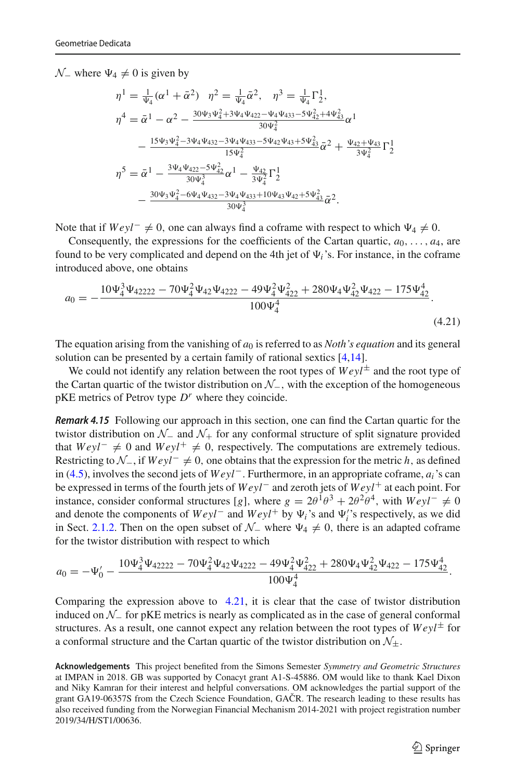$N$ <sup>−</sup> where  $\Psi_4 \neq 0$  is given by

$$
\eta^{1} = \frac{1}{\Psi_{4}} (\alpha^{1} + \bar{\alpha}^{2}) \quad \eta^{2} = \frac{1}{\Psi_{4}} \bar{\alpha}^{2}, \quad \eta^{3} = \frac{1}{\Psi_{4}} \Gamma_{2}^{1},
$$
\n
$$
\eta^{4} = \bar{\alpha}^{1} - \alpha^{2} - \frac{30 \Psi_{3} \Psi_{4}^{2} + 3 \Psi_{4} \Psi_{422} - \Psi_{4} \Psi_{433} - 5 \Psi_{42}^{2} + 4 \Psi_{43}^{2}}{30 \Psi_{4}^{2}} \alpha^{1}
$$
\n
$$
- \frac{15 \Psi_{3} \Psi_{4}^{2} - 3 \Psi_{4} \Psi_{432} - 3 \Psi_{4} \Psi_{433} - 5 \Psi_{42} \Psi_{43} + 5 \Psi_{43}^{2}}{15 \Psi_{4}^{2}} \bar{\alpha}^{2} + \frac{\Psi_{42} + \Psi_{43}}{3 \Psi_{4}^{2}} \Gamma_{2}^{1}
$$
\n
$$
\eta^{5} = \bar{\alpha}^{1} - \frac{3 \Psi_{4} \Psi_{422} - 5 \Psi_{42}^{2}}{30 \Psi_{4}^{3}} \alpha^{1} - \frac{\Psi_{42}}{3 \Psi_{4}^{2}} \Gamma_{2}^{1}
$$
\n
$$
- \frac{30 \Psi_{3} \Psi_{4}^{2} - 6 \Psi_{4} \Psi_{432} - 3 \Psi_{4} \Psi_{433} + 10 \Psi_{43} \Psi_{42} + 5 \Psi_{43}^{2}}{30 \Psi_{4}^{3}} \bar{\alpha}^{2}.
$$

Note that if  $Weyl^-\neq 0$ , one can always find a coframe with respect to which  $\Psi_4\neq 0$ .

Consequently, the expressions for the coefficients of the Cartan quartic,  $a_0, \ldots, a_4$ , are found to be very complicated and depend on the 4th jet of  $\Psi_i$ 's. For instance, in the coframe introduced above, one obtains

<span id="page-44-1"></span>
$$
a_0 = -\frac{10\Psi_4^3\Psi_{42222} - 70\Psi_4^2\Psi_{42}\Psi_{4222} - 49\Psi_4^2\Psi_{422}^2 + 280\Psi_4\Psi_{42}^2\Psi_{422} - 175\Psi_{42}^4}{100\Psi_4^4}.
$$
\n(4.21)

The equation arising from the vanishing of  $a_0$  is referred to as *Noth's equation* and its general solution can be presented by a certain family of rational sextics [\[4](#page-46-9)[,14](#page-47-21)].

<span id="page-44-0"></span>We could not identify any relation between the root types of  $Weyl^{\pm}$  and the root type of the Cartan quartic of the twistor distribution on *N*−, with the exception of the homogeneous  $pKE$  metrics of Petrov type  $D<sup>r</sup>$  where they coincide.

*Remark 4.15* Following our approach in this section, one can find the Cartan quartic for the twistor distribution on *N*<sup>−</sup> and *N*<sup>+</sup> for any conformal structure of split signature provided that  $Weyl^− ≠ 0$  and  $Weyl^+ ≠ 0$ , respectively. The computations are extremely tedious. Restricting to *N*−, if *Weyl*<sup>−</sup> = 0, one obtains that the expression for the metric *h*, as defined in [\(4.5\)](#page-37-4), involves the second jets of *Weyl*−. Furthermore, in an appropriate coframe, *ai*'s can be expressed in terms of the fourth jets of *Weyl*− and zeroth jets of *Weyl*+ at each point. For instance, consider conformal structures [*g*], where  $g = 2\theta^{\frac{1}{1}}\theta^3 + 2\theta^2\theta^4$ , with  $Weyl^{-} \neq 0$ and denote the components of  $Weyl^-\text{ and } Weyl^+\text{ by }\Psi_i$ 's and  $\Psi_i'$ 's respectively, as we did in Sect. [2.1.2.](#page-6-0) Then on the open subset of  $N_$  where  $\Psi_4 \neq 0$ , there is an adapted coframe for the twistor distribution with respect to which

$$
a_0 = -\Psi_0' - \frac{10\Psi_4^3\Psi_{42222} - 70\Psi_4^2\Psi_{42}\Psi_{4222} - 49\Psi_4^2\Psi_{422}^2 + 280\Psi_4\Psi_{42}^2\Psi_{422} - 175\Psi_{42}^4}{100\Psi_4^4}.
$$

Comparing the expression above to [4.21,](#page-44-1) it is clear that the case of twistor distribution induced on *N*<sup>−</sup> for pKE metrics is nearly as complicated as in the case of general conformal structures. As a result, one cannot expect any relation between the root types of  $Weyl^{\pm}$  for a conformal structure and the Cartan quartic of the twistor distribution on  $\mathcal{N}_+$ .

**Acknowledgements** This project benefited from the Simons Semester *Symmetry and Geometric Structures* at IMPAN in 2018. GB was supported by Conacyt grant A1-S-45886. OM would like to thank Kael Dixon and Niky Kamran for their interest and helpful conversations. OM acknowledges the partial support of the grant GA19-06357S from the Czech Science Foundation, GACR. The research leading to these results has also received funding from the Norwegian Financial Mechanism 2014-2021 with project registration number 2019/34/H/ST1/00636.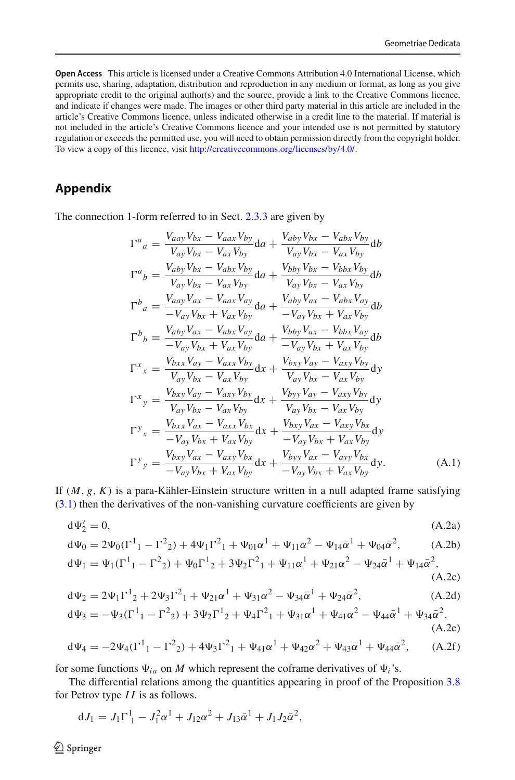**Open Access** This article is licensed under a Creative Commons Attribution 4.0 International License, which permits use, sharing, adaptation, distribution and reproduction in any medium or format, as long as you give appropriate credit to the original author(s) and the source, provide a link to the Creative Commons licence, and indicate if changes were made. The images or other third party material in this article are included in the article's Creative Commons licence, unless indicated otherwise in a credit line to the material. If material is not included in the article's Creative Commons licence and your intended use is not permitted by statutory regulation or exceeds the permitted use, you will need to obtain permission directly from the copyright holder. To view a copy of this licence, visit [http://creativecommons.org/licenses/by/4.0/.](http://creativecommons.org/licenses/by/4.0/)

## <span id="page-45-0"></span>**Appendix**

The connection 1-form referred to in Sect. [2.3.3](#page-18-0) are given by

$$
\Gamma^{a}{}_{a} = \frac{V_{aay}V_{bx} - V_{aax}V_{by}}{V_{ay}V_{bx} - V_{ax}V_{by}} da + \frac{V_{aby}V_{bx} - V_{abx}V_{by}}{V_{ay}V_{bx} - V_{ax}V_{by}} db
$$
\n
$$
\Gamma^{a}{}_{b} = \frac{V_{aby}V_{bx} - V_{aax}V_{by}}{V_{ay}V_{bx} - V_{ax}V_{by}} da + \frac{V_{bby}V_{bx} - V_{bax}V_{by}}{V_{ay}V_{bx} - V_{ax}V_{by}} db
$$
\n
$$
\Gamma^{b}{}_{a} = \frac{V_{aay}V_{ax} - V_{aax}V_{ay}}{-V_{ax}V_{by}} da + \frac{V_{aby}V_{ax} - V_{abx}V_{ay}}{-V_{ay}V_{bx} + V_{ax}V_{by}} db
$$
\n
$$
\Gamma^{b}{}_{b} = \frac{V_{aby}V_{bx} - V_{abx}V_{ay}}{-V_{ay}V_{bx} + V_{ax}V_{by}} da + \frac{V_{bby}V_{ax} - V_{bbx}V_{ay}}{-V_{ay}V_{bx} + V_{ax}V_{by}} db
$$
\n
$$
\Gamma^{x}{}_{x} = \frac{V_{bxx}V_{ay} - V_{axx}V_{by}}{V_{ay}V_{bx} - V_{ax}V_{by}} dx + \frac{V_{bxy}V_{ay} - V_{axy}V_{by}}{V_{ay}V_{bx} - V_{ax}V_{by}} dy
$$
\n
$$
\Gamma^{x}{}_{y} = \frac{V_{bxy}V_{ay} - V_{axy}V_{by}}{V_{ay}V_{bx} - V_{ax}V_{by}} dx + \frac{V_{byy}V_{ay} - V_{axy}V_{by}}{V_{ay}V_{bx} - V_{ax}V_{by}} dy
$$
\n
$$
\Gamma^{y}{}_{x} = \frac{V_{bxx}V_{ax} - V_{ax}V_{bx}}{-V_{ax}V_{bx}} dx + \frac{V_{bxy}V_{ax} - V_{axy}V_{bx}}{-V_{ay}V_{bx} + V_{ax}V_{by}} dy
$$
\n
$$
\Gamma^{y}{}_{y} = \frac{V_{bxy}V_{ax} - V_{axy}V_{bx}}{-V_{ay}V_{bx}} dx + \frac{V_{byy}V_{ax} - V_{axy}V_{bx}}{-V_{ay}V_{bx}
$$

If  $(M, g, K)$  is a para-Kähler-Einstein structure written in a null adapted frame satisfying [\(3.1\)](#page-22-1) then the derivatives of the non-vanishing curvature coefficients are given by

<span id="page-45-1"></span>
$$
d\Psi_2' = 0,\tag{A.2a}
$$

$$
d\Psi_0 = 2\Psi_0(\Gamma^1{}_1 - \Gamma^2{}_2) + 4\Psi_1\Gamma^2{}_1 + \Psi_{01}\alpha^1 + \Psi_{11}\alpha^2 - \Psi_{14}\bar{\alpha}^1 + \Psi_{04}\bar{\alpha}^2, \tag{A.2b}
$$

$$
d\Psi_1 = \Psi_1(\Gamma^1{}_1 - \Gamma^2{}_2) + \Psi_0\Gamma^1{}_2 + 3\Psi_2\Gamma^2{}_1 + \Psi_{11}\alpha^1 + \Psi_{21}\alpha^2 - \Psi_{24}\bar{\alpha}^1 + \Psi_{14}\bar{\alpha}^2,\tag{A.2c}
$$

$$
d\Psi_2 = 2\Psi_1 \Gamma^1{}_2 + 2\Psi_3 \Gamma^2{}_1 + \Psi_{21} \alpha^1 + \Psi_{31} \alpha^2 - \Psi_{34} \bar{\alpha}^1 + \Psi_{24} \bar{\alpha}^2, \tag{A.2d}
$$

$$
d\Psi_3 = -\Psi_3(\Gamma^1{}_1 - \Gamma^2{}_2) + 3\Psi_2\Gamma^1{}_2 + \Psi_4\Gamma^2{}_1 + \Psi_{31}\alpha^1 + \Psi_{41}\alpha^2 - \Psi_{44}\bar{\alpha}^1 + \Psi_{34}\bar{\alpha}^2,\tag{A.2e}
$$

$$
d\Psi_4 = -2\Psi_4(\Gamma^1{}_1 - \Gamma^2{}_2) + 4\Psi_3\Gamma^2{}_1 + \Psi_{41}\alpha^1 + \Psi_{42}\alpha^2 + \Psi_{43}\bar{\alpha}^1 + \Psi_{44}\bar{\alpha}^2, \tag{A.2f}
$$

for some functions  $\Psi_{ia}$  on *M* which represent the coframe derivatives of  $\Psi_i$ 's.

The differential relations among the quantities appearing in proof of the Proposition [3.8](#page-25-5) for Petrov type *I I* is as follows.

$$
dJ_1 = J_1 \Gamma_1^1 - J_1^2 \alpha^1 + J_{12} \alpha^2 + J_{13} \bar{\alpha}^1 + J_1 J_2 \bar{\alpha}^2,
$$

 $\bigcirc$  Springer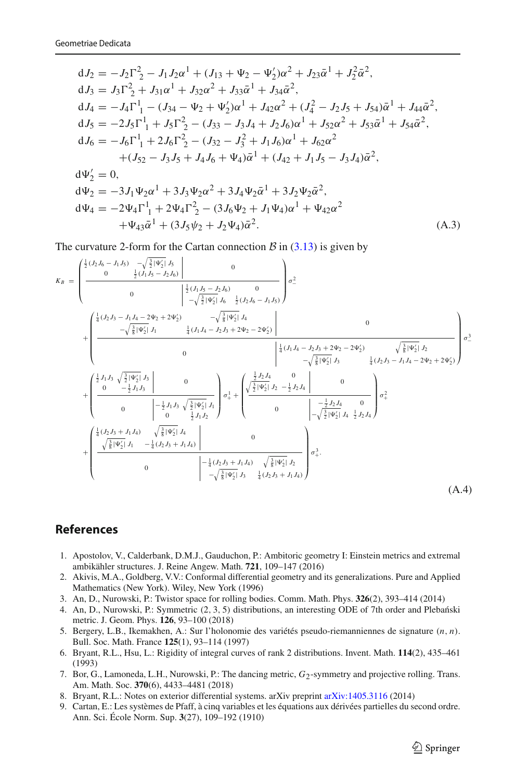$$
dJ_2 = -J_2\Gamma_2^2 - J_1J_2\alpha^1 + (J_{13} + \Psi_2 - \Psi_2')\alpha^2 + J_{23}\bar{\alpha}^1 + J_2^2\bar{\alpha}^2,
$$
  
\n
$$
dJ_3 = J_3\Gamma_2^2 + J_{31}\alpha^1 + J_{32}\alpha^2 + J_{33}\bar{\alpha}^1 + J_{34}\bar{\alpha}^2,
$$
  
\n
$$
dJ_4 = -J_4\Gamma_1^1 - (J_{34} - \Psi_2 + \Psi_2')\alpha^1 + J_{42}\alpha^2 + (J_4^2 - J_2J_5 + J_{54})\bar{\alpha}^1 + J_{44}\bar{\alpha}^2,
$$
  
\n
$$
dJ_5 = -2J_5\Gamma_1^1 + J_5\Gamma_2^2 - (J_{33} - J_3J_4 + J_2J_6)\alpha^1 + J_{52}\alpha^2 + J_{53}\bar{\alpha}^1 + J_{54}\bar{\alpha}^2,
$$
  
\n
$$
dJ_6 = -J_6\Gamma_1^1 + 2J_6\Gamma_2^2 - (J_{32} - J_3^2 + J_1J_6)\alpha^1 + J_{62}\alpha^2
$$
  
\n
$$
+ (J_{52} - J_3J_5 + J_4J_6 + \Psi_4)\bar{\alpha}^1 + (J_{42} + J_1J_5 - J_3J_4)\bar{\alpha}^2,
$$
  
\n
$$
d\Psi_2' = 0,
$$
  
\n
$$
d\Psi_2 = 0,
$$
  
\n
$$
d\Psi_3' = 3L\Psi_3\alpha^1 + 3L\Psi_3\alpha^2 + 3L\Psi_3\bar{\alpha}^1 + 3L\Psi_3\bar{\alpha}^2
$$

$$
d\Psi_2 = -3J_1\Psi_2\alpha^1 + 3J_3\Psi_2\alpha^2 + 3J_4\Psi_2\bar{\alpha}^1 + 3J_2\Psi_2\bar{\alpha}^2,
$$
  
\n
$$
d\Psi_4 = -2\Psi_4\Gamma_1^1 + 2\Psi_4\Gamma_2^2 - (3J_6\Psi_2 + J_1\Psi_4)\alpha^1 + \Psi_{42}\alpha^2
$$
  
\n
$$
+ \Psi_{43}\bar{\alpha}^1 + (3J_5\Psi_2 + J_2\Psi_4)\bar{\alpha}^2.
$$
\n(A.3)

The curvature 2-form for the Cartan connection  $\beta$  in [\(3.13\)](#page-25-4) is given by

$$
K_B = \begin{pmatrix} \frac{1}{2} (J_2 J_6 - J_1 J_5) & -\sqrt{\frac{3}{2}} |V_2' | J_5 & 0 \\ 0 & \frac{1}{2} (J_1 J_5 - J_2 J_6) & 0 \\ 0 & -\sqrt{\frac{3}{2}} |V_2' | J_6 - \frac{1}{2} (J_2 J_6 - J_1 J_5) \end{pmatrix} \sigma^2 - \\ + \begin{pmatrix} \frac{1}{4} (J_2 J_3 - J_1 J_4 - 2 \Psi_2 + 2 \Psi_2') & -\sqrt{\frac{3}{8}} |V_2' | J_4 \\ -\sqrt{\frac{3}{8}} |V_2' | J_1 - \frac{1}{4} (J_1 J_4 - J_2 J_3 + 2 \Psi_2 - 2 \Psi_2') & 0 \\ 0 & 0 & \frac{1}{4} (J_1 J_4 - J_2 J_3 + 2 \Psi_2 - 2 \Psi_2') \\ -\sqrt{\frac{3}{8}} |V_2' | J_3 - \sqrt{\frac{3}{8}} |V_2' | J_3 - \sqrt{\frac{3}{8}} |V_2' | J_3 - \sqrt{\frac{3}{8}} |V_2' | J_3 - \sqrt{\frac{3}{8}} |V_2' | J_2 - \sqrt{\frac{3}{8}} |V_2' | J_3 - \sqrt{\frac{3}{8}} |V_2' | J_2 - \sqrt{\frac{3}{8}} |V_2' | J_3 - \sqrt{\frac{3}{8}} |V_2' | J_3 - \sqrt{\frac{3}{8}} |V_2' | J_3 - \sqrt{\frac{3}{8}} |V_2' | J_3 - \sqrt{\frac{3}{8}} |V_2' | J_3 - \sqrt{\frac{3}{8}} |V_2' | J_3 - \sqrt{\frac{3}{8}} |V_2' | J_3 - \sqrt{\frac{3}{8}} |V_2' | J_3 - \sqrt{\frac{3}{8}} |V_2' | J_4 - \sqrt{\frac{3}{8}} |V_2' | J_4 - \sqrt{\frac{3}{8}} |V_2' | J_4 - \sqrt{\frac{3}{8}} |V_2' | J_4 - \sqrt{\frac{3}{8}} |V_2' | J_4 - \sqrt{\frac{3}{8}} |V_2' | J_3 - \sqrt{\frac{3}{8}} |V_2' | J_2 - \sqrt{\frac{3}{8}} |V_2' | J_2 - \sqrt{\frac{3}{8}} |V_2
$$

## <span id="page-46-0"></span>**References**

- <span id="page-46-6"></span>1. Apostolov, V., Calderbank, D.M.J., Gauduchon, P.: Ambitoric geometry I: Einstein metrics and extremal ambikähler structures. J. Reine Angew. Math. **721**, 109–147 (2016)
- <span id="page-46-4"></span>2. Akivis, M.A., Goldberg, V.V.: Conformal differential geometry and its generalizations. Pure and Applied Mathematics (New York). Wiley, New York (1996)
- <span id="page-46-3"></span>3. An, D., Nurowski, P.: Twistor space for rolling bodies. Comm. Math. Phys. **326**(2), 393–414 (2014)
- <span id="page-46-9"></span>4. An, D., Nurowski, P.: Symmetric (2, 3, 5) distributions, an interesting ODE of 7th order and Plebański metric. J. Geom. Phys. **126**, 93–100 (2018)
- <span id="page-46-5"></span>5. Bergery, L.B., Ikemakhen, A.: Sur l'holonomie des variétés pseudo-riemanniennes de signature (*n*, *n*). Bull. Soc. Math. France **125**(1), 93–114 (1997)
- <span id="page-46-2"></span>6. Bryant, R.L., Hsu, L.: Rigidity of integral curves of rank 2 distributions. Invent. Math. **114**(2), 435–461 (1993)
- <span id="page-46-1"></span>7. Bor, G., Lamoneda, L.H., Nurowski, P.: The dancing metric, *G*2-symmetry and projective rolling. Trans. Am. Math. Soc. **370**(6), 4433–4481 (2018)
- <span id="page-46-7"></span>8. Bryant, R.L.: Notes on exterior differential systems. arXiv preprint [arXiv:1405.3116](http://arxiv.org/abs/1405.3116) (2014)
- <span id="page-46-8"></span>9. Cartan, E.: Les systèmes de Pfaff, à cinq variables et les équations aux dérivées partielles du second ordre. Ann. Sci. École Norm. Sup. **3**(27), 109–192 (1910)